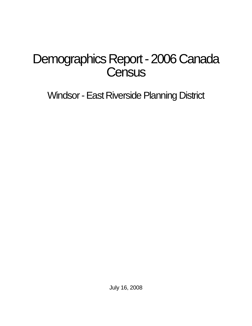# Demographics Report - 2006 Canada **Census**

Windsor - East Riverside Planning District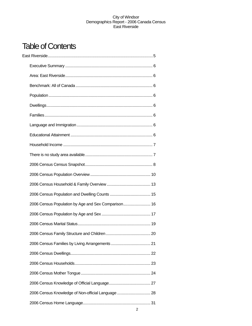## Table of Contents

| 2006 Census Population by Age and Sex Comparison 16 |  |
|-----------------------------------------------------|--|
|                                                     |  |
|                                                     |  |
|                                                     |  |
|                                                     |  |
|                                                     |  |
|                                                     |  |
|                                                     |  |
|                                                     |  |
| 2006 Census Knowledge of Non-official Language  28  |  |
|                                                     |  |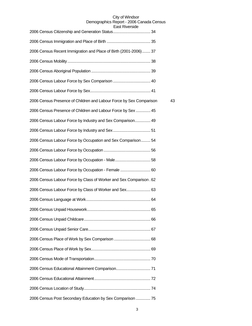| Last Invelsiut                                                      |    |
|---------------------------------------------------------------------|----|
|                                                                     |    |
| 2006 Census Recent Immigration and Place of Birth (2001-2006) 37    |    |
|                                                                     |    |
|                                                                     |    |
|                                                                     |    |
|                                                                     |    |
| 2006 Census Presence of Children and Labour Force by Sex Comparison | 43 |
| 2006 Census Presence of Children and Labour Force by Sex  45        |    |
| 2006 Census Labour Force by Industry and Sex Comparison 49          |    |
|                                                                     |    |
| 2006 Census Labour Force by Occupation and Sex Comparison 54        |    |
|                                                                     |    |
|                                                                     |    |
| 2006 Census Labour Force by Occupation - Female  60                 |    |
| 2006 Census Labour Force by Class of Worker and Sex Comparison. 62  |    |
| 2006 Census Labour Force by Class of Worker and Sex 63              |    |
|                                                                     |    |
|                                                                     |    |
|                                                                     |    |
|                                                                     |    |
|                                                                     |    |
|                                                                     |    |
|                                                                     |    |
|                                                                     |    |
|                                                                     |    |
|                                                                     |    |
| 2006 Census Post Secondary Education by Sex Comparison  75          |    |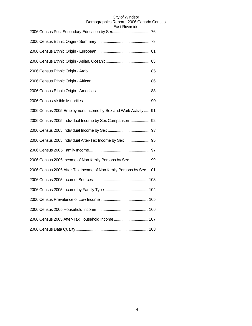| <b>Edst Niverside</b>                                              |
|--------------------------------------------------------------------|
|                                                                    |
|                                                                    |
|                                                                    |
|                                                                    |
|                                                                    |
|                                                                    |
|                                                                    |
| 2006 Census 2005 Employment Income by Sex and Work Activity  91    |
| 2006 Census 2005 Individual Income by Sex Comparison  92           |
|                                                                    |
| 2006 Census 2005 Individual After-Tax Income by Sex 95             |
|                                                                    |
| 2006 Census 2005 Income of Non-family Persons by Sex  99           |
| 2006 Census 2005 After-Tax Income of Non-family Persons by Sex 101 |
|                                                                    |
|                                                                    |
|                                                                    |
|                                                                    |
| 2006 Census 2005 After-Tax Household Income  107                   |
|                                                                    |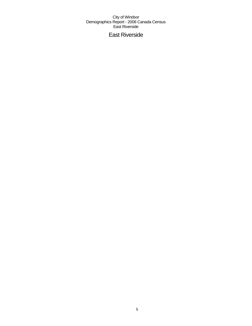## East Riverside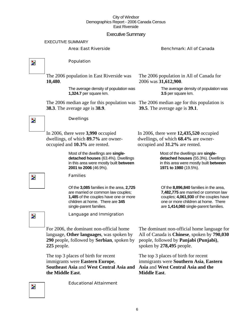## Executive Summary

EXECUTIVE SUMMARY

## Area: East Riverside Benchmark: All of Canada

 $\overline{\mathbf{z}}$ 

Z.

## Population

**Dwellings** 

occupied and **10.3%** are rented.

Families

The 2006 population in East Riverside was **10,480**.

> The average density of population was **1,324.7** per square km.

The 2006 median age for this population was The 2006 median age for this population is **38.3**. The average age is **38.9**.

The 2006 population in All of Canada for 2006 was **31,612,900**.

> The average density of population was **3.5** per square km.

**39.5**. The average age is **39.1**.

In 2006, there were **3,990** occupied dwellings, of which **89.7%** are owner-In 2006, there were **12,435,520** occupied dwellings, of which **68.4%** are owneroccupied and **31.2%** are rented.

> Most of the dwellings are **singledetached houses** (55.3%). Dwellings in this area were mostly built **between 1971 to 1980** (19.5%).

Of the **8,896,840** families in the area, **7,482,775** are married or common law couples; **4,061,930** of the couples have one or more children at home. There are **1,414,060** single-parent families.

Z.

Language and Immigration

Of the **3,085** families in the area, **2,725**  are married or common law couples; **1,485** of the couples have one or more children at home. There are **345** 

Most of the dwellings are **singledetached houses** (63.4%). Dwellings in this area were mostly built **between** 

**2001 to 2006** (46.9%).

single-parent families.

For 2006, the dominant non-official home language, **Other languages**, was spoken by **290** people, followed by **Serbian**, spoken by **225** people.

The top 3 places of birth for recent immigrants were **Eastern Europe**, **Southeast Asia** and **West Central Asia and Asia** and **West Central Asia and the the Middle East**.

The dominant non-official home language for All of Canada is **Chinese**, spoken by **790,030** people, followed by **Panjabi (Punjabi)**, spoken by **278,495** people.

The top 3 places of birth for recent immigrants were **Southern Asia**, **Eastern Middle East**.

Educational Attainment

Þ.

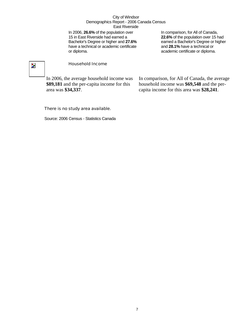In 2006, **26.6%** of the population over 15 in East Riverside had earned a Bachelor's Degree or higher and **27.6%** have a technical or academic certificate or diploma.

In comparison, for All of Canada, **22.6%** of the population over 15 had earned a Bachelor's Degree or higher and **28.1%** have a technical or academic certificate or diploma.

## $\overline{\mathbf{z}}$

## Household Income

In 2006, the average household income was **\$89,181** and the per-capita income for this area was **\$34,337**.

In comparison, for All of Canada, the average household income was **\$69,548** and the percapita income for this area was **\$28,241**.

## There is no study area available.

Source: 2006 Census - Statistics Canada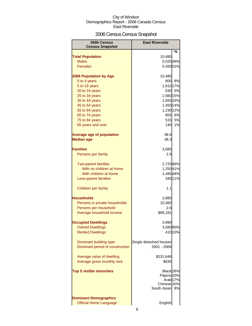## 2006 Census Census Snapshot

| 2006 Census                      | <b>East Riverside</b>                |         |  |  |
|----------------------------------|--------------------------------------|---------|--|--|
| <b>Census Snapshot</b>           |                                      | %       |  |  |
| <b>Total Population</b>          | 10,480                               |         |  |  |
| <b>Males</b>                     | 5,025 48%                            |         |  |  |
| <b>Females</b>                   | 5,455 52%                            |         |  |  |
|                                  |                                      |         |  |  |
| <b>2006 Population by Age</b>    | 10,480                               |         |  |  |
| 0 to 4 years                     | 800                                  | 8%      |  |  |
| 5 to 19 years                    | 1,810 17%                            |         |  |  |
| 20 to 24 years                   |                                      | 530 5%  |  |  |
| 25 to 34 years                   | 1,560 15%                            |         |  |  |
| 35 to 44 years                   | 1,655 16%                            |         |  |  |
| 45 to 54 years                   | 1,450 14%                            |         |  |  |
| 55 to 64 years                   | 1,230 12%                            |         |  |  |
| 65 to 74 years                   |                                      | 855 8%  |  |  |
| 75 to 84 years                   | 515                                  | 5%      |  |  |
| 85 years and over                | 140                                  | 1%      |  |  |
|                                  |                                      |         |  |  |
| <b>Average age of population</b> | 38.9                                 |         |  |  |
| <b>Median age</b>                | 38.3                                 |         |  |  |
| <b>Families</b>                  |                                      |         |  |  |
| Persons per family               | 3,085<br>2.9                         |         |  |  |
|                                  |                                      |         |  |  |
| <b>Two-parent families</b>       | 2,725 88%                            |         |  |  |
| With no children at home         | 1,250 41%                            |         |  |  |
| With children at home            | 1,48548%                             |         |  |  |
| Lone-parent families             |                                      | 345 11% |  |  |
|                                  |                                      |         |  |  |
| Children per family              | 1.1                                  |         |  |  |
| Households                       | 3,985                                |         |  |  |
| Persons in private households    | 10,360                               |         |  |  |
| Persons per household            | 2.6                                  |         |  |  |
| Average household income         | \$89,181                             |         |  |  |
|                                  |                                      |         |  |  |
| <b>Occupied Dwellings</b>        | 3,990                                |         |  |  |
| <b>Owned Dwellings</b>           | 3,580 90%                            |         |  |  |
| <b>Rented Dwellings</b>          |                                      | 410 10% |  |  |
|                                  |                                      |         |  |  |
| Dominant building type           | Single detached houses               |         |  |  |
| Dominant period of construction  | 2001 - 2006                          |         |  |  |
|                                  |                                      |         |  |  |
| Average value of dwelling        | \$231,648                            |         |  |  |
| Average gross monthly rent       | \$635                                |         |  |  |
|                                  |                                      |         |  |  |
| <b>Top 5 visible minorities</b>  | Black 26%<br>Filipino <sup>20%</sup> |         |  |  |
|                                  | Arab <sub>17%</sub>                  |         |  |  |
|                                  | Chinese 10%                          |         |  |  |
|                                  | South Asian                          | 8%      |  |  |
|                                  |                                      |         |  |  |
| <b>Dominant Demographics</b>     |                                      |         |  |  |
| <b>Official Home Language</b>    | English                              |         |  |  |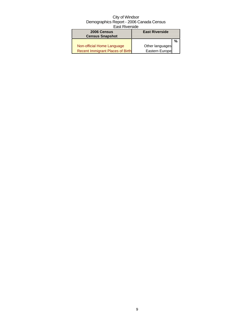| 2006 Census<br><b>Census Snapshot</b>   | <b>East Riverside</b> |   |
|-----------------------------------------|-----------------------|---|
|                                         |                       | % |
| Non-official Home Language              | Other languages       |   |
| <b>Recent Immigrant Places of Birth</b> | Eastern Europe        |   |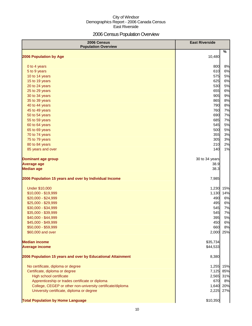## 2006 Census Population Overview

| 2006 Census<br><b>Population Overview</b>                   | <b>East Riverside</b> |     |
|-------------------------------------------------------------|-----------------------|-----|
| 2006 Population by Age                                      | 10,480                | %   |
|                                                             |                       |     |
| 0 to 4 years                                                | 800                   | 8%  |
| 5 to 9 years                                                | 610                   | 6%  |
| 10 to 14 years                                              | 575                   | 5%  |
| 15 to 19 years                                              | 625                   | 6%  |
| 20 to 24 years                                              | 530                   | 5%  |
| 25 to 29 years                                              | 655                   | 6%  |
| 30 to 34 years                                              | 905                   | 9%  |
| 35 to 39 years                                              | 865                   | 8%  |
| 40 to 44 years                                              | 790                   | 8%  |
| 45 to 49 years                                              | 760                   | 7%  |
| 50 to 54 years                                              | 690                   | 7%  |
| 55 to 59 years                                              | 685                   | 7%  |
| 60 to 64 years                                              | 545                   | 5%  |
| 65 to 69 years                                              | 500                   | 5%  |
| 70 to 74 years                                              | 355                   | 3%  |
| 75 to 79 years                                              | 305                   | 3%  |
| 80 to 84 years                                              | 210                   | 2%  |
| 85 years and over                                           | 140                   | 1%  |
| <b>Dominant age group</b>                                   | 30 to 34 years        |     |
| <b>Average age</b>                                          | 38.9                  |     |
| <b>Median age</b>                                           | 38.3                  |     |
| 2006 Population 15 years and over by Individual Income      | 7,985                 |     |
| <b>Under \$10,000</b>                                       | 1,230                 | 15% |
| \$10,000 - \$19,999                                         | 1,130                 | 14% |
| \$20,000 - \$24,999                                         | 490                   | 6%  |
| \$25,000 - \$29,999                                         | 495                   | 6%  |
| \$30,000 - \$34,999                                         | 545                   | 7%  |
| \$35,000 - \$39,999                                         | 545                   | 7%  |
| \$40,000 - \$44,999                                         | 395                   | 5%  |
| \$45,000 - \$49,999                                         | 450                   | 6%  |
| \$50,000 - \$59,999                                         | 660                   | 8%  |
| \$60,000 and over                                           | 2,000                 | 25% |
| <b>Median income</b>                                        | \$35,734              |     |
| <b>Average income</b>                                       | \$44,533              |     |
| 2006 Population 15 years and over by Educational Attainment | 8,380                 |     |
| No certificate, diploma or degree                           | 1,255                 | 15% |
| Certificate, diploma or degree                              | 7,125                 | 85% |
| High school certificate                                     | 2,565 31%             |     |
| Apprenticeship or trades certificate or diploma             | 670                   | 8%  |
| College, CEGEP or other non-university certificate/diploma  | 1,640                 | 20% |
| University certificate, diploma or degree                   | 2,225 27%             |     |
| <b>Total Population by Home Language</b>                    | \$10,350              |     |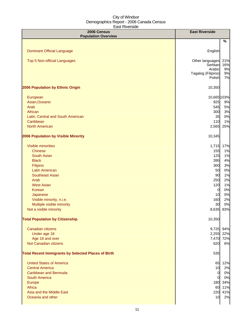| 2006 Census<br><b>Population Overview</b>                                                                                                                                                                                                                                                                                        | <b>East Riverside</b>                                                                                                                                                                                     |
|----------------------------------------------------------------------------------------------------------------------------------------------------------------------------------------------------------------------------------------------------------------------------------------------------------------------------------|-----------------------------------------------------------------------------------------------------------------------------------------------------------------------------------------------------------|
|                                                                                                                                                                                                                                                                                                                                  | %                                                                                                                                                                                                         |
| <b>Dominant Official Language</b>                                                                                                                                                                                                                                                                                                | English                                                                                                                                                                                                   |
| <b>Top 5 Non-official Languages</b>                                                                                                                                                                                                                                                                                              | Other languages<br>21%<br>Serbian<br>16%<br>Arabic<br>9%<br>9%<br>Tagalog (Filipino)<br>Polish<br>7%                                                                                                      |
| 2006 Population by Ethnic Origin                                                                                                                                                                                                                                                                                                 | 10,350                                                                                                                                                                                                    |
| European<br>Asian, Oceanic<br>Arab<br>African<br>Latin, Central and South American<br>Caribbean<br><b>North American</b>                                                                                                                                                                                                         | 10,665 103%<br>925<br>9%<br>5%<br>545<br>3%<br>300<br>0%<br>35<br>1%<br>110<br>2,565<br>25%                                                                                                               |
| 2006 Population by Visible Minority                                                                                                                                                                                                                                                                                              | 10,345                                                                                                                                                                                                    |
| <b>Visible minorities</b><br><b>Chinese</b><br><b>South Asian</b><br><b>Black</b><br>Filipino<br><b>Latin American</b><br><b>Southeast Asian</b><br>Arab<br><b>West Asian</b><br>Korean<br>Japanese<br>Visible minority, n.i.e.<br>Multiple visible minority<br>Not a visible minority<br><b>Total Population by Citizenship</b> | 17%<br>1,715<br>1%<br>155<br>125<br>1%<br>395<br>4%<br>300<br>3%<br>50<br>0%<br>90<br>1%<br>250<br>2%<br>120<br>1%<br>0%<br>$\overline{0}$<br>0%<br>10<br>2%<br>160<br>0%<br>30<br>83%<br>8,635<br>10,350 |
| Canadian citizens<br>Under age 18<br>Age 18 and over<br>Not Canadian citizens<br><b>Total Recent Immigrants by Selected Places of Birth</b>                                                                                                                                                                                      | 94%<br>9,725<br>2,255<br>22%<br>72%<br>7,470<br>6%<br>620<br>535                                                                                                                                          |
| <b>United States of America</b><br><b>Central America</b><br><b>Caribbean and Bermuda</b><br><b>South America</b><br>Europe<br>Africa<br>Asia and the Middle East<br>Oceania and other                                                                                                                                           | 65 12%<br>10<br>2%<br>0%<br>$\overline{0}$<br>0%<br>$\overline{0}$<br>180 34%<br>60 11%<br>41%<br>220<br>2%<br>10                                                                                         |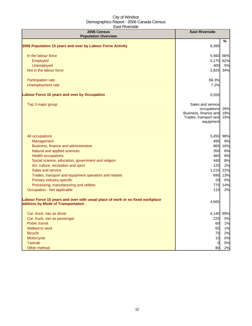| Laut invuluiuu<br>2006 Census<br><b>Population Overview</b>                                                        | <b>East Riverside</b>                                                                           |                   |
|--------------------------------------------------------------------------------------------------------------------|-------------------------------------------------------------------------------------------------|-------------------|
|                                                                                                                    |                                                                                                 | $\%$              |
| 2006 Population 15 years and over by Labour Force Activity                                                         | 8,380                                                                                           |                   |
| In the labour force                                                                                                | 5,560                                                                                           | 66%               |
| Employed                                                                                                           | 5,170                                                                                           | 62%               |
| Unemployed                                                                                                         | 400                                                                                             | 5%                |
| Not in the labour force                                                                                            | 2,825                                                                                           | 34%               |
| Participation rate                                                                                                 | 66.3%                                                                                           |                   |
| Unemployment rate                                                                                                  | 7.2%                                                                                            |                   |
| <b>Labour Force 15 years and over by Occupation</b>                                                                | 5,555                                                                                           |                   |
| Top 3 major group                                                                                                  | Sales and service<br>occupations<br>Business, finance and<br>Trades, transport and<br>equipment | 26%<br>19%<br>15% |
| All occupations                                                                                                    | 5,450                                                                                           | 98%               |
| Management                                                                                                         | 495                                                                                             | 9%                |
| Business, finance and administrative                                                                               | 865                                                                                             | 16%               |
| Natural and applied sciences                                                                                       | 350                                                                                             | 6%                |
| <b>Health occupations</b>                                                                                          | 460                                                                                             | 8%                |
| Social science, education, government and religion                                                                 | 440                                                                                             | 8%                |
| Art, culture, recreation and sport                                                                                 | 125                                                                                             | 2%                |
| Sales and service                                                                                                  | 1,215                                                                                           | 22%               |
| Trades, transport and equipment operators and related                                                              | 695                                                                                             | 13%               |
| Primary industry-specific                                                                                          | 20                                                                                              | 0%                |
| Processing, manufacturing and utilities                                                                            | 775                                                                                             | 14%               |
| Occupation - Not applicable                                                                                        | 115                                                                                             | 2%                |
| Labour Force 15 years and over with usual place of work or no fixed workplace<br>address by Mode of Transportation | 4,665                                                                                           |                   |
| Car, truck, van as driver                                                                                          | 4,140                                                                                           | 89%               |
| Car, truck, van as passenger                                                                                       | 225                                                                                             | 5%                |
| <b>Public transit</b>                                                                                              | 60                                                                                              | 1%                |
| Walked to work                                                                                                     | 65                                                                                              | 1%                |
| <b>Bicycle</b>                                                                                                     | 75                                                                                              | 2%                |
| Motorcycle                                                                                                         | 15                                                                                              | 0%                |
| <b>Taxicab</b>                                                                                                     | $\boldsymbol{0}$                                                                                | 0%                |
| Other method                                                                                                       | 80                                                                                              | 2%                |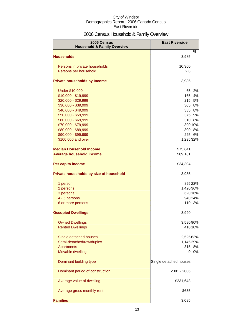## 2006 Census Household & Family Overview

| 2006 Census<br><b>Household &amp; Family Overview</b> | <b>East Riverside</b>  |         |
|-------------------------------------------------------|------------------------|---------|
|                                                       |                        | %       |
| <b>Households</b>                                     | 3,985                  |         |
| Persons in private households                         | 10,360                 |         |
| Persons per household                                 | 2.6                    |         |
|                                                       |                        |         |
| <b>Private households by Income</b>                   | 3,985                  |         |
| <b>Under \$10,000</b>                                 | 65                     | 2%      |
| \$10,000 - \$19,999                                   | 165                    | 4%      |
| \$20,000 - \$29,999                                   | 215                    | 5%      |
| \$30,000 - \$39,999                                   | 305                    | 8%      |
| \$40,000 - \$49,999                                   | 335                    | 8%      |
| \$50,000 - \$59,999                                   | 375                    | 9%      |
| \$60,000 - \$69,999                                   | 310                    | 8%      |
| \$70,000 - \$79,999                                   |                        | 390 10% |
| \$80,000 - \$89,999                                   | 300                    | 8%      |
| \$90,000 - \$99,999                                   | 225                    | 6%      |
| \$100,000 and over                                    | 1,295 32%              |         |
| <b>Median Household Income</b>                        | \$75,641               |         |
| <b>Average household income</b>                       | \$89,181               |         |
| Per capita income                                     | \$34,304               |         |
| Private households by size of household               | 3,985                  |         |
| 1 person                                              |                        | 895 22% |
| 2 persons                                             | 1,420 36%              |         |
| 3 persons                                             |                        | 620 16% |
| 4 - 5 persons                                         |                        | 940 24% |
| 6 or more persons                                     | 110                    | 3%      |
| <b>Occupied Dwellings</b>                             | 3,990                  |         |
| <b>Owned Dwellings</b>                                | 3,580 90%              |         |
| <b>Rented Dwellings</b>                               |                        | 410 10% |
|                                                       |                        |         |
| Single detached houses<br>Semi-detached/row/duplex    | 2,525 63%              |         |
|                                                       | 1,145 29%<br>315       | 8%      |
| Apartments<br>Movable dwelling                        | 0                      | 0%      |
|                                                       |                        |         |
| Dominant building type                                | Single detached houses |         |
| Dominant period of construction                       | 2001 - 2006            |         |
| Average value of dwelling                             | \$231,648              |         |
| Average gross monthly rent                            | \$635                  |         |
| <b>Families</b>                                       | 3,085                  |         |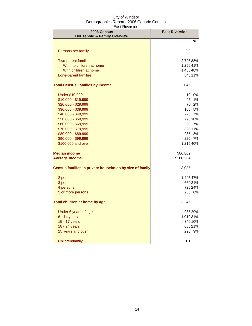| 2006 Census<br><b>Household &amp; Family Overview</b>   | <b>East Riverside</b> |         |
|---------------------------------------------------------|-----------------------|---------|
|                                                         |                       | ℅       |
| Persons per family                                      | 2.9                   |         |
| <b>Two-parent families</b>                              | 2,725 88%             |         |
| With no children at home                                | 1,250 41%             |         |
| With children at home                                   | 1,48548%              |         |
| Lone-parent families                                    |                       | 345 11% |
| <b>Total Census Families by Income</b>                  | 3,045                 |         |
| <b>Under \$10,000</b>                                   | 10                    | 0%      |
| \$10,000 - \$19,999                                     | 45                    | 1%      |
| \$20,000 - \$29,999                                     | 70                    | 2%      |
| \$30,000 - \$39,999                                     | 165                   | 5%      |
| \$40,000 - \$49,999                                     | 225                   | 7%      |
| \$50,000 - \$59,999                                     |                       | 295 10% |
| \$60,000 - \$69,999                                     | 220                   | 7%      |
| \$70,000 - \$79,999                                     |                       | 32011%  |
| \$80,000 - \$89,999                                     | 235                   | 8%      |
| \$90,000 - \$99,999                                     | 220                   | 7%      |
| \$100,000 and over                                      | 1,215 40%             |         |
| <b>Median income</b>                                    | \$86,809              |         |
| <b>Average income</b>                                   | \$100,204             |         |
| Census families in private households by size of family | 3,085                 |         |
| 2 persons                                               | 1,445 47%             |         |
| 3 persons                                               |                       | 660 21% |
| 4 persons                                               |                       | 725 24% |
| 5 or more persons                                       |                       | 235 8%  |
| Total children at home by age                           | 3,245                 |         |
| Under 6 years of age                                    |                       | 935 29% |
| 6 - 14 years                                            | 1,010 31%             |         |
| 15 - 17 years                                           |                       | 340 10% |
| 18 - 24 years                                           |                       | 68521%  |
| 25 years and over                                       |                       | 290 9%  |
| Children/family                                         | 1.1                   |         |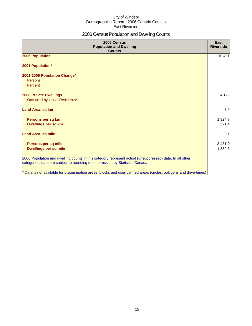## 2006 Census Population and Dwelling Counts

| 2006 Census<br><b>Population and Dwelling</b><br><b>Counts</b>                                                                                                                           | <b>East</b><br><b>Riverside</b> |
|------------------------------------------------------------------------------------------------------------------------------------------------------------------------------------------|---------------------------------|
| 2006 Population                                                                                                                                                                          | 10,491                          |
| 2001 Population*                                                                                                                                                                         |                                 |
| 2001-2006 Population Change*<br>Persons                                                                                                                                                  |                                 |
| Percent                                                                                                                                                                                  |                                 |
| <b>2006 Private Dwellings</b>                                                                                                                                                            | 4,129                           |
| Occupied by Usual Residents*                                                                                                                                                             |                                 |
| Land Area, sq km                                                                                                                                                                         | 7.9                             |
| Persons per sq km                                                                                                                                                                        | 1,324.7                         |
| <b>Dwellings per sq km</b>                                                                                                                                                               | 521.4                           |
| <b>Land Area, sq mile</b>                                                                                                                                                                | 3.1                             |
| Persons per sq mile                                                                                                                                                                      | 3,431.0                         |
| <b>Dwellings per sq mile</b>                                                                                                                                                             | 1,350.3                         |
| 2006 Population and dwelling counts in this category represent actual (unsuppressed) data. In all other<br>categories, data are subject to rounding or suppression by Statistics Canada. |                                 |
| * Data is not available for dissemination areas, blocks and user-defined areas (circles, polygons and drive-times)                                                                       |                                 |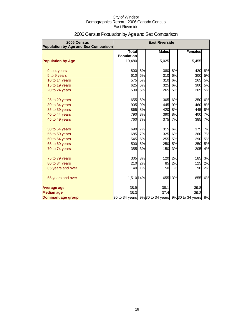| 2006 Census<br><b>Population by Age and Sex Comparison</b> | <b>East Riverside</b> |    |              |           |                                                    |         |
|------------------------------------------------------------|-----------------------|----|--------------|-----------|----------------------------------------------------|---------|
|                                                            | <b>Total</b>          |    | <b>Males</b> |           | <b>Females</b>                                     |         |
|                                                            | <b>Population</b>     |    |              |           |                                                    |         |
| <b>Population by Age</b>                                   | 10,480                |    | 5,025        |           | 5,455                                              |         |
| 0 to 4 years                                               | 800                   | 8% | 380          | 8%        | 420                                                | 8%      |
| 5 to 9 years                                               | 610                   | 6% | 310          | 6%        | 300                                                | 5%      |
| 10 to 14 years                                             | 575                   | 5% | 310          | 6%        | 265                                                | 5%      |
| 15 to 19 years                                             | 625                   | 6% | 325          | 6%        | 300                                                | 5%      |
| 20 to 24 years                                             | 530                   | 5% | 265          | 5%        | 265                                                | 5%      |
| 25 to 29 years                                             | 655                   | 6% | 305          | 6%        | 350                                                | 6%      |
| 30 to 34 years                                             | 905                   | 9% | 445          | 9%        | 460                                                | 8%      |
| 35 to 39 years                                             | 865                   | 8% | 420          | 8%        | 445                                                | 8%      |
| 40 to 44 years                                             | 790                   | 8% | 390          | 8%        | 400                                                | 7%      |
| 45 to 49 years                                             | 760                   | 7% | 375          | 7%        | 385                                                | 7%      |
| 50 to 54 years                                             | 690                   | 7% | 315          | 6%        | 375                                                | 7%      |
| 55 to 59 years                                             | 685                   | 7% | 325          | 6%        | 360                                                | 7%      |
| 60 to 64 years                                             | 545                   | 5% | 255          | 5%        | 290                                                | 5%      |
| 65 to 69 years                                             | 500                   | 5% | 250          | <b>5%</b> | 250                                                | 5%      |
| 70 to 74 years                                             | 355                   | 3% | 150          | 3%        | 205                                                | 4%      |
| 75 to 79 years                                             | 305                   | 3% | 120          | 2%        | 185                                                | 3%      |
| 80 to 84 years                                             | 210                   | 2% | 85           | 2%        | 125                                                | 2%      |
| 85 years and over                                          | 140                   | 1% | 50           | 1%        | 90                                                 | 2%      |
| 65 years and over                                          | 1,510 14%             |    |              | 655 13%   |                                                    | 855 16% |
| <b>Average age</b>                                         | 38.9                  |    | 38.1         |           | 39.8                                               |         |
| <b>Median age</b>                                          | 38.3                  |    | 37.4         |           | 39.2                                               |         |
| Dominant age group                                         |                       |    |              |           | 30 to 34 years 9% 30 to 34 years 9% 30 to 34 years | 8%      |

## 2006 Census Population by Age and Sex Comparison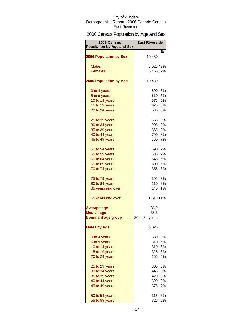## 2006 Census Population by Age and Sex

| 2006 Census<br><b>Population by Age and Sex</b> | <b>East Riverside</b> |        |
|-------------------------------------------------|-----------------------|--------|
|                                                 |                       | ℅      |
| <b>2006 Population by Sex</b>                   | 10,480                |        |
| <b>Males</b>                                    | 5,02548%              |        |
| <b>Females</b>                                  | 5,455 52%             |        |
|                                                 |                       |        |
| <b>2006 Population by Age</b>                   | 10,480                |        |
| 0 to 4 years                                    | 800                   | 8%     |
| 5 to 9 years                                    | 610                   | 6%     |
| 10 to 14 years                                  | 575                   | 5%     |
| 15 to 19 years                                  | 625                   | 6%     |
| 20 to 24 years                                  | 530                   | 5%     |
| 25 to 29 years                                  | 655                   | 6%     |
| 30 to 34 years                                  | 905                   | 9%     |
| 35 to 39 years                                  | <b>865</b>            | 8%     |
| 40 to 44 years                                  | 790                   | 8%     |
| 45 to 49 years                                  | 760                   | 7%     |
| 50 to 54 years                                  | 690                   | 7%     |
| 55 to 59 years                                  | 685                   | 7%     |
| 60 to 64 years                                  | 545                   | 5%     |
| 65 to 69 years                                  | 500                   | 5%     |
| 70 to 74 years                                  | 355                   | 3%     |
| 75 to 79 years                                  |                       | 305 3% |
| 80 to 84 years                                  | 210                   | 2%     |
| 85 years and over                               | 140                   | 1%     |
| 65 years and over                               | 1,510 14%             |        |
| Average age                                     | 38.9                  |        |
| <b>Median age</b>                               | 38.3                  |        |
| <b>Dominant age group</b>                       | 30 to 34 years        |        |
| <b>Males by Age</b>                             | 5,025                 |        |
| 0 to 4 years                                    | 380                   | 8%     |
| 5 to 9 years                                    | 310                   | 6%     |
| 10 to 14 years                                  | 310                   | 6%     |
| 15 to 19 years                                  | 325                   | 6%     |
| 20 to 24 years                                  | 265                   | 5%     |
| 25 to 29 years                                  | 305                   | 6%     |
| 30 to 34 years                                  | 445                   | 9%     |
| 35 to 39 years                                  | 420                   | 8%     |
| 40 to 44 years                                  | 390                   | 8%     |
| 45 to 49 years                                  | 375                   | 7%     |
| 50 to 54 years                                  | 315                   | 6%     |
| 55 to 59 years                                  | 325                   | 6%     |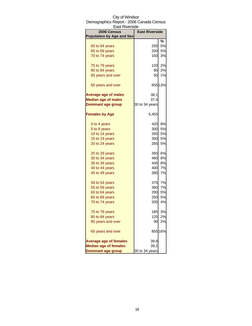| <b>East Riverside</b>            |                       |         |
|----------------------------------|-----------------------|---------|
| 2006 Census                      | <b>East Riverside</b> |         |
| <b>Population by Age and Sex</b> |                       |         |
|                                  |                       | %       |
| 60 to 64 years                   | 255                   | 5%      |
| 65 to 69 years                   | 250                   | 5%      |
| 70 to 74 years                   | 150                   | 3%      |
| 75 to 79 years                   | 120                   | 2%      |
| 80 to 84 years                   | 85                    | 2%      |
| 85 years and over                | 50                    | 1%      |
| 65 years and over                |                       | 655 13% |
| <b>Average age of males</b>      | 38.1                  |         |
| <b>Median age of males</b>       | 37.4                  |         |
| <b>Dominant age group</b>        | 30 to 34 years        |         |
| <b>Females by Age</b>            | 5,455                 |         |
| 0 to 4 years                     | 420                   | 8%      |
| 5 to 9 years                     | 300                   | 5%      |
| 10 to 14 years                   | 265                   | 5%      |
| 15 to 19 years                   | 300                   | 5%      |
| 20 to 24 years                   | 265                   | 5%      |
| 25 to 29 years                   | 350                   | 6%      |
| 30 to 34 years                   | 460                   | 8%      |
| 35 to 39 years                   | 445                   | 8%      |
| 40 to 44 years                   | 400                   | 7%      |
| 45 to 49 years                   | 385                   | 7%      |
| 50 to 54 years                   | 375                   | 7%      |
| 55 to 59 years                   | <b>360</b>            | 7%      |
| 60 to 64 years                   | 290                   | 5%      |
| 65 to 69 years                   | 250                   | 5%      |
| 70 to 74 years                   | 205                   | 4%      |
| 75 to 79 years                   | 185                   | 3%      |
| 80 to 84 years                   | 125                   | 2%      |
| 85 years and over                | 90                    | 2%      |
| 65 years and over                |                       | 855 16% |
| <b>Average age of females</b>    | 39.8                  |         |
| <b>Median age of females</b>     | 39.2                  |         |
| <b>Dominant age group</b>        | 30 to 34 years        |         |

## City of Windsor Demographics Report - 2006 Canada Census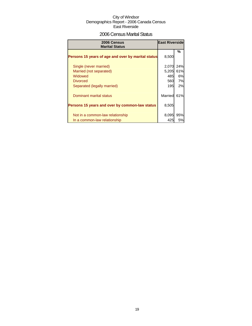## 2006 Census Marital Status

| 2006 Census<br><b>Marital Status</b>               | <b>East Riverside</b> |     |
|----------------------------------------------------|-----------------------|-----|
| Persons 15 years of age and over by marital status | 8,500                 | %   |
| Single (never married)                             | 2,070                 | 24% |
| Married (not separated)                            | 5,205                 | 61% |
| Widowed                                            | 485                   | 6%  |
| <b>Divorced</b>                                    | 560                   | 7%  |
| Separated (legally married)                        | 195                   | 2%  |
| Dominant marital status                            | Married               | 61% |
| Persons 15 years and over by common-law status     | 8,505                 |     |
| Not in a common-law relationship                   | 8,095                 | 95% |
| In a common-law relationship                       | 425                   | 5%  |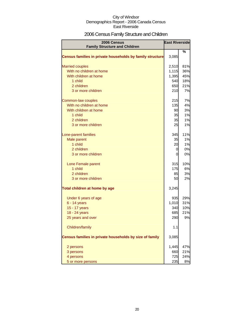## 2006 Census Family Structure and Children

| 2006 Census                                               | <b>East Riverside</b> |     |
|-----------------------------------------------------------|-----------------------|-----|
| <b>Family Structure and Children</b>                      |                       |     |
| Census families in private households by family structure | 3,085                 | %   |
| <b>Married couples</b>                                    | 2,510                 | 81% |
| With no children at home                                  | 1,115                 | 36% |
| With children at home                                     | 1,395                 | 45% |
| 1 child                                                   | 540                   | 18% |
| 2 children                                                | 650                   | 21% |
| 3 or more children                                        | 210                   | 7%  |
| Common-law couples                                        | 215                   | 7%  |
| With no children at home                                  | 135                   | 4%  |
| With children at home                                     | 90                    | 3%  |
| 1 child                                                   | 35                    | 1%  |
| 2 children                                                | 35                    | 1%  |
| 3 or more children                                        | 25                    | 1%  |
| Lone-parent families                                      | 345                   | 11% |
| Male parent                                               | 35                    | 1%  |
| 1 child                                                   | 20                    | 1%  |
| 2 children                                                | 0                     | 0%  |
| 3 or more children                                        | 0                     | 0%  |
| Lone Female parent                                        | 315                   | 10% |
| 1 child                                                   | 175                   | 6%  |
| 2 children                                                | 85                    | 3%  |
| 3 or more children                                        | 50                    | 2%  |
| Total children at home by age                             | 3,245                 |     |
| Under 6 years of age                                      | 935                   | 29% |
| $6 - 14$ years                                            | 1,010                 | 31% |
| 15 - 17 years                                             | 340                   | 10% |
| 18 - 24 years                                             | 685                   | 21% |
| 25 years and over                                         | 290                   | 9%  |
| Children/family                                           | 1.1                   |     |
| Census families in private households by size of family   | 3,085                 |     |
| 2 persons                                                 | 1,445                 | 47% |
| 3 persons                                                 | 660                   | 21% |
| 4 persons                                                 | 725                   | 24% |
| 5 or more persons                                         | 235                   | 8%  |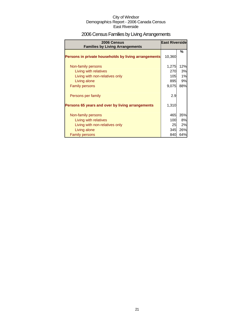## 2006 Census Families by Living Arrangements

| 2006 Census<br><b>Families by Living Arrangements</b> | <b>East Riverside</b> |     |
|-------------------------------------------------------|-----------------------|-----|
| Persons in private households by living arrangements  | 10,360                | %   |
| Non-family persons                                    | 1,275                 | 12% |
| Living with relatives                                 | 270                   | 3%  |
| Living with non-relatives only                        | 105                   | 1%  |
| Living alone                                          | 895                   | 9%  |
| <b>Family persons</b>                                 | 9,075                 | 88% |
| Persons per family                                    | 2.9                   |     |
| Persons 65 years and over by living arrangements      | 1,310                 |     |
| Non-family persons                                    | 465                   | 35% |
| Living with relatives                                 | 100                   | 8%  |
| Living with non-relatives only                        | 25                    | 2%  |
| Living alone                                          | 345                   | 26% |
| <b>Family persons</b>                                 | 840                   | 64% |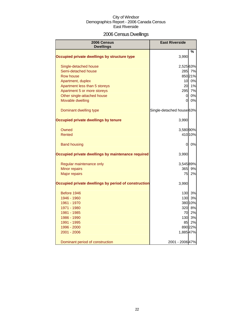## 2006 Census Dwellings

| 2006 Census<br><b>Dwellings</b>                      | <b>East Riverside</b>     |         |
|------------------------------------------------------|---------------------------|---------|
|                                                      |                           | %       |
| Occupied private dwellings by structure type         | 3,990                     |         |
| Single-detached house                                | 2,525 63%                 |         |
| Semi-detached house                                  |                           | 285 7%  |
| <b>Row house</b>                                     |                           | 85021%  |
| Apartment, duplex                                    | 10                        | 0%      |
| Apartment less than 5 storeys                        | 20                        | 1%      |
| Apartment 5 or more storeys                          | 295                       | 7%      |
| Other single-attached house                          | $\overline{0}$            | 0%      |
| Movable dwelling                                     | $\overline{0}$            | 0%      |
| Dominant dwelling type                               | Single-detached house 63% |         |
| Occupied private dwellings by tenure                 | 3,990                     |         |
| Owned                                                | 3,580 90%                 |         |
| <b>Rented</b>                                        |                           | 410 10% |
| <b>Band housing</b>                                  | 0                         | 0%      |
| Occupied private dwellings by maintenance required   | 3,990                     |         |
| Regular maintenance only                             | 3,545 89%                 |         |
| Minor repairs                                        | 365                       | 9%      |
| <b>Major repairs</b>                                 | 75                        | 2%      |
| Occupied private dwellings by period of construction | 3,990                     |         |
| Before 1946                                          | 130                       | 3%      |
| 1946 - 1960                                          | 130                       | 3%      |
| 1961 - 1970                                          |                           | 380 10% |
| 1971 - 1980                                          | 320                       | 8%      |
| 1981 - 1985                                          | 70                        | 2%      |
| 1986 - 1990                                          | 130                       | 3%      |
| 1991 - 1995                                          | 85                        | 2%      |
| 1996 - 2000                                          |                           | 890 22% |
| 2001 - 2006                                          | 1,885 47%                 |         |
| Dominant period of construction                      | 2001 - 2006 47%           |         |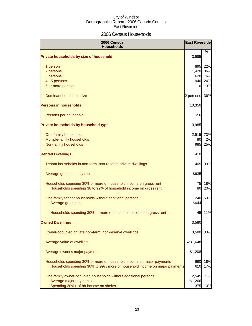## 2006 Census Households

| 2006 Census<br><b>Households</b>                                          |           | <b>East Riverside</b> |
|---------------------------------------------------------------------------|-----------|-----------------------|
| Private households by size of household                                   | 3,985     | %                     |
| 1 person                                                                  | 895       | 22%                   |
| 2 persons                                                                 | 1,420     | 36%                   |
| 3 persons                                                                 | 620       | 16%                   |
| 4 - 5 persons                                                             | 940       | 24%                   |
| 6 or more persons                                                         | 110       | 3%                    |
| Dominant household size                                                   | 2 persons | 36%                   |
| <b>Persons in households</b>                                              | 10,350    |                       |
| Persons per household                                                     | 2.6       |                       |
| Private households by household type                                      | 3,985     |                       |
| One-family households                                                     | 2,915     | 73%                   |
| Multiple-family households                                                | 80        | 2%                    |
| Non-family households                                                     | 985       | 25%                   |
| <b>Rented Dwellings</b>                                                   | 410       |                       |
| Tenant households in non-farm, non-reserve private dwellings              | 405       | 99%                   |
| Average gross monthly rent                                                | \$635     |                       |
| Households spending 30% or more of household income on gross rent         | 75        | 18%                   |
| Households spending 30 to 99% of household income on gross rent           | 80        | 20%                   |
| One-family tenant households without additional persons                   | 240       | 59%                   |
| Average gross rent                                                        | \$644     |                       |
| Households spending 30% or more of household income on gross rent         | 45        | 11%                   |
| <b>Owned Dwellings</b>                                                    | 3,580     |                       |
| Owner-occupied private non-farm, non-reserve dwellings                    |           | 3,580 100%            |
| Average value of dwelling                                                 | \$231,648 |                       |
| Average owner's major payments                                            | \$1,208   |                       |
| Households spending 30% or more of household income on major payments     | 660       | 18%                   |
| Households spending 30% to 99% more of household income on major payments | 610       | 17%                   |
| One-family owner-occupied households without additional persons           | 2,545     | 71%                   |
| Average major payments                                                    | \$1,266   |                       |
| Spending 30%+ of hh income on shelter                                     | 375       | 10%                   |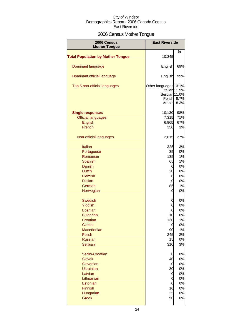## 2006 Census Mother Tongue

| 2006 Census<br><b>Mother Tongue</b>      | <b>East Riverside</b>                                      |                               |
|------------------------------------------|------------------------------------------------------------|-------------------------------|
|                                          |                                                            | %                             |
| <b>Total Population by Mother Tongue</b> | 10,345                                                     |                               |
| Dominant language                        | English                                                    | 69%                           |
| Dominant official language               | English                                                    | 95%                           |
| Top 5 non-official languages             | Other languages 13.1%<br>Serbian 11.0%<br>Polish<br>Arabic | Italian 11.5%<br>8.7%<br>8.3% |
| <b>Single responses</b>                  | 10,130                                                     | 98%                           |
| <b>Official languages</b>                | 7,315                                                      | 71%                           |
| English                                  | 6,965                                                      | 67%                           |
|                                          |                                                            |                               |
| French                                   | 350                                                        | 3%                            |
| Non-official languages                   | 2,815                                                      | 27%                           |
| Italian                                  | 325                                                        | 3%                            |
| Portuguese                               | 35                                                         | 0%                            |
| Romanian                                 | 135                                                        | 1%                            |
|                                          |                                                            |                               |
| Spanish                                  | 65                                                         | 1%                            |
| <b>Danish</b>                            | 0                                                          | 0%                            |
| <b>Dutch</b>                             | 20                                                         | 0%                            |
| Flemish                                  | 0                                                          | 0%                            |
| Frisian                                  | 0                                                          | 0%                            |
| German                                   | 85                                                         | 1%                            |
| Norwegian                                | 0                                                          | 0%                            |
| <b>Swedish</b>                           | 0                                                          | 0%                            |
| Yiddish                                  | 0                                                          | 0%                            |
| <b>Bosnian</b>                           | 0                                                          | 0%                            |
| <b>Bulgarian</b>                         | 10                                                         | 0%                            |
| Croatian                                 | 130                                                        | 1%                            |
| Czech                                    | $\mathbf 0$                                                | 0%                            |
| Macedonian                               | 90                                                         | 1%                            |
| Polish                                   | 245                                                        | 2%                            |
| <b>Russian</b>                           |                                                            |                               |
|                                          | 15                                                         | 0%                            |
| <b>Serbian</b>                           | 310                                                        | 3%                            |
| Serbo-Croatian                           | 0                                                          | 0%                            |
| <b>Slovak</b>                            | 40                                                         | 0%                            |
| Slovenian                                | 0                                                          | 0%                            |
| <b>Ukrainian</b>                         | 30                                                         | 0%                            |
| Latvian                                  | 0                                                          | 0%                            |
| Lithuanian                               | 0                                                          | 0%                            |
| Estonian                                 | $\mathbf 0$                                                | 0%                            |
| Finnish                                  | 10                                                         | 0%                            |
| Hungarian                                | 25                                                         | 0%                            |
|                                          |                                                            |                               |
| <b>Greek</b>                             | 50                                                         | 0%                            |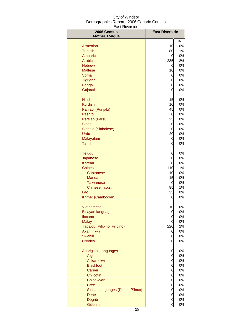| 2006 Census<br><b>Mother Tongue</b> | <b>East Riverside</b> |          |
|-------------------------------------|-----------------------|----------|
|                                     |                       | %        |
| Armenian                            | 10                    | 0%       |
| <b>Turkish</b>                      | 80                    | 1%       |
| Amharic                             | 0                     | 0%       |
| <b>Arabic</b>                       | 235                   | 2%       |
| <b>Hebrew</b>                       | 0                     | 0%       |
| <b>Maltese</b>                      | 10                    | 0%       |
| Somali                              | 0                     | 0%       |
| <b>Tigrigna</b>                     | 0                     | 0%       |
| <b>Bengali</b>                      | 0                     | 0%       |
| Gujarati                            | 0                     | 0%       |
| Hindi                               | 15                    | 0%       |
| <b>Kurdish</b>                      | 10                    | 0%       |
| Panjabi (Punjabi)                   | 45                    | 0%       |
| Pashto                              | 0                     | 0%       |
| Persian (Farsi)                     | 25                    | 0%       |
| Sindhi                              | 0                     | 0%       |
| Sinhala (Sinhalese)                 | 0                     | 0%       |
| Urdu                                | 20                    | 0%       |
| Malayalam                           | 0                     | 0%       |
| <b>Tamil</b>                        | 0                     | 0%       |
| <b>Telugu</b>                       | 0                     | 0%       |
| Japanese                            | 0                     | 0%       |
| Korean                              | 0                     | 0%       |
| Chinese                             | 110                   | 1%       |
| Cantonese                           | 10                    | 0%       |
| <b>Mandarin</b>                     | 15                    | 0%       |
| <b>Taiwanese</b>                    | 0                     | 0%       |
| Chinese, n.o.s.<br>Lao              | 85<br>35              | 1%<br>0% |
| Khmer (Cambodian)                   | 0                     | 0%       |
| Vietnamese                          | 10                    | 0%       |
| Bisayan languages                   | 0                     | 0%       |
| Ilocano                             | 0                     | 0%       |
| <b>Malay</b>                        | 0                     | 0%       |
| Tagalog (Pilipino, Filipino)        | 220                   | 2%       |
| Akan (Twi)                          | 0                     | 0%       |
| Swahili                             | 0                     | 0%       |
| <b>Creoles</b>                      | 0                     | 0%       |
| <b>Aboriginal Languages</b>         | 0                     | 0%       |
| Algonquin                           | 0                     | 0%       |
| Atikamekw                           | 0                     | 0%       |
| <b>Blackfoot</b>                    | 0                     | 0%       |
| Carrier                             | 0                     | 0%       |
| Chilcotin                           | 0                     | 0%       |
| Chipewyan                           | 0                     | 0%       |
| <b>Cree</b>                         | 0                     | 0%       |
| Siouan languages (Dakota/Sioux)     | 0                     | 0%       |
| Dene                                | 0                     | 0%       |
| <b>Dogrib</b>                       | 0                     | 0%       |
| Gitksan                             | $\overline{0}$        | 0%       |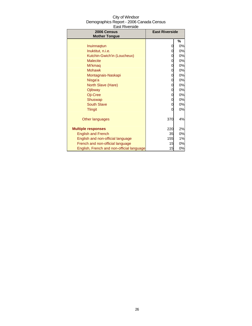| 2006 Census<br><b>Mother Tongue</b>       | <b>East Riverside</b> |    |
|-------------------------------------------|-----------------------|----|
|                                           |                       | %  |
| Inuinnaqtun                               | 0                     | 0% |
| Inuktitut, n.i.e.                         | 0                     | 0% |
| Kutchin-Gwich'in (Loucheux)               | 0                     | 0% |
| <b>Malecite</b>                           | 0                     | 0% |
| Mi'kmaq                                   | 0                     | 0% |
| <b>Mohawk</b>                             | 0                     | 0% |
| Montagnais-Naskapi                        | 0                     | 0% |
| Nisga'a                                   | 0                     | 0% |
| North Slave (Hare)                        | 0                     | 0% |
| Ojibway                                   | 0                     | 0% |
| Oji-Cree                                  | 0                     | 0% |
| Shuswap                                   | 0                     | 0% |
| <b>South Slave</b>                        | 0                     | 0% |
| <b>Tlingit</b>                            | 0                     | 0% |
| Other languages                           | 370                   | 4% |
| <b>Multiple responses</b>                 | 220                   | 2% |
| <b>English and French</b>                 | 35                    | 0% |
| English and non-official language         | <b>155</b>            | 1% |
| French and non-official language          | 15                    | 0% |
| English, French and non-official language | 15                    | 0% |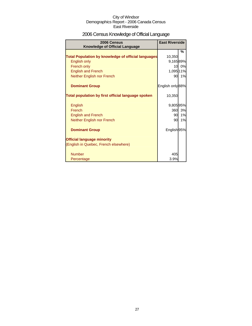## 2006 Census Knowledge of Official Language

| 2006 Census<br><b>Knowledge of Official Language</b>       | <b>East Riverside</b> |    |
|------------------------------------------------------------|-----------------------|----|
|                                                            |                       | %  |
| <b>Total Population by knowledge of official languages</b> | 10,350                |    |
| English only                                               | 9,16589%              |    |
| French only                                                | 10                    | 0% |
| <b>English and French</b>                                  | 1,095 11%             |    |
| Neither English nor French                                 | 90                    | 1% |
| <b>Dominant Group</b>                                      | English only 88%      |    |
| Total population by first official language spoken         | 10,350                |    |
| English                                                    | 9,805 95%             |    |
| French                                                     | 360                   | 3% |
| <b>English and French</b>                                  | 90                    | 1% |
| Neither English nor French                                 | 90                    | 1% |
| <b>Dominant Group</b>                                      | English 95%           |    |
| <b>Official language minority</b>                          |                       |    |
| (English in Quebec, French elsewhere)                      |                       |    |
| <b>Number</b>                                              | 405                   |    |
| Percentage                                                 | 3.9%                  |    |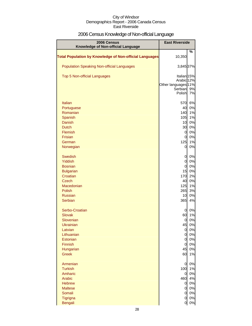## 2006 Census Knowledge of Non-official Language

| 2006 Census<br>Knowledge of Non-official Language              | <b>East Riverside</b>             |          |
|----------------------------------------------------------------|-----------------------------------|----------|
| <b>Total Population by Knowledge of Non-official Languages</b> | 10,350                            | %        |
| <b>Population Speaking Non-official Languages</b>              | 3,845 37%                         |          |
| Top 5 Non-official Languages                                   | Italian <sub>15%</sub>            |          |
|                                                                | Arabic 12%<br>Other languages 11% |          |
|                                                                | Serbian                           | 9%       |
|                                                                | Polish                            | 7%       |
| Italian                                                        | 570                               | 6%       |
| Portuguese                                                     | 40                                | 0%       |
| Romanian                                                       | 140                               | 1%       |
| Spanish<br><b>Danish</b>                                       | 105<br>10                         | 1%<br>0% |
| <b>Dutch</b>                                                   | 30                                | 0%       |
| Flemish                                                        | $\overline{0}$                    | 0%       |
| Frisian                                                        | $\mathbf{0}$                      | 0%       |
| German                                                         | 125                               | 1%       |
| Norwegian                                                      | 0                                 | 0%       |
| <b>Swedish</b>                                                 | $\overline{0}$                    | 0%       |
| Yiddish                                                        | $\overline{0}$                    | 0%       |
| <b>Bosnian</b>                                                 | 0                                 | 0%       |
| <b>Bulgarian</b><br>Croatian                                   | 15<br>170                         | 0%<br>2% |
| <b>Czech</b>                                                   | 40                                | 0%       |
| Macedonian                                                     | 125                               | 1%       |
| <b>Polish</b>                                                  | 265                               | 3%       |
| <b>Russian</b>                                                 | 10                                | 0%       |
| Serbian                                                        | 365                               | 4%       |
| Serbo-Croatian                                                 | 0                                 | 0%       |
| <b>Slovak</b><br>Slovenian                                     | 60                                | 1%       |
| <b>Ukrainian</b>                                               | 0<br>45                           | 0%<br>0% |
| Latvian                                                        | $\overline{0}$                    | 0%       |
| Lithuanian                                                     | $\overline{0}$                    | 0%       |
| Estonian                                                       | $\overline{0}$                    | 0%       |
| Finnish                                                        | $\overline{0}$                    | 0%       |
| Hungarian                                                      | 45                                | 0%       |
| <b>Greek</b>                                                   | 60                                | 1%       |
| Armenian                                                       | 0                                 | 0%       |
| <b>Turkish</b>                                                 | 100                               | 1%       |
| Amharic<br>Arabic                                              | 0                                 | 0%<br>4% |
| <b>Hebrew</b>                                                  | 460<br>0                          | 0%       |
| <b>Maltese</b>                                                 | $\overline{0}$                    | 0%       |
| Somali                                                         | 0                                 | 0%       |
| Tigrigna                                                       | 0                                 | $0\%$    |
| <b>Bengali</b>                                                 | 0                                 | 0%       |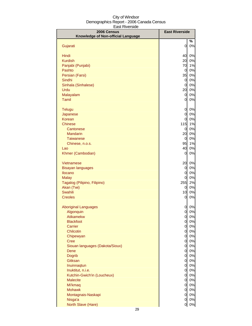| 2006 Census<br>Knowledge of Non-official Language | <b>East Riverside</b>            |          |
|---------------------------------------------------|----------------------------------|----------|
|                                                   |                                  | %        |
| Gujarati                                          | 0                                | 0%       |
| Hindi                                             | 40                               | 0%       |
| <b>Kurdish</b>                                    | 20                               | 0%       |
| Panjabi (Punjabi)                                 | 70                               | 1%       |
| Pashto                                            | $\overline{0}$                   | 0%       |
| Persian (Farsi)                                   | 35                               | 0%       |
| Sindhi                                            | $\overline{0}$                   | 0%       |
| Sinhala (Sinhalese)                               | $\overline{0}$                   | 0%       |
| Urdu                                              | 20                               | 0%       |
| Malayalam<br><b>Tamil</b>                         | $\overline{0}$<br>0              | 0%<br>0% |
| <b>Telugu</b>                                     | 0                                | 0%       |
| Japanese                                          | 0                                | 0%       |
| Korean                                            | $\overline{0}$                   | 0%       |
| <b>Chinese</b>                                    | 115                              | 1%       |
| Cantonese                                         | $\overline{0}$                   | 0%       |
| <b>Mandarin</b>                                   | 20                               | 0%       |
| <b>Taiwanese</b>                                  | $\overline{0}$                   | 0%       |
| Chinese, n.o.s.                                   | 95<br>40                         | 1%       |
| Lao<br>Khmer (Cambodian)                          | $\overline{0}$                   | 0%<br>0% |
| Vietnamese                                        | 20                               | 0%       |
| <b>Bisayan languages</b>                          | 0                                | 0%       |
| Ilocano                                           | 0                                | 0%       |
| <b>Malay</b>                                      | 0                                | 0%       |
| Tagalog (Pilipino, Filipino)                      | 255                              | 2%       |
| Akan (Twi)                                        | 0                                | 0%       |
| Swahili<br><b>Creoles</b>                         | 10<br>0                          | 0%<br>0% |
|                                                   |                                  |          |
| <b>Aboriginal Languages</b>                       | 0                                | 0%       |
| Algonquin                                         | 0                                | $0\%$    |
| <b>Atikamekw</b><br><b>Blackfoot</b>              | $\overline{0}$<br>$\overline{0}$ | 0%<br>0% |
| <b>Carrier</b>                                    | 0                                | 0%       |
| Chilcotin                                         | $\overline{0}$                   | 0%       |
| Chipewyan                                         | <sub>0</sub>                     | 0%       |
| <b>Cree</b>                                       | $\overline{0}$                   | 0%       |
| Siouan languages (Dakota/Sioux)                   | $\overline{0}$                   | 0%       |
| Dene                                              | $\overline{0}$                   | 0%       |
| <b>Dogrib</b>                                     | $\overline{0}$                   | 0%       |
| Gitksan                                           | 0                                | 0%       |
| Inuinnagtun<br>Inuktitut, n.i.e.                  | <sub>0</sub><br><sub>0</sub>     | 0%<br>0% |
| Kutchin-Gwich'in (Loucheux)                       | <sub>0</sub>                     | 0%       |
| <b>Malecite</b>                                   | 0                                | 0%       |
| Mi'kmaq                                           | 0                                | 0%       |
| <b>Mohawk</b>                                     | 0                                | 0%       |
| Montagnais-Naskapi                                | $\overline{0}$                   | $0\%$    |
| Nisga'a                                           | 0                                | $0\%$    |
| North Slave (Hare)                                | <sub>0</sub>                     | $0\%$    |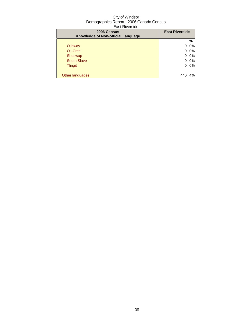| 2006 Census<br>Knowledge of Non-official Language | <b>East Riverside</b> |    |
|---------------------------------------------------|-----------------------|----|
|                                                   |                       | %  |
| Ojibway                                           |                       | 0% |
| Oji-Cree                                          |                       | 0% |
| Shuswap                                           |                       | 0% |
| <b>South Slave</b>                                |                       | 0% |
| <b>Tlingit</b>                                    | 0                     | 0% |
|                                                   |                       |    |
| Other languages                                   |                       | 4% |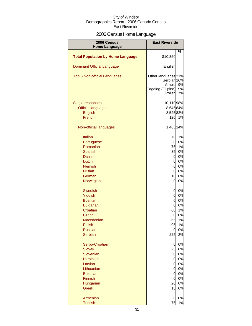## 2006 Census Home Language

| 2006 Census<br><b>Home Language</b>      | <b>East Riverside</b>                         |                |
|------------------------------------------|-----------------------------------------------|----------------|
|                                          |                                               | %              |
| <b>Total Population by Home Language</b> | \$10,350                                      |                |
| <b>Dominant Official Language</b>        | English                                       |                |
| Top 5 Non-official Languages             | Other languages <sup>21%</sup><br>Serbian 16% |                |
|                                          | Arabic<br>Tagalog (Filipino)<br>Polish        | 9%<br>9%<br>7% |
| Single responses                         | 10,11098%                                     |                |
| <b>Official languages</b>                | 8,64584%                                      |                |
|                                          |                                               |                |
| English                                  | 8,52582%                                      |                |
| French                                   | 120                                           | 1%             |
| Non-official languages                   | 1,465 14%                                     |                |
| Italian                                  | 70                                            | 1%             |
| Portuguese                               | 0                                             | 0%             |
| Romanian                                 | 75                                            | 1%             |
| Spanish                                  | 35                                            | $0\%$          |
| Danish                                   | 0                                             | 0%             |
| <b>Dutch</b>                             | 0                                             | $0\%$          |
| Flemish                                  | 0                                             | $0\%$          |
| <b>Frisian</b>                           | 0                                             | $0\%$          |
| German                                   | 10                                            | 0%             |
| Norwegian                                | 0                                             | 0%             |
| <b>Swedish</b>                           | 0                                             | 0%             |
| Yiddish                                  | $\mathbf 0$                                   | 0%             |
| <b>Bosnian</b>                           | $\mathbf 0$                                   | $0\%$          |
| <b>Bulgarian</b>                         | $\mathbf 0$                                   | $0\%$          |
| Croatian                                 | 60                                            | $1\%$          |
| Czech                                    | 0                                             | $0\%$          |
| Macedonian                               | 65                                            | 1%             |
| Polish                                   | 95                                            | 1%             |
| <b>Russian</b>                           | 0                                             | $0\%$          |
| <b>Serbian</b>                           | 225                                           | 2%             |
| Serbo-Croatian                           | 0                                             | 0%             |
| <b>Slovak</b>                            | 25                                            | 0%             |
| Slovenian                                | 0                                             | 0%             |
| <b>Ukrainian</b>                         | 0                                             | 0%             |
| Latvian                                  | 0                                             | 0%             |
| Lithuanian                               | 0                                             | 0%             |
| Estonian                                 | $\mathbf 0$                                   | $0\%$          |
| <b>Finnish</b>                           | $\overline{0}$                                | 0%             |
| Hungarian                                | 20                                            | 0%             |
| <b>Greek</b>                             | 15                                            | 0%             |
| Armenian                                 | 0                                             | 0%             |
| <b>Turkish</b>                           | 75                                            | 1%             |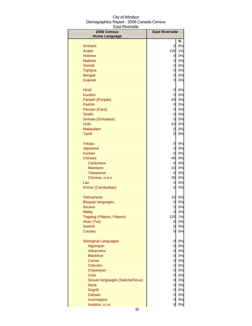| 2006 Census<br><b>Home Language</b> | <b>East Riverside</b> |       |
|-------------------------------------|-----------------------|-------|
|                                     |                       | %     |
| Amharic                             | 0                     | 0%    |
| Arabic                              | 130                   | 1%    |
| <b>Hebrew</b>                       | 0                     | 0%    |
| <b>Maltese</b>                      | 0                     | 0%    |
| Somali                              | $\overline{0}$        | 0%    |
| Tigrigna                            | $\overline{O}$        | 0%    |
| <b>Bengali</b>                      | $\overline{O}$        | 0%    |
| Gujarati                            | 0                     | 0%    |
|                                     |                       |       |
| Hindi                               | 0                     | 0%    |
| <b>Kurdish</b>                      | 0                     | 0%    |
| Panjabi (Punjabi)                   | 20                    | 0%    |
| Pashto                              | 0                     | 0%    |
| Persian (Farsi)                     | 0                     | 0%    |
| Sindhi                              | 0                     | 0%    |
| Sinhala (Sinhalese)                 | 0                     | 0%    |
| Urdu                                | 20                    | $0\%$ |
| Malayalam                           | 0                     | $0\%$ |
| Tamil                               | 0                     | 0%    |
| <b>Telugu</b>                       | 0                     | 0%    |
| Japanese                            | 0                     | 0%    |
| <b>Korean</b>                       | 0                     | 0%    |
| Chinese                             | 40                    | 0%    |
| Cantonese                           | $\overline{0}$        | 0%    |
| <b>Mandarin</b>                     | 10                    | 0%    |
| <b>Taiwanese</b>                    | 0                     | 0%    |
| Chinese, n.o.s.                     | 30                    | 0%    |
| Lao                                 | 0                     | 0%    |
| Khmer (Cambodian)                   | 0                     | 0%    |
| Vietnamese                          | 10                    | $0\%$ |
| <b>Bisayan languages</b>            | 0                     | 0%    |
| Ilocano                             | 0                     | 0%    |
| Malav                               | 0                     | 0%    |
| Tagalog (Pilipino, Filipino)        | 120                   | 1%    |
| Akan (Twi)                          | 0                     | 0%    |
| Swahili                             | 0                     | 0%    |
| <b>Creoles</b>                      | 0                     | 0%    |
| <b>Aboriginal Languages</b>         | 0                     | 0%    |
| Algonquin                           | 0                     | 0%    |
| Atikamekw                           | $\overline{O}$        | 0%    |
| <b>Blackfoot</b>                    | $\overline{O}$        | 0%    |
| Carrier                             | $\mathbf 0$           | 0%    |
| <b>Chilcotin</b>                    | $\mathbf 0$           | 0%    |
| Chipewyan                           | $\overline{0}$        | 0%    |
| <b>Cree</b>                         | $\overline{0}$        | 0%    |
| Siouan languages (Dakota/Sioux)     | $\overline{0}$        | 0%    |
| Dene                                | $\overline{0}$        | 0%    |
| <b>Dogrib</b>                       | $\overline{0}$        | $0\%$ |
| Gitksan                             | $\overline{0}$        | $0\%$ |
| Inuinnaqtun                         | $\overline{0}$        | $0\%$ |
| Inuktitut, n.i.e.                   | 0                     | $0\%$ |
|                                     |                       |       |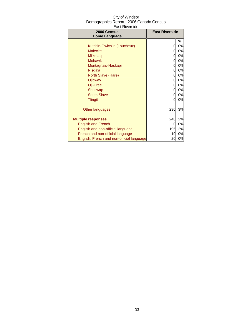| 2006 Census<br><b>Home Language</b>       | <b>East Riverside</b> |    |
|-------------------------------------------|-----------------------|----|
|                                           |                       | ℅  |
| Kutchin-Gwich'in (Loucheux)               | 0                     | 0% |
| <b>Malecite</b>                           | 0                     | 0% |
| Mi'kmag                                   | 0                     | 0% |
| <b>Mohawk</b>                             | 0                     | 0% |
| Montagnais-Naskapi                        | 0                     | 0% |
| Nisga'a                                   | 0                     | 0% |
| North Slave (Hare)                        | 0                     | 0% |
| Ojibway                                   | 0                     | 0% |
| Oji-Cree                                  | 0                     | 0% |
| Shuswap                                   | 0                     | 0% |
| <b>South Slave</b>                        | 0                     | 0% |
| <b>Tlingit</b>                            | 0                     | 0% |
| Other languages                           | 290                   | 3% |
| <b>Multiple responses</b>                 | 240                   | 2% |
| <b>English and French</b>                 | Ω                     | 0% |
| English and non-official language         | 195                   | 2% |
| French and non-official language          | 10                    | 0% |
| English, French and non-official language | 20                    | 0% |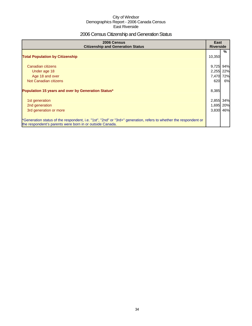## 2006 Census Citizenship and Generation Status

| 2006 Census<br><b>Citizenship and Generation Status</b>                                                                                                                       | East<br><b>Riverside</b> |     |
|-------------------------------------------------------------------------------------------------------------------------------------------------------------------------------|--------------------------|-----|
| <b>Total Population by Citizenship</b>                                                                                                                                        | 10,350                   | %   |
| Canadian citizens                                                                                                                                                             | 9,725                    | 94% |
| Under age 18                                                                                                                                                                  | 2,255 22%                |     |
| Age 18 and over                                                                                                                                                               | 7,470                    | 72% |
| Not Canadian citizens                                                                                                                                                         | 620                      | 6%  |
| Population 15 years and over by Generation Status*                                                                                                                            | 8,385                    |     |
| 1st generation                                                                                                                                                                | 2,855                    | 34% |
| 2nd generation                                                                                                                                                                | 1,695                    | 20% |
| 3rd generation or more                                                                                                                                                        | 3,830 46%                |     |
| *Generation status of the respondent, i.e. "1st", "2nd" or "3rd+" generation, refers to whether the respondent or<br>the respondent's parents were born in or outside Canada. |                          |     |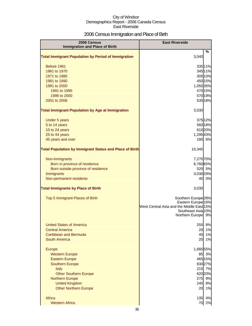## 2006 Census Immigration and Place of Birth

| 2006 Census                                                    | <b>East Riverside</b>                                                      |  |
|----------------------------------------------------------------|----------------------------------------------------------------------------|--|
| <b>Immigration and Place of Birth</b>                          | %                                                                          |  |
| <b>Total Immigrant Population by Period of Immigration</b>     | 3,040                                                                      |  |
| Before 1961                                                    | 335 11%                                                                    |  |
| 1961 to 1970                                                   | 345 11%                                                                    |  |
| 1971 to 1980                                                   | 305 10%                                                                    |  |
| 1981 to 1990                                                   | 450 15%                                                                    |  |
| 1991 to 2000                                                   | 1,055 35%                                                                  |  |
| 1991 to 1995                                                   | 470 15%                                                                    |  |
| 1996 to 2000                                                   | 570 19%                                                                    |  |
| 2001 to 2006                                                   | 535 18%                                                                    |  |
| <b>Total Immigrant Population by Age at Immigration</b>        | 3,030                                                                      |  |
| Under 5 years                                                  | 375 12%                                                                    |  |
| 5 to 14 years                                                  | 560 18%                                                                    |  |
| 15 to 24 years                                                 | 61020%                                                                     |  |
| 25 to 44 years                                                 | 1,295 43%                                                                  |  |
| 45 years and over                                              | 180 6%                                                                     |  |
| <b>Total Population by Immigrant Status and Place of Birth</b> | 10,345                                                                     |  |
| Non-immigrants                                                 | 7,270 70%                                                                  |  |
| Born in province of residence                                  | 6,760 65%                                                                  |  |
| Born outside province of residence                             | 520 5%                                                                     |  |
| Immigrants                                                     | 3,030 29%                                                                  |  |
| Non-permanent residents                                        | 0%<br>40                                                                   |  |
| <b>Total Immigrants by Place of Birth</b>                      | 3,030                                                                      |  |
| Top 5 Immigrant Places of Birth                                | Southern Europe <sup>28%</sup>                                             |  |
|                                                                | Eastern Europe <sup>16%</sup><br>West Central Asia and the Middle East 15% |  |
|                                                                | Southeast Asia 10%                                                         |  |
|                                                                | Northern Europe 9%                                                         |  |
| <b>United States of America</b>                                | 255<br>8%                                                                  |  |
| <b>Central America</b>                                         | 20<br>1%                                                                   |  |
| <b>Caribbean and Bermuda</b>                                   | 45<br>1%                                                                   |  |
| South America                                                  | 1%<br>20                                                                   |  |
|                                                                |                                                                            |  |
| <b>Europe</b><br><b>Western Europe</b>                         | 1,665 55%<br>3%<br>85                                                      |  |
| <b>Eastern Europe</b>                                          | 465 15%                                                                    |  |
| <b>Southern Europe</b>                                         | 830 27%                                                                    |  |
| Italy                                                          | 215<br>7%                                                                  |  |
| <b>Other Southern Europe</b>                                   | 620 20%                                                                    |  |
| <b>Northern Europe</b>                                         | 9%<br>275                                                                  |  |
| <b>United Kingdom</b>                                          | 8%<br>245                                                                  |  |
| <b>Other Northern Europe</b>                                   | 1%<br>20                                                                   |  |
| Africa                                                         | 4%<br>135                                                                  |  |
| <b>Western Africa</b>                                          | 2%<br>70                                                                   |  |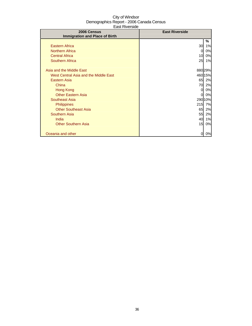| 2006 Census                           | <b>East Riverside</b> |         |
|---------------------------------------|-----------------------|---------|
| <b>Immigration and Place of Birth</b> |                       |         |
|                                       |                       | %       |
| <b>Eastern Africa</b>                 | 30                    | 1%      |
| <b>Northern Africa</b>                | 0                     | 0%      |
| <b>Central Africa</b>                 | 10                    | 0%      |
| <b>Southern Africa</b>                | 25                    | 1%      |
|                                       |                       |         |
| Asia and the Middle East              |                       | 88029%  |
| West Central Asia and the Middle East |                       | 460 15% |
| Eastern Asia                          | 65                    | 2%      |
| China                                 | 70                    | 2%      |
| Hong Kong                             | 0                     | 0%      |
| <b>Other Eastern Asia</b>             | 0                     | 0%      |
| Southeast Asia                        |                       | 290 10% |
| <b>Philippines</b>                    | 215                   | 7%      |
| <b>Other Southeast Asia</b>           | 65                    | 2%      |
| <b>Southern Asia</b>                  | 55                    | 2%      |
| India                                 | 40                    | 1%      |
| <b>Other Southern Asia</b>            | 15                    | 0%      |
|                                       |                       |         |
| Oceania and other                     | 0                     | 0%      |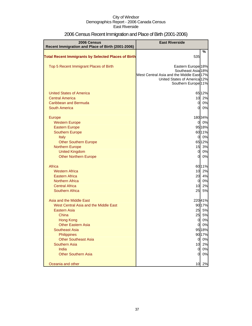| 2006 Census<br>Recent Immigration and Place of Birth (2001-2006)                                                                                                                                                                                                                                                                                        | <b>East Riverside</b>                                                                                                                                              |                                                                                                          |
|---------------------------------------------------------------------------------------------------------------------------------------------------------------------------------------------------------------------------------------------------------------------------------------------------------------------------------------------------------|--------------------------------------------------------------------------------------------------------------------------------------------------------------------|----------------------------------------------------------------------------------------------------------|
|                                                                                                                                                                                                                                                                                                                                                         |                                                                                                                                                                    | %                                                                                                        |
| <b>Total Recent Immigrants by Selected Places of Birth</b>                                                                                                                                                                                                                                                                                              | 535                                                                                                                                                                |                                                                                                          |
| Top 5 Recent Immigrant Places of Birth                                                                                                                                                                                                                                                                                                                  | Eastern Europe <sup>18%</sup><br>Southeast Asia 18%<br>West Central Asia and the Middle East 17%<br>United States of America 12%<br>Southern Europe <sup>11%</sup> |                                                                                                          |
| <b>United States of America</b><br><b>Central America</b><br>Caribbean and Bermuda<br><b>South America</b>                                                                                                                                                                                                                                              | 10<br>$\overline{0}$<br>0                                                                                                                                          | 6512%<br>2%<br>0%<br>0%                                                                                  |
| Europe<br><b>Western Europe</b><br><b>Eastern Europe</b><br><b>Southern Europe</b><br>Italy<br><b>Other Southern Europe</b><br><b>Northern Europe</b><br><b>United Kingdom</b><br><b>Other Northern Europe</b><br>Africa<br><b>Western Africa</b><br><b>Eastern Africa</b><br><b>Northern Africa</b><br><b>Central Africa</b><br><b>Southern Africa</b> | $\mathbf{0}$<br>0<br>15<br>$\overline{0}$<br>$\overline{0}$<br>10<br>20<br>$\mathbf 0$<br>10<br>25                                                                 | 18034%<br>0%<br>95 18%<br>6011%<br>0%<br>6512%<br>3%<br>0%<br>0%<br>60 11%<br>2%<br>4%<br>0%<br>2%<br>5% |
| Asia and the Middle East<br>West Central Asia and the Middle East<br><b>Eastern Asia</b><br>China<br><b>Hong Kong</b><br><b>Other Eastern Asia</b><br><b>Southeast Asia</b><br>Philippines<br><b>Other Southeast Asia</b><br><b>Southern Asia</b><br>India<br><b>Other Southern Asia</b>                                                                | 25<br>25<br>0<br>$\overline{0}$<br>10<br>$\overline{0}$<br>$\overline{0}$                                                                                          | 22041%<br>9017%<br>5%<br>5%<br>0%<br>0 0%<br>95 18%<br>90 17%<br>0%<br>2%<br>0%<br>0%                    |
| Oceania and other                                                                                                                                                                                                                                                                                                                                       | 10                                                                                                                                                                 | 2%                                                                                                       |

## 2006 Census Recent Immigration and Place of Birth (2001-2006)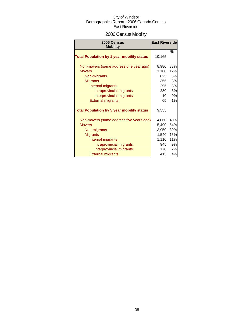### 2006 Census Mobility

| 2006 Census<br><b>Mobility</b>                    | <b>East Riverside</b> |     |
|---------------------------------------------------|-----------------------|-----|
| <b>Total Population by 1 year mobility status</b> | 10,165                | %   |
| Non-movers (same address one year ago)            | 8,980                 | 88% |
| <b>Movers</b>                                     | 1,180                 | 12% |
| Non-migrants                                      | 825                   | 8%  |
| <b>Migrants</b>                                   | 355                   | 3%  |
| Internal migrants                                 | 295                   | 3%  |
| Intraprovincial migrants                          | 280                   | 3%  |
| Interprovincial migrants                          | 10                    | 0%  |
| <b>External migrants</b>                          | 65                    | 1%  |
| <b>Total Population by 5 year mobility status</b> | 9,555                 |     |
| Non-movers (same address five years ago)          | 4,060                 | 40% |
| <b>Movers</b>                                     | 5,490                 | 54% |
| Non-migrants                                      | 3,950                 | 39% |
| <b>Migrants</b>                                   | 1,540                 | 15% |
| Internal migrants                                 | 1,110                 | 11% |
| Intraprovincial migrants                          | 945                   | 9%  |
| Interprovincial migrants                          | 170                   | 2%  |
| <b>External migrants</b>                          | 415                   | 4%  |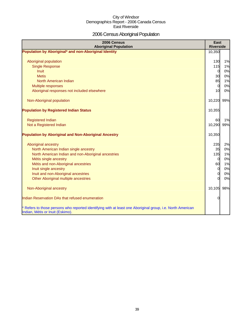### 2006 Census Aboriginal Population

| 2006 Census<br><b>Aboriginal Population</b>                                                                                                    | <b>East</b><br><b>Riverside</b> |     |
|------------------------------------------------------------------------------------------------------------------------------------------------|---------------------------------|-----|
| Population by Aboriginal* and non-Aboriginal Identity                                                                                          | 10,350                          |     |
|                                                                                                                                                |                                 |     |
| Aboriginal population                                                                                                                          | 130                             | 1%  |
| <b>Single Response</b>                                                                                                                         | 115                             | 1%  |
| <b>Inuit</b>                                                                                                                                   | $\overline{0}$                  | 0%  |
| <b>Metis</b>                                                                                                                                   | 30                              | 0%  |
| North American Indian                                                                                                                          | 85                              | 1%  |
| Multiple responses                                                                                                                             | $\overline{0}$                  | 0%  |
| Aboriginal responses not included elsewhere                                                                                                    | 10                              | 0%  |
| Non-Aboriginal population                                                                                                                      | 10,220 99%                      |     |
|                                                                                                                                                |                                 |     |
| <b>Population by Registered Indian Status</b>                                                                                                  | 10,355                          |     |
| <b>Registered Indian</b>                                                                                                                       | 60                              | 1%  |
| Not a Registered Indian                                                                                                                        | 10,290                          | 99% |
|                                                                                                                                                |                                 |     |
| <b>Population by Aboriginal and Non-Aboriginal Ancestry</b>                                                                                    | 10,350                          |     |
| Aboriginal ancestry                                                                                                                            | 235                             | 2%  |
| North American Indian single ancestry                                                                                                          | 35                              | 0%  |
| North American Indian and non-Aboriginal ancestries                                                                                            | 135                             | 1%  |
| Métis single ancestry                                                                                                                          | $\overline{0}$                  | 0%  |
| Métis and non-Aboriginal ancestries                                                                                                            | 60                              | 1%  |
| Inuit single ancestry                                                                                                                          | $\overline{0}$                  | 0%  |
| Inuit and non-Aboriginal ancestries                                                                                                            | $\mathbf 0$                     | 0%  |
| Other Aboriginal multiple ancestries                                                                                                           | $\Omega$                        | 0%  |
|                                                                                                                                                |                                 |     |
| Non-Aboriginal ancestry                                                                                                                        | 10,105 98%                      |     |
| Indian Reservation DAs that refused enumeration                                                                                                | 0                               |     |
| * Refers to those persons who reported identifying with at least one Aboriginal group, i.e. North American<br>Indian, Métis or Inuit (Eskimo). |                                 |     |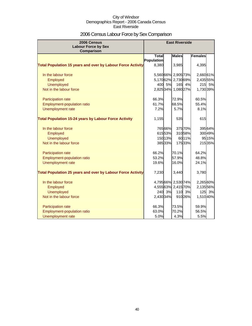### 2006 Census Labour Force by Sex Comparison

| 2006 Census<br><b>Labour Force by Sex</b>                          | <b>East Riverside</b> |         |                     |         |                |         |
|--------------------------------------------------------------------|-----------------------|---------|---------------------|---------|----------------|---------|
| <b>Comparison</b>                                                  |                       |         |                     |         |                |         |
|                                                                    | <b>Total</b>          |         | <b>Males</b>        |         | <b>Females</b> |         |
| <b>Total Population 15 years and over by Labour Force Activity</b> | Population<br>8,380   |         | 3,985               |         | 4,395          |         |
| In the labour force                                                |                       |         | 5,560 66% 2,905 73% |         | 2,660 61%      |         |
| Employed                                                           |                       |         | 5,17062% 2,73069%   |         | 2,435 55%      |         |
| <b>Unemployed</b>                                                  | 400                   | 5%      | 165                 | 4%      | 215            | 5%      |
| Not in the labour force                                            |                       |         | 2,825 34% 1,080 27% |         | 1,730 39%      |         |
| Participation rate                                                 | 66.3%                 |         | 72.9%               |         | 60.5%          |         |
| Employment-population ratio                                        | 61.7%                 |         | 68.5%               |         | 55.4%          |         |
| Unemployment rate                                                  | 7.2%                  |         | 5.7%                |         | 8.1%           |         |
| <b>Total Population 15-24 years by Labour Force Activity</b>       | 1,155                 |         | 535                 |         | 615            |         |
| In the labour force                                                |                       | 765 66% |                     | 37570%  |                | 39564%  |
| Employed                                                           |                       | 61553%  |                     | 31058%  |                | 30049%  |
| <b>Unemployed</b>                                                  |                       | 150 13% |                     | 60 11%  |                | 95 15%  |
| Not in the labour force                                            |                       | 385 33% |                     | 17533%  |                | 215 35% |
| Participation rate                                                 | 66.2%                 |         | 70.1%               |         | 64.2%          |         |
| Employment-population ratio                                        | 53.2%                 |         | 57.9%               |         | 48.8%          |         |
| Unemployment rate                                                  | 19.6%                 |         | 16.0%               |         | 24.1%          |         |
| <b>Total Population 25 years and over by Labour Force Activity</b> | 7,230                 |         | 3,440               |         | 3,780          |         |
| In the labour force                                                |                       |         | 4,79566% 2,530 74%  |         | 2,26560%       |         |
| Employed                                                           |                       |         | 4,55563% 2,41570%   |         | 2,135 56%      |         |
| <b>Unemployed</b>                                                  |                       | 240 3%  |                     | 110 3%  |                | 125 3%  |
| Not in the labour force                                            | 2,430 34%             |         |                     | 910 26% | 1,510 40%      |         |
| Participation rate                                                 | 66.3%                 |         | 73.5%               |         | 59.9%          |         |
| <b>Employment-population ratio</b>                                 | 63.0%                 |         | 70.2%               |         | 56.5%          |         |
| Unemployment rate                                                  | 5.0%                  |         | 4.3%                |         | 5.5%           |         |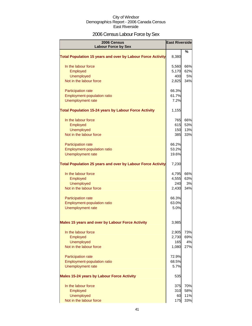### 2006 Census Labour Force by Sex

| 2006 Census<br><b>Labour Force by Sex</b>                          | <b>East Riverside</b> |     |
|--------------------------------------------------------------------|-----------------------|-----|
| <b>Total Population 15 years and over by Labour Force Activity</b> | 8,380                 | %   |
| In the labour force                                                | 5,560                 | 66% |
| Employed                                                           | 5,170                 | 62% |
| <b>Unemployed</b>                                                  | 400                   | 5%  |
| Not in the labour force                                            | 2,825                 | 34% |
| <b>Participation rate</b>                                          | 66.3%                 |     |
| Employment-population ratio                                        | 61.7%                 |     |
| Unemployment rate                                                  | 7.2%                  |     |
| <b>Total Population 15-24 years by Labour Force Activity</b>       | 1,155                 |     |
| In the labour force                                                | 765                   | 66% |
| Employed                                                           | 615                   | 53% |
| <b>Unemployed</b>                                                  | 150                   | 13% |
| Not in the labour force                                            | 385                   | 33% |
| Participation rate                                                 | 66.2%                 |     |
| Employment-population ratio                                        | 53.2%                 |     |
| Unemployment rate                                                  | 19.6%                 |     |
| <b>Total Population 25 years and over by Labour Force Activity</b> | 7,230                 |     |
| In the labour force                                                | 4,795                 | 66% |
| Employed                                                           | 4,555                 | 63% |
| <b>Unemployed</b>                                                  | 240                   | 3%  |
| Not in the labour force                                            | 2,430                 | 34% |
| <b>Participation rate</b>                                          | 66.3%                 |     |
| Employment-population ratio                                        | 63.0%                 |     |
| Unemployment rate                                                  | 5.0%                  |     |
| <b>Males 15 years and over by Labour Force Activity</b>            | 3,985                 |     |
| In the labour force                                                | 2,905                 | 73% |
| Employed                                                           | 2,730                 | 69% |
| <b>Unemployed</b>                                                  | 165                   | 4%  |
| Not in the labour force                                            | 1,080                 | 27% |
| <b>Participation rate</b>                                          | 72.9%                 |     |
| Employment-population ratio                                        | 68.5%                 |     |
| <b>Unemployment rate</b>                                           | 5.7%                  |     |
| <b>Males 15-24 years by Labour Force Activity</b>                  | 535                   |     |
| In the labour force                                                | 375                   | 70% |
| Employed                                                           | 310                   | 58% |
| <b>Unemployed</b>                                                  | 60                    | 11% |
| Not in the labour force                                            | 175                   | 33% |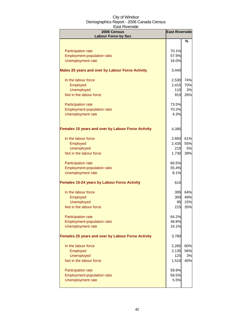| 2006 Census<br><b>Labour Force by Sex</b>                 | <b>East Riverside</b> |     |
|-----------------------------------------------------------|-----------------------|-----|
|                                                           |                       | %   |
| <b>Participation rate</b>                                 | 70.1%                 |     |
| <b>Employment-population ratio</b>                        | 57.9%                 |     |
| <b>Unemployment rate</b>                                  | 16.0%                 |     |
|                                                           |                       |     |
| <b>Males 25 years and over by Labour Force Activity</b>   | 3,440                 |     |
| In the labour force                                       | 2,530                 | 74% |
| Employed                                                  | 2,415                 | 70% |
| <b>Unemployed</b>                                         | 110                   | 3%  |
| Not in the labour force                                   | 910                   | 26% |
| Participation rate                                        | 73.5%                 |     |
| Employment-population ratio                               | 70.2%                 |     |
| <b>Unemployment rate</b>                                  | 4.3%                  |     |
|                                                           |                       |     |
| <b>Females 15 years and over by Labour Force Activity</b> | 4,395                 |     |
| In the labour force                                       | 2,660                 | 61% |
| Employed                                                  | 2,435                 | 55% |
| <b>Unemployed</b>                                         | 215                   | 5%  |
| Not in the labour force                                   | 1,730                 | 39% |
|                                                           |                       |     |
| Participation rate                                        | 60.5%                 |     |
| Employment-population ratio                               | 55.4%                 |     |
| <b>Unemployment rate</b>                                  | 8.1%                  |     |
| <b>Females 15-24 years by Labour Force Activity</b>       | 615                   |     |
| In the labour force                                       | 395                   | 64% |
| Employed                                                  | 300                   | 49% |
| <b>Unemployed</b>                                         | 95                    | 15% |
| Not in the labour force                                   | 215                   | 35% |
| Participation rate                                        | 64.2%                 |     |
| <b>Employment-population ratio</b>                        | 48.8%                 |     |
| Unemployment rate                                         | 24.1%                 |     |
| Females 25 years and over by Labour Force Activity        | 3,780                 |     |
| In the labour force                                       | 2,265                 | 60% |
| Employed                                                  | 2,135                 | 56% |
| <b>Unemployed</b>                                         | 125                   | 3%  |
| Not in the labour force                                   | 1,510                 | 40% |
|                                                           |                       |     |
| Participation rate                                        | 59.9%                 |     |
| Employment-population ratio                               | 56.5%                 |     |
| <b>Unemployment rate</b>                                  | 5.5%                  |     |
|                                                           |                       |     |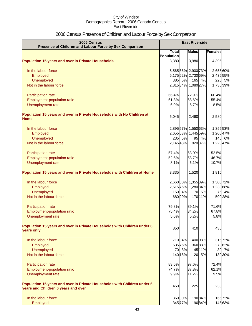# 2006 Census Presence of Children and Labour Force by Sex Comparison

| 2006 Census<br>Presence of Children and Labour Force by Sex Comparison                                          | <b>East Riverside</b> |         |                     |         |           |
|-----------------------------------------------------------------------------------------------------------------|-----------------------|---------|---------------------|---------|-----------|
|                                                                                                                 | <b>Total</b>          |         | <b>Males</b>        |         | Females   |
|                                                                                                                 | <b>Population</b>     |         |                     |         |           |
| <b>Population 15 years and over in Private Households</b>                                                       | 8,380                 |         | 3,980               |         | 4,395     |
| In the labour force                                                                                             |                       |         | 5,565 66% 2,900 73% |         | 2,655 60% |
| Employed                                                                                                        |                       |         | 5,17562% 2,73069%   |         | 2,435 55% |
| <b>Unemployed</b>                                                                                               |                       | 385 5%  | 165                 | 4%      | 225 5%    |
| Not in the labour force                                                                                         |                       |         | 2,81534% 1,080 27%  |         | 1,735 39% |
| Participation rate                                                                                              | 66.4%                 |         | 72.9%               |         | 60.4%     |
| Employment-population ratio                                                                                     | 61.8%                 |         | 68.6%               |         | 55.4%     |
| Unemployment rate                                                                                               | 6.9%                  |         | 5.7%                |         | 8.5%      |
| Population 15 years and over in Private Households with No Children at<br>Home                                  | 5,045                 |         | 2,460               |         | 2,580     |
| In the labour force                                                                                             |                       |         | 2,895 57% 1,550 63% |         | 1,355 53% |
| Employed                                                                                                        |                       |         | 2,655 53% 1,445 59% |         | 1,20547%  |
| Unemployed                                                                                                      |                       | 235 5%  | 95                  | 4%      | 145 6%    |
| Not in the labour force                                                                                         | 2,14543%              |         |                     | 92037%  | 1,220 47% |
|                                                                                                                 |                       |         |                     |         |           |
| Participation rate                                                                                              | 57.4%                 |         | 63.0%               |         | 52.5%     |
| Employment-population ratio                                                                                     | 52.6%                 |         | 58.7%               |         | 46.7%     |
| Unemployment rate                                                                                               | 8.1%                  |         | 6.1%                |         | 10.7%     |
| Population 15 years and over in Private Households with Children at Home                                        | 3,335                 |         | 1,520               |         | 1,815     |
| In the labour force                                                                                             |                       |         | 2,66080% 1,35589%   |         | 1,300 72% |
| Employed                                                                                                        |                       |         | 2,515 75% 1,280 84% |         | 1,230 68% |
| <b>Unemployed</b>                                                                                               |                       | 150 4%  | 70                  | 5%      | 75<br>4%  |
| Not in the labour force                                                                                         |                       | 680 20% |                     | 17011%  | 500 28%   |
| Participation rate                                                                                              | 79.8%                 |         | 89.1%               |         | 71.6%     |
| Employment-population ratio                                                                                     | 75.4%                 |         | 84.2%               |         | 67.8%     |
| Unemployment rate                                                                                               | 5.6%                  |         | 5.2%                |         | 5.8%      |
| Population 15 years and over in Private Households with Children under 6<br>years only                          | 850                   |         | 410                 |         | 435       |
| In the labour force                                                                                             |                       | 71084%  |                     | 400 98% | 31572%    |
| Employed                                                                                                        |                       | 635 75% |                     | 36088%  | 27062%    |
| Unemployed                                                                                                      |                       | 70 8%   |                     | 45 11%  | 30 7%     |
| Not in the labour force                                                                                         |                       | 140 16% |                     | 20 5%   | 130 30%   |
| Participation rate                                                                                              | 83.5%                 |         | 97.6%               |         | 72.4%     |
| <b>Employment-population ratio</b>                                                                              | 74.7%                 |         | 87.8%               |         | 62.1%     |
| Unemployment rate                                                                                               | 9.9%                  |         | 11.2%               |         | 9.5%      |
| Population 15 years and over in Private Households with Children under 6<br>years and Children 6 years and over | 450                   |         | 225                 |         | 230       |
| In the labour force                                                                                             |                       | 36080%  |                     | 19084%  | 16572%    |
| Employed                                                                                                        |                       | 345 77% |                     | 19084%  | 14563%    |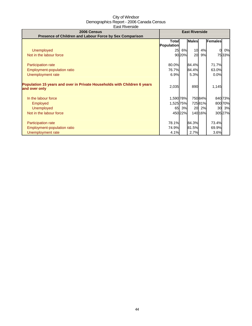| 2006 Census<br>Presence of Children and Labour Force by Sex Comparison                    | <b>East Riverside</b>             |        |              |         |                |    |
|-------------------------------------------------------------------------------------------|-----------------------------------|--------|--------------|---------|----------------|----|
|                                                                                           | <b>Total</b><br><b>Population</b> |        | <b>Males</b> |         | <b>Females</b> |    |
| Unemployed                                                                                | 25                                | 6%     | 10           | 4%      | 0l             | 0% |
| Not in the labour force                                                                   |                                   | 90 20% | 20           | 9%      | 7533%          |    |
|                                                                                           |                                   |        |              |         |                |    |
| <b>Participation rate</b>                                                                 | 80.0%                             |        | 84.4%        |         | 71.7%          |    |
| Employment-population ratio                                                               | 76.7%                             |        | 84.4%        |         | 63.0%          |    |
| Unemployment rate                                                                         | 6.9%                              |        | 5.3%         |         | 0.0%           |    |
| Population 15 years and over in Private Households with Children 6 years<br>and over only | 2,035                             |        | 890          |         | 1,145          |    |
| In the labour force                                                                       | 1,590 78%                         |        |              | 750 84% | 840 73%        |    |
| <b>Employed</b>                                                                           | 1,525 75%                         |        |              | 72581%  | 800 70%        |    |
| <b>Unemployed</b>                                                                         |                                   | 65 3%  | 20           | 2%      | 30 3%          |    |
| Not in the labour force                                                                   |                                   | 45022% |              | 14016%  | 305 27%        |    |
| Participation rate                                                                        | 78.1%                             |        | 84.3%        |         | 73.4%          |    |
| Employment-population ratio                                                               | 74.9%                             |        | 81.5%        |         | 69.9%          |    |
| Unemployment rate                                                                         | 4.1%                              |        | 2.7%         |         | 3.6%           |    |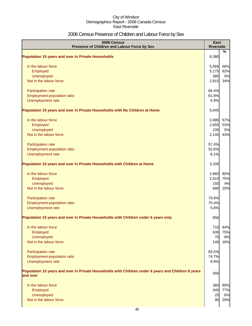### 2006 Census Presence of Children and Labour Force by Sex

| 2006 Census<br>Presence of Children and Labour Force by Sex                                                     | <b>East</b><br><b>Riverside</b> |           |
|-----------------------------------------------------------------------------------------------------------------|---------------------------------|-----------|
| <b>Population 15 years and over in Private Households</b>                                                       | 8,380                           | $\%$      |
|                                                                                                                 |                                 |           |
| In the labour force                                                                                             | 5,565                           | 66%       |
| Employed<br>Unemployed                                                                                          | 5,175<br>385                    | 62%<br>5% |
| Not in the labour force                                                                                         | 2,815                           | 34%       |
|                                                                                                                 |                                 |           |
| Participation rate                                                                                              | 66.4%                           |           |
| Employment-population ratio                                                                                     | 61.8%                           |           |
| Unemployment rate                                                                                               | 6.9%                            |           |
| Population 15 years and over in Private Households with No Children at Home                                     | 5,045                           |           |
| In the labour force                                                                                             | 2,895                           | 57%       |
| Employed                                                                                                        | 2,655                           | 53%       |
| Unemployed                                                                                                      | 235                             | 5%        |
| Not in the labour force                                                                                         | 2,145                           | 43%       |
| Participation rate                                                                                              | 57.4%                           |           |
| Employment-population ratio                                                                                     | 52.6%                           |           |
| Unemployment rate                                                                                               | 8.1%                            |           |
| Population 15 years and over in Private Households with Children at Home                                        | 3,335                           |           |
| In the labour force                                                                                             | 2,660                           | 80%       |
| Employed                                                                                                        | 2,515                           | 75%       |
| Unemployed                                                                                                      | 150                             | 4%        |
| Not in the labour force                                                                                         | 680                             | 20%       |
| Participation rate                                                                                              | 79.8%                           |           |
| Employment-population ratio                                                                                     | 75.4%                           |           |
| Unemployment rate                                                                                               | 5.6%                            |           |
| Population 15 years and over in Private Households with Children under 6 years only                             | 850                             |           |
| In the labour force                                                                                             | 710                             | 84%       |
| Employed                                                                                                        | 635                             | 75%       |
| Unemployed                                                                                                      | 70                              | 8%        |
| Not in the labour force                                                                                         | 140                             | 16%       |
| Participation rate                                                                                              | 83.5%                           |           |
| Employment-population ratio                                                                                     | 74.7%                           |           |
| Unemployment rate                                                                                               | 9.9%                            |           |
| Population 15 years and over in Private Households with Children under 6 years and Children 6 years<br>and over | 450                             |           |
|                                                                                                                 |                                 |           |
| In the labour force                                                                                             | 360                             | 80%       |
| Employed                                                                                                        | 345                             | 77%       |
| Unemployed                                                                                                      | 25                              | 6%        |
| Not in the labour force                                                                                         | 90                              | 20%       |
|                                                                                                                 |                                 |           |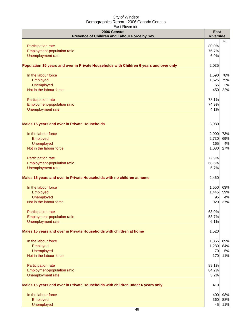| 2006 Census<br>Presence of Children and Labour Force by Sex                            | East<br><b>Riverside</b> |
|----------------------------------------------------------------------------------------|--------------------------|
|                                                                                        | %                        |
| Participation rate                                                                     | 80.0%                    |
| Employment-population ratio                                                            | 76.7%                    |
| Unemployment rate                                                                      | 6.9%                     |
| Population 15 years and over in Private Households with Children 6 years and over only | 2,035                    |
| In the labour force                                                                    | 78%<br>1,590             |
| Employed                                                                               | 1,525<br>75%             |
| Unemployed                                                                             | 3%<br>65                 |
| Not in the labour force                                                                | 450<br>22%               |
| Participation rate                                                                     | 78.1%                    |
| Employment-population ratio                                                            | 74.9%                    |
| Unemployment rate                                                                      | 4.1%                     |
|                                                                                        |                          |
| Males 15 years and over in Private Households                                          | 3,980                    |
| In the labour force                                                                    | 73%<br>2,900             |
| Employed                                                                               | 69%<br>2,730             |
| Unemployed                                                                             | 165<br>4%                |
| Not in the labour force                                                                | 1,080<br>27%             |
| Participation rate                                                                     | 72.9%                    |
| Employment-population ratio                                                            | 68.6%                    |
| Unemployment rate                                                                      | 5.7%                     |
| Males 15 years and over in Private Households with no children at home                 | 2,460                    |
| In the labour force                                                                    | 63%<br>1,550             |
| Employed                                                                               | 1,445<br>59%             |
| Unemployed                                                                             | 4%<br>95                 |
| Not in the labour force                                                                | 920<br>37%               |
| <b>Participation rate</b>                                                              | 63.0%                    |
| Employment-population ratio                                                            | 58.7%                    |
| Unemployment rate                                                                      | 6.1%                     |
| Males 15 years and over in Private Households with children at home                    | 1,520                    |
| In the labour force                                                                    | 89%<br>1,355             |
| Employed                                                                               | 1,280<br>84%             |
| Unemployed                                                                             | 5%<br>70                 |
| Not in the labour force                                                                | 170<br>11%               |
| Participation rate                                                                     | 89.1%                    |
| Employment-population ratio                                                            | 84.2%                    |
| Unemployment rate                                                                      | 5.2%                     |
| Males 15 years and over in Private Households with children under 6 years only         | 410                      |
| In the labour force                                                                    | 98%<br>400               |
| Employed                                                                               | 88%<br>360               |
| Unemployed                                                                             | 11%<br>45                |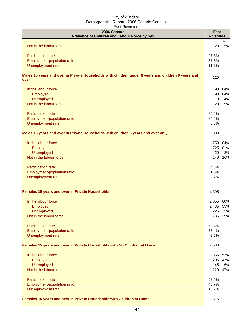| 2006 Census<br>Presence of Children and Labour Force by Sex                                                | <b>East</b><br><b>Riverside</b> |         |
|------------------------------------------------------------------------------------------------------------|---------------------------------|---------|
| Not in the labour force                                                                                    | 20                              | %<br>5% |
|                                                                                                            |                                 |         |
| Participation rate                                                                                         | 97.6%                           |         |
| Employment-population ratio                                                                                | 87.8%                           |         |
| Unemployment rate                                                                                          | 11.2%                           |         |
| Males 15 years and over in Private Households with children under 6 years and children 6 years and<br>over | 225                             |         |
| In the labour force                                                                                        | 190                             | 84%     |
| Employed                                                                                                   | 190                             | 84%     |
| Unemployed                                                                                                 | 10                              | 4%      |
| Not in the labour force                                                                                    | 20                              | 9%      |
| Participation rate                                                                                         | 84.4%                           |         |
| Employment-population ratio                                                                                | 84.4%                           |         |
| Unemployment rate                                                                                          | 5.3%                            |         |
| Males 15 years and over in Private Households with children 6 years and over only                          | 890                             |         |
| In the labour force                                                                                        | 750                             | 84%     |
| Employed                                                                                                   | 725                             | 81%     |
| Unemployed                                                                                                 | 20                              | 2%      |
| Not in the labour force                                                                                    | 140                             | 16%     |
| Participation rate                                                                                         | 84.3%                           |         |
| Employment-population ratio                                                                                | 81.5%                           |         |
| Unemployment rate                                                                                          | 2.7%                            |         |
| Females 15 years and over in Private Households                                                            | 4,395                           |         |
| In the labour force                                                                                        | 2,655                           | 60%     |
| Employed                                                                                                   | 2,435                           | 55%     |
| Unemployed                                                                                                 | 225                             | 5%      |
| Not in the labour force                                                                                    | 1,735                           | 39%     |
| Participation rate                                                                                         | 60.4%                           |         |
| Employment-population ratio                                                                                | 55.4%                           |         |
| Unemployment rate                                                                                          | 8.5%                            |         |
| Females 15 years and over in Private Households with No Children at Home                                   | 2,580                           |         |
| In the labour force                                                                                        | 1,355                           | 53%     |
| Employed                                                                                                   | 1,205                           | 47%     |
| Unemployed                                                                                                 | 145                             | 6%      |
| Not in the labour force                                                                                    | 1,220                           | 47%     |
| Participation rate                                                                                         | 52.5%                           |         |
| Employment-population ratio                                                                                | 46.7%                           |         |
| Unemployment rate                                                                                          | 10.7%                           |         |
| Females 15 years and over in Private Households with Children at Home                                      | 1,815                           |         |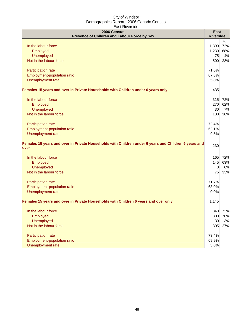| Laji Nivcijiya<br>2006 Census                                                                                | East             |           |
|--------------------------------------------------------------------------------------------------------------|------------------|-----------|
| Presence of Children and Labour Force by Sex                                                                 | <b>Riverside</b> |           |
| In the labour force                                                                                          | 1,300            | %<br>72%  |
| Employed                                                                                                     | 1,230            | 68%       |
| Unemployed                                                                                                   | 75               | 4%        |
| Not in the labour force                                                                                      | 500              | 28%       |
|                                                                                                              |                  |           |
| Participation rate                                                                                           | 71.6%            |           |
| Employment-population ratio                                                                                  | 67.8%            |           |
| Unemployment rate                                                                                            | 5.8%             |           |
| Females 15 years and over in Private Households with Children under 6 years only                             | 435              |           |
| In the labour force                                                                                          | 315              | 72%       |
| Employed                                                                                                     | 270              | 62%       |
| Unemployed                                                                                                   | 30               | 7%        |
| Not in the labour force                                                                                      | 130              | 30%       |
|                                                                                                              |                  |           |
| Participation rate                                                                                           | 72.4%            |           |
| Employment-population ratio                                                                                  | 62.1%<br>9.5%    |           |
| Unemployment rate                                                                                            |                  |           |
| Females 15 years and over in Private Households with Children under 6 years and Children 6 years and<br>over | 230              |           |
|                                                                                                              |                  |           |
| In the labour force                                                                                          | 165              | 72%       |
| Employed                                                                                                     | 145              | 63%       |
| <b>Unemployed</b>                                                                                            | $\overline{0}$   | 0%        |
| Not in the labour force                                                                                      | 75               | 33%       |
| Participation rate                                                                                           | 71.7%            |           |
| Employment-population ratio                                                                                  | 63.0%            |           |
| Unemployment rate                                                                                            | 0.0%             |           |
| Females 15 years and over in Private Households with Children 6 years and over only                          | 1,145            |           |
|                                                                                                              |                  |           |
| In the labour force                                                                                          |                  | 840 73%   |
| Employed<br><b>Unemployed</b>                                                                                | 800<br>30        | 70%<br>3% |
| Not in the labour force                                                                                      | 305              | 27%       |
|                                                                                                              |                  |           |
| Participation rate                                                                                           | 73.4%            |           |
| Employment-population ratio                                                                                  | 69.9%            |           |
| Unemployment rate                                                                                            | 3.6%             |           |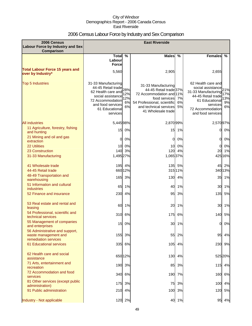### 2006 Census Labour Force by Industry and Sex Comparison

| 2006 Census<br><b>Labour Force by Industry and Sex</b><br><b>Comparison</b>    |                                                                                                                                                        |                        | <b>East Riverside</b>                                                                                                                                                     |                   |                                                                                                                                                             |                               |
|--------------------------------------------------------------------------------|--------------------------------------------------------------------------------------------------------------------------------------------------------|------------------------|---------------------------------------------------------------------------------------------------------------------------------------------------------------------------|-------------------|-------------------------------------------------------------------------------------------------------------------------------------------------------------|-------------------------------|
|                                                                                | Total $\overline{\%}$<br>Labour                                                                                                                        |                        | <b>Males</b>                                                                                                                                                              | $\frac{9}{6}$     | <b>Females</b>                                                                                                                                              | %                             |
| <b>Total Labour Force 15 years and</b><br>over by Industry*                    | <b>Force</b><br>5,560                                                                                                                                  |                        | 2,905                                                                                                                                                                     |                   | 2,655                                                                                                                                                       |                               |
| <b>Top 5 Industries</b>                                                        | 31-33 Manufacturing<br>-33 March 28%<br>62 Health care and<br>social assistance<br>72 Accommodation<br>and food services<br>61 Educational<br>services | 12%<br>12%<br>6%<br>6% | 31-33 Manufacturing<br>44-45 Retail trade 37%<br>72 Accommodation and 11%<br>food services<br>54 Professional, scientific<br>and technical services<br>41 Wholesale trade | 7%<br>6%<br>5%    | 62 Health care and<br>social assistance<br>31-33 Manufacturing<br>44-45 Retail trade<br>61 Educational<br>services<br>72 Accommodation<br>and food services | 21%<br>17%<br>13%<br>9%<br>6% |
| <b>All industries</b>                                                          | 5,445 98%                                                                                                                                              |                        | 2,870 99%                                                                                                                                                                 |                   | 2,570 97%                                                                                                                                                   |                               |
| 11 Agriculture, forestry, fishing<br>and hunting                               |                                                                                                                                                        | 15 0%                  | 15                                                                                                                                                                        | 1%                | 01                                                                                                                                                          | 0%                            |
| 21 Mining and oil and gas<br>extraction                                        | $\mathbf 0$                                                                                                                                            | 0%                     | 0l                                                                                                                                                                        | 0%                | 0                                                                                                                                                           | 0%                            |
| <b>22 Utilities</b>                                                            | 10                                                                                                                                                     | 0%                     | 10                                                                                                                                                                        | 0%                | 0                                                                                                                                                           | 0%                            |
| 23 Construction                                                                |                                                                                                                                                        | 140 3%                 | 120                                                                                                                                                                       | 4%                | 20                                                                                                                                                          | 1%                            |
| 31-33 Manufacturing                                                            | 1,495 27%                                                                                                                                              |                        | 1,065 37%                                                                                                                                                                 |                   |                                                                                                                                                             | 425 16%                       |
| 41 Wholesale trade<br>44-45 Retail trade                                       |                                                                                                                                                        | 195 4%<br>66012%       |                                                                                                                                                                           | 135 5%<br>315 11% |                                                                                                                                                             | 45 2%<br>340 13%              |
| 48-49 Transportation and<br>warehousing                                        | 165                                                                                                                                                    | 3%                     |                                                                                                                                                                           | 130 4%            | 35                                                                                                                                                          | 1%                            |
| 51 Information and cultural<br>industries                                      |                                                                                                                                                        | 65 1%                  | 40                                                                                                                                                                        | 1%                | 30                                                                                                                                                          | 1%                            |
| 52 Finance and insurance                                                       |                                                                                                                                                        | 230 4%                 | 95                                                                                                                                                                        | 3%                | 135                                                                                                                                                         | 5%                            |
| 53 Real estate and rental and<br>leasing                                       | 60                                                                                                                                                     | 1%                     | 20                                                                                                                                                                        | 1%                | 30                                                                                                                                                          | 1%                            |
| 54 Professional, scientific and<br>technical services                          |                                                                                                                                                        | 310 6%                 | 175                                                                                                                                                                       | 6%                | 140                                                                                                                                                         | 5%                            |
| 55 Management of companies<br>and enterprises                                  |                                                                                                                                                        | 15 0%                  |                                                                                                                                                                           | 30 1%             | 0I                                                                                                                                                          | -0%                           |
| 56 Administrative and support,<br>waste management and<br>remediation services | 155                                                                                                                                                    | 3%                     | 55                                                                                                                                                                        | 2%                | 95                                                                                                                                                          | 4%                            |
| 61 Educational services                                                        |                                                                                                                                                        | 335 6%                 |                                                                                                                                                                           | 105 4%            | 230                                                                                                                                                         | 9%                            |
| 62 Health care and social<br>assistance                                        |                                                                                                                                                        | 65012%                 |                                                                                                                                                                           | 130 4%            |                                                                                                                                                             | 525 20%                       |
| 71 Arts, entertainment and<br>recreation                                       |                                                                                                                                                        | 190 3%                 | 85                                                                                                                                                                        | 3%                |                                                                                                                                                             | 115 4%                        |
| 72 Accommodation and food<br>services                                          |                                                                                                                                                        | 340 6%                 |                                                                                                                                                                           | 190 7%            | 160                                                                                                                                                         | 6%                            |
| 81 Other services (except public<br>administration)                            |                                                                                                                                                        | 175 3%                 | 75                                                                                                                                                                        | 3%                | 100                                                                                                                                                         | 4%                            |
| 91 Public administration                                                       |                                                                                                                                                        | 210 4%                 |                                                                                                                                                                           | 100 3%            | 120                                                                                                                                                         | 5%                            |
| Industry - Not applicable                                                      |                                                                                                                                                        | 120 2%                 |                                                                                                                                                                           | 40 1%             |                                                                                                                                                             | 95 4%                         |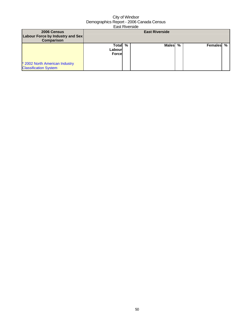| 2006 Census<br>Labour Force by Industry and Sex<br><b>Comparison</b> |                                    | <b>East Riverside</b> |           |  |
|----------------------------------------------------------------------|------------------------------------|-----------------------|-----------|--|
| * 2002 North American Industry<br><b>Classification System</b>       | Total %<br>Labourl<br><b>Force</b> | Males %               | Females % |  |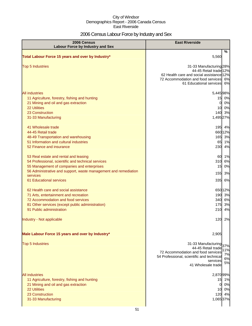### 2006 Census Labour Force by Industry and Sex

| 2006 Census<br><b>Labour Force by Industry and Sex</b>                                                                                                                                                                                                     | <b>East Riverside</b>                                                                                                                                                                         |
|------------------------------------------------------------------------------------------------------------------------------------------------------------------------------------------------------------------------------------------------------------|-----------------------------------------------------------------------------------------------------------------------------------------------------------------------------------------------|
| Total Labour Force 15 years and over by Industry*                                                                                                                                                                                                          | %<br>5,560                                                                                                                                                                                    |
| <b>Top 5 Industries</b>                                                                                                                                                                                                                                    | 31-33 Manufacturing 28%<br>44-45 Retail trade 12%<br>62 Health care and social assistance 12%<br>72 Accommodation and food services<br>6%<br>61 Educational services 6%                       |
| <b>All industries</b><br>11 Agriculture, forestry, fishing and hunting<br>21 Mining and oil and gas extraction<br>22 Utilities<br>23 Construction<br>31-33 Manufacturing                                                                                   | 5,44598%<br>0%<br>15<br>0%<br>0<br>0%<br>10 <sub>l</sub><br>140 3%<br>1,495 27%                                                                                                               |
| 41 Wholesale trade<br>44-45 Retail trade<br>48-49 Transportation and warehousing<br>51 Information and cultural industries<br>52 Finance and insurance                                                                                                     | 195 4%<br>66012%<br>165 3%<br>65 1%<br>230<br>4%                                                                                                                                              |
| 53 Real estate and rental and leasing<br>54 Professional, scientific and technical services<br>55 Management of companies and enterprises<br>56 Administrative and support, waste management and remediation<br>services<br><b>61 Educational services</b> | 60<br>1%<br>6%<br>310<br>0%<br>15<br>155<br>3%<br>335<br>6%                                                                                                                                   |
| 62 Health care and social assistance<br>71 Arts, entertainment and recreation<br>72 Accommodation and food services<br>81 Other services (except public administration)<br>91 Public administration                                                        | 65012%<br>190<br>3%<br>340 6%<br>3%<br>175<br>4%<br>210                                                                                                                                       |
| Industry - Not applicable                                                                                                                                                                                                                                  | 2%<br>120                                                                                                                                                                                     |
| Male Labour Force 15 years and over by Industry*                                                                                                                                                                                                           | 2,905                                                                                                                                                                                         |
| <b>Top 5 Industries</b>                                                                                                                                                                                                                                    | 31-33 Manufacturing<br>37%<br>44-45 Retail trade<br>1%<br>72 Accommodation and food services<br>7%<br>54 Professional, scientific and technical<br>6%<br>services<br>5%<br>41 Wholesale trade |
| <b>All industries</b><br>11 Agriculture, forestry, fishing and hunting<br>21 Mining and oil and gas extraction<br>22 Utilities<br>23 Construction<br>31-33 Manufacturing                                                                                   | 2,870 99%<br>15<br>1%<br>0%<br>$\Omega$<br>0%<br>10<br>4%<br>120<br>1,065 37%                                                                                                                 |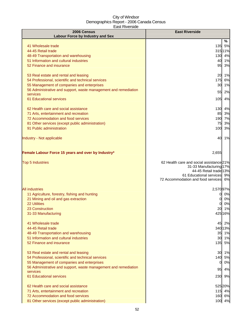| 2006 Census                                                                    | <b>East Riverside</b>                             |
|--------------------------------------------------------------------------------|---------------------------------------------------|
| <b>Labour Force by Industry and Sex</b>                                        |                                                   |
|                                                                                | ℅                                                 |
| 41 Wholesale trade<br>44-45 Retail trade                                       | 135 5%                                            |
|                                                                                | 315 11%                                           |
| 48-49 Transportation and warehousing<br>51 Information and cultural industries | 130 4%<br>40 1%                                   |
| 52 Finance and insurance                                                       | 95 3%                                             |
|                                                                                |                                                   |
| 53 Real estate and rental and leasing                                          | 20 1%                                             |
| 54 Professional, scientific and technical services                             | 175 6%                                            |
| 55 Management of companies and enterprises                                     | 30 1%                                             |
| 56 Administrative and support, waste management and remediation                | 55<br>2%                                          |
| services                                                                       |                                                   |
| 61 Educational services                                                        | 105 4%                                            |
| 62 Health care and social assistance                                           | 130 4%                                            |
| 71 Arts, entertainment and recreation                                          | 85 3%                                             |
| 72 Accommodation and food services                                             | 190 7%                                            |
| 81 Other services (except public administration)                               | 3%<br>75                                          |
| 91 Public administration                                                       | 3%<br>100                                         |
| Industry - Not applicable                                                      | 40 1%                                             |
|                                                                                |                                                   |
| Female Labour Force 15 years and over by Industry*                             | 2,655                                             |
| <b>Top 5 Industries</b>                                                        | 62 Health care and social assistance 21%          |
|                                                                                | 31-33 Manufacturing 17%<br>44-45 Retail trade 13% |
|                                                                                | 61 Educational services 9%                        |
|                                                                                | 72 Accommodation and food services 6%             |
|                                                                                |                                                   |
| <b>All industries</b>                                                          | 2,570 97%                                         |
| 11 Agriculture, forestry, fishing and hunting                                  | 0%<br>01                                          |
| 21 Mining and oil and gas extraction<br>22 Utilities                           | 0%<br>0                                           |
| 23 Construction                                                                | 0%<br>20 1%                                       |
| 31-33 Manufacturing                                                            | 425 16%                                           |
|                                                                                |                                                   |
| 41 Wholesale trade                                                             | 45 2%                                             |
| 44-45 Retail trade                                                             | 34013%                                            |
| 48-49 Transportation and warehousing                                           | 35 1%                                             |
| 51 Information and cultural industries                                         | 30 1%                                             |
| 52 Finance and insurance                                                       | 135 5%                                            |
| 53 Real estate and rental and leasing                                          | 30 1%                                             |
| 54 Professional, scientific and technical services                             | 140 5%                                            |
| 55 Management of companies and enterprises                                     | 0%<br>0                                           |
| 56 Administrative and support, waste management and remediation                |                                                   |
| services                                                                       | 4%<br>95                                          |
| 61 Educational services                                                        | 230<br>9%                                         |
| 62 Health care and social assistance                                           | 525 20%                                           |
| 71 Arts, entertainment and recreation                                          | 115 4%                                            |
| 72 Accommodation and food services                                             | 160 6%                                            |
| 81 Other services (except public administration)                               | 100 4%                                            |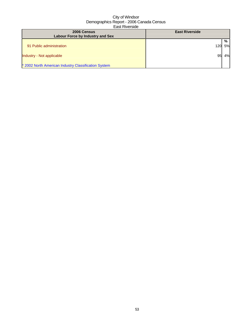| 2006 Census<br><b>Labour Force by Industry and Sex</b> | <b>East Riverside</b> |    |
|--------------------------------------------------------|-----------------------|----|
|                                                        |                       | %  |
| 91 Public administration                               | 120                   | 5% |
| Industry - Not applicable                              | 95                    | 4% |
| * 2002 North American Industry Classification System   |                       |    |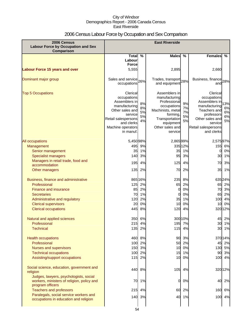### 2006 Census Labour Force by Occupation and Sex Comparison

| 2006 Census<br><b>Labour Force by Occupation and Sex</b><br><b>Comparison</b>                                                                                                                      |                                                                                                                                                                |                                             | <b>East Riverside</b>                                                                                                                                       |                                        |                                                                                                                                                            |                             |
|----------------------------------------------------------------------------------------------------------------------------------------------------------------------------------------------------|----------------------------------------------------------------------------------------------------------------------------------------------------------------|---------------------------------------------|-------------------------------------------------------------------------------------------------------------------------------------------------------------|----------------------------------------|------------------------------------------------------------------------------------------------------------------------------------------------------------|-----------------------------|
|                                                                                                                                                                                                    | <b>Total</b>                                                                                                                                                   | $\frac{0}{0}$                               | <b>Males</b>                                                                                                                                                | $\frac{0}{0}$                          | <b>Females</b>                                                                                                                                             | %                           |
|                                                                                                                                                                                                    | Labour                                                                                                                                                         |                                             |                                                                                                                                                             |                                        |                                                                                                                                                            |                             |
|                                                                                                                                                                                                    | <b>Force</b>                                                                                                                                                   |                                             |                                                                                                                                                             |                                        |                                                                                                                                                            |                             |
| <b>Labour Force 15 years and over</b>                                                                                                                                                              | 5,555                                                                                                                                                          |                                             | 2,895                                                                                                                                                       |                                        | 2,660                                                                                                                                                      |                             |
| Dominant major group                                                                                                                                                                               | Sales and service 26%<br>occupations                                                                                                                           |                                             | Trades, transport 28%<br>and equipment                                                                                                                      |                                        | Business, finance 28%<br>and                                                                                                                               |                             |
| <b>Top 5 Occupations</b>                                                                                                                                                                           | Clerical<br>occupations<br>Assemblers in<br>manufacturing<br>Other sales and<br>service<br>Retail salespersons<br>and clerks<br>Machine operators<br>in manuf. | 8%<br>8%<br>5%<br>5%<br>4%                  | Assemblers in<br>manufacturing<br>Professional<br>occupations<br>Machinists, metal<br>forming,<br>Transportation<br>equipment<br>Other sales and<br>service | 9%<br>7%<br>7%<br>5%<br>5%             | Clerical<br>occupations<br>Assemblers in<br>manufacturing<br>Teachers and<br>professors<br>Other sales and<br>service<br>Retail salespersons<br>and clerks | 13%<br>6%<br>6%<br>6%<br>5% |
| All occupations                                                                                                                                                                                    | 5,450 98%                                                                                                                                                      |                                             | 2,865 99%                                                                                                                                                   |                                        | 2,575 97%                                                                                                                                                  |                             |
| Management                                                                                                                                                                                         | 495                                                                                                                                                            | 9%                                          |                                                                                                                                                             | 335 12%                                | 155 6%                                                                                                                                                     |                             |
| Senior management                                                                                                                                                                                  | 35                                                                                                                                                             | 1%                                          | 35                                                                                                                                                          | 1%                                     | 0                                                                                                                                                          | 0%                          |
| <b>Specialist managers</b>                                                                                                                                                                         | 140                                                                                                                                                            | 3%                                          | 95                                                                                                                                                          | 3%                                     | 30                                                                                                                                                         | 1%                          |
| Managers in retail trade, food and<br>accommodation                                                                                                                                                | 195                                                                                                                                                            | 4%                                          | 125                                                                                                                                                         | 4%                                     | 70                                                                                                                                                         | 3%                          |
| Other managers                                                                                                                                                                                     | 135                                                                                                                                                            | 2%                                          | 70                                                                                                                                                          | 2%                                     | 35                                                                                                                                                         | 1%                          |
| Business, finance and administrative<br>Professional<br>Finance and insurance<br><b>Secretaries</b><br>Administrative and regulatory<br><b>Clerical supervisors</b><br><b>Clerical occupations</b> | 125<br>85<br>70<br>120<br>20<br>445                                                                                                                            | 865 16%<br>2%<br>2%<br>1%<br>2%<br>0%<br>8% | 235<br>65<br>0<br>0<br>35<br>10<br>120                                                                                                                      | 8%<br>2%<br>0%<br>0%<br>1%<br>0%<br>4% | 63524%<br>65<br>70<br>65<br>100<br>10<br>32012%                                                                                                            | 2%<br>3%<br>2%<br>4%<br>0%  |
| Natural and applied sciences                                                                                                                                                                       |                                                                                                                                                                | 350 6%                                      |                                                                                                                                                             | 300 10%                                |                                                                                                                                                            | 45 2%                       |
| Professional                                                                                                                                                                                       | 2151                                                                                                                                                           | 4%                                          | 195                                                                                                                                                         | 7%                                     | 301                                                                                                                                                        | 1%                          |
| <b>Technical</b>                                                                                                                                                                                   | $135$                                                                                                                                                          | 2%                                          | 115                                                                                                                                                         | 4%                                     |                                                                                                                                                            | 30 1%                       |
| <b>Health occupations</b><br>Professional<br>Nurses and supervisors<br><b>Technical occupations</b><br>Assisting/support occupations                                                               | 100<br>100<br>115                                                                                                                                              | 460 8%<br>2%<br>150 3%<br>2%<br>2%          | 90<br>50<br>10<br>15<br>10                                                                                                                                  | 3%<br>2%<br>0%<br>1%<br>0%             | 37014%<br>130 5%<br>100 4%                                                                                                                                 | 45 2%<br>90 3%              |
| Social science, education, government and<br>religion                                                                                                                                              | 440                                                                                                                                                            | 8%                                          | 105                                                                                                                                                         | 4%                                     | 32012%                                                                                                                                                     |                             |
| Judges, lawyers, psychologists, social<br>workers, ministers of religion, policy and<br>program officers                                                                                           | 70                                                                                                                                                             | 1%                                          | 0                                                                                                                                                           | 0%                                     | 40                                                                                                                                                         | 2%                          |
| <b>Teachers and professors</b>                                                                                                                                                                     | 215                                                                                                                                                            | 4%                                          | 60                                                                                                                                                          | 2%                                     | 160                                                                                                                                                        | 6%                          |
| Paralegals, social service workers and<br>occupations in education and religion                                                                                                                    |                                                                                                                                                                | 140 3%                                      | 40                                                                                                                                                          | 1%                                     | 100 4%                                                                                                                                                     |                             |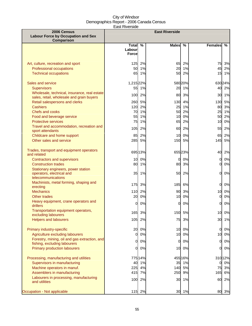| 2006 Census                                                                               |                                     |          | <b>East Riverside</b> |          |                |          |
|-------------------------------------------------------------------------------------------|-------------------------------------|----------|-----------------------|----------|----------------|----------|
| <b>Labour Force by Occupation and Sex</b><br>Comparison                                   |                                     |          |                       |          |                |          |
|                                                                                           | Total %<br>Labourl<br><b>Forcel</b> |          | <b>Males</b>          | %        | Females        | %        |
|                                                                                           |                                     |          |                       |          |                |          |
| Art, culture, recreation and sport<br>Professional occupations                            | 125<br>50                           | 2%<br>1% | 65<br>20              | 2%<br>1% | 75<br>45       | 3%<br>2% |
| <b>Technical occupations</b>                                                              | 65                                  | 1%       | 50                    | 2%       | 15             | 1%       |
|                                                                                           |                                     |          |                       |          |                |          |
| Sales and service                                                                         | 1,215 22%                           |          |                       | 580 20%  |                | 63024%   |
| <b>Supervisors</b>                                                                        | 55                                  | 1%       | 20                    | 1%       | 40             | 2%       |
| Wholesale, technical, insurance, real estate<br>sales, retail, wholesale and grain buyers | 100                                 | 2%       | 80                    | 3%       | 30             | 1%       |
| Retail salespersons and clerks                                                            |                                     | 260 5%   | 130                   | 4%       | 130            | 5%       |
| <b>Cashiers</b>                                                                           | 120                                 | 2%       | 25                    | 1%       | 80             | 3%       |
| <b>Chefs and cooks</b>                                                                    | 70                                  | 1%       | 50                    | 2%       | 25             | 1%       |
| Food and beverage service                                                                 | 55                                  | 1%       | 10                    | 0%       | 50             | 2%       |
| <b>Protective services</b>                                                                | 75                                  | 1%       | 65                    | 2%       | 10             | 0%       |
| Travel and accommodation, recreation and<br>sport attendants                              | 105                                 | 2%       | 60                    | 2%       | 55             | 2%       |
| Childcare and home support                                                                | 85                                  | 2%       | 10                    | 0%       | 65             | 2%       |
| Other sales and service                                                                   | 285                                 | 5%       | 150                   | 5%       | 145            | 5%       |
| Trades, transport and equipment operators<br>and related                                  |                                     | 695 13%  |                       | 65523%   | 40             | 2%       |
| Contractors and supervisors                                                               | 10 <sup>1</sup>                     | 0%       | 0                     | 0%       | $\mathbf{0}$   | 0%       |
| <b>Construction trades</b>                                                                | 80                                  | 1%       | 80                    | 3%       | 0              | 0%       |
| Stationary engineers, power station<br>operators, electrical and<br>telecommunications    | 35                                  | 1%       | 50                    | 2%       | $\mathbf{0}$   | 0%       |
| Machinists, metal forming, shaping and<br>erecting                                        | 175                                 | 3%       | 185                   | 6%       | $\overline{0}$ | 0%       |
| <b>Mechanics</b>                                                                          | 110                                 | 2%       | 90                    | 3%       | 10             | 0%       |
| Other trades                                                                              | 20                                  | 0%       | 10                    | 0%       | 0              | 0%       |
| Heavy equipment, crane operators and<br>drillers                                          | 0l                                  | 0%       | $\Omega$              | 0%       | $\Omega$       | 0%       |
| Transportation equipment operators,<br>excluding labourers                                |                                     | 165 3%   |                       | 150 5%   |                | 10 0%    |
| <b>Helpers and labourers</b>                                                              | 105                                 | 2%       | 75                    | 3%       | 30             | 1%       |
| Primary industry-specific                                                                 | 20                                  | 0%       | 10                    | 0%       | 0              | 0%       |
| Agriculture excluding labourers                                                           | $\overline{0}$                      | 0%       | 10                    | 0%       | 10             | 0%       |
| Forestry, mining, oil and gas extraction, and<br>fishing, excluding labourers             | <sub>0</sub>                        | 0%       | 0                     | 0%       | 0              | 0%       |
| Primary production labourers                                                              | 0l                                  | 0%       | 10                    | 0%       | $\mathbf{0}$   | 0%       |
|                                                                                           |                                     |          |                       |          |                |          |
| Processing, manufacturing and utilities                                                   |                                     | 775 14%  |                       | 455 16%  |                | 31012%   |
| Supervisors in manufacturing                                                              | 40                                  | 1%       | 35                    | 1%       | 0              | 0%       |
| Machine operators in manuf.                                                               | 225                                 | 4%       | 140                   | 5%       | 75             | 3%       |
| Assemblers in manufacturing<br>Labourers in processing, manufacturing                     | 415                                 | 7%       | 250                   | 9%       | 165            | 6%       |
| and utilities                                                                             | 100                                 | 2%       | 30                    | 1%       | 60             | 2%       |
| Occupation - Not applicable                                                               |                                     | 115 2%   |                       | 30 1%    |                | 80 3%    |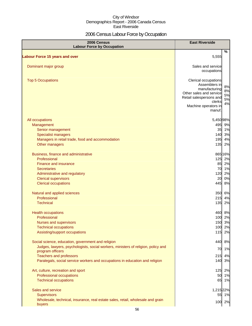### 2006 Census Labour Force by Occupation

| 2006 Census<br><b>Labour Force by Occupation</b>                                                      | <b>East Riverside</b>                    |          |
|-------------------------------------------------------------------------------------------------------|------------------------------------------|----------|
|                                                                                                       |                                          | %        |
| <b>Labour Force 15 years and over</b>                                                                 | 5,555                                    |          |
| Dominant major group                                                                                  | Sales and service                        |          |
|                                                                                                       | occupations                              |          |
| <b>Top 5 Occupations</b>                                                                              | Clerical occupations                     |          |
|                                                                                                       | Assemblers in                            | 8%       |
|                                                                                                       | manufacturing<br>Other sales and service | 8%       |
|                                                                                                       | Retail salespersons and                  | 5%<br>5% |
|                                                                                                       | clerks                                   | 4%       |
|                                                                                                       | Machine operators in<br>manuf.           |          |
| All occupations                                                                                       | 5,45098%                                 |          |
| Management                                                                                            | 495 9%                                   |          |
| Senior management                                                                                     | 35 1%                                    |          |
| <b>Specialist managers</b>                                                                            | 140 3%                                   |          |
| Managers in retail trade, food and accommodation                                                      | 195                                      | 4%       |
| Other managers                                                                                        | 135                                      | 2%       |
| Business, finance and administrative                                                                  | 865 16%                                  |          |
| Professional                                                                                          | 125 2%                                   |          |
| <b>Finance and insurance</b>                                                                          | 85 2%                                    |          |
| <b>Secretaries</b>                                                                                    | 70 1%                                    |          |
| Administrative and regulatory                                                                         | 120                                      | 2%       |
| <b>Clerical supervisors</b><br><b>Clerical occupations</b>                                            | 20<br>445                                | 0%<br>8% |
|                                                                                                       |                                          |          |
| Natural and applied sciences                                                                          | 350 6%                                   |          |
| Professional                                                                                          | 215                                      | 4%       |
| <b>Technical</b>                                                                                      | 135                                      | 2%       |
| <b>Health occupations</b>                                                                             | 460 8%                                   |          |
| Professional                                                                                          | 100 2%                                   |          |
| Nurses and supervisors                                                                                | 150 3%                                   |          |
| <b>Technical occupations</b><br>Assisting/support occupations                                         | 100<br>115                               | 2%<br>2% |
|                                                                                                       |                                          |          |
| Social science, education, government and religion                                                    | 440                                      | 8%       |
| Judges, lawyers, psychologists, social workers, ministers of religion, policy and<br>program officers | 70                                       | 1%       |
| <b>Teachers and professors</b>                                                                        | 215                                      | 4%       |
| Paralegals, social service workers and occupations in education and religion                          | 140 3%                                   |          |
| Art, culture, recreation and sport                                                                    | 125 2%                                   |          |
| Professional occupations                                                                              | 50 1%                                    |          |
| <b>Technical occupations</b>                                                                          | 65 1%                                    |          |
| Sales and service                                                                                     | 1,215 22%                                |          |
| <b>Supervisors</b>                                                                                    | 55 1%                                    |          |
| Wholesale, technical, insurance, real estate sales, retail, wholesale and grain                       | 100                                      | 2%       |
| buyers                                                                                                |                                          |          |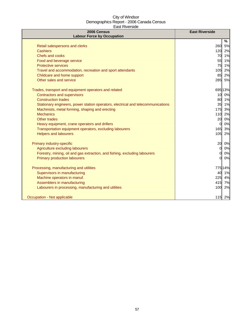| 2006 Census<br><b>Labour Force by Occupation</b>                                 | <b>East Riverside</b> |
|----------------------------------------------------------------------------------|-----------------------|
|                                                                                  | %                     |
| Retail salespersons and clerks                                                   | 260<br>5%             |
| <b>Cashiers</b>                                                                  | 120 2%                |
| Chefs and cooks                                                                  | 70 1%                 |
| Food and beverage service                                                        | 55 1%                 |
| <b>Protective services</b>                                                       | 75<br>1%              |
| Travel and accommodation, recreation and sport attendants                        | 2%<br>105             |
| Childcare and home support                                                       | 85<br>2%              |
| Other sales and service                                                          | 285 5%                |
| Trades, transport and equipment operators and related                            | 695 13%               |
| <b>Contractors and supervisors</b>                                               | 10 0%                 |
| <b>Construction trades</b>                                                       | 80 1%                 |
| Stationary engineers, power station operators, electrical and telecommunications | 35 1%                 |
| Machinists, metal forming, shaping and erecting                                  | 175<br>3%             |
| <b>Mechanics</b>                                                                 | 110 2%                |
| <b>Other trades</b>                                                              | 20 0%                 |
| Heavy equipment, crane operators and drillers                                    | 0%<br>$\Omega$        |
| Transportation equipment operators, excluding labourers                          | 165<br>3%             |
| <b>Helpers and labourers</b>                                                     | 105 2%                |
| Primary industry-specific                                                        | 20 0%                 |
| Agriculture excluding labourers                                                  | 0%<br>$\mathbf{0}$    |
| Forestry, mining, oil and gas extraction, and fishing, excluding labourers       | 0%<br><sub>O</sub>    |
| <b>Primary production labourers</b>                                              | 0%<br><sub>O</sub>    |
| Processing, manufacturing and utilities                                          | 775 14%               |
| Supervisors in manufacturing                                                     | 40 1%                 |
| Machine operators in manuf.                                                      | 225<br>4%             |
| Assemblers in manufacturing                                                      | 415 7%                |
| Labourers in processing, manufacturing and utilities                             | 100<br>2%             |
|                                                                                  |                       |
| Occupation - Not applicable                                                      | 115 2%                |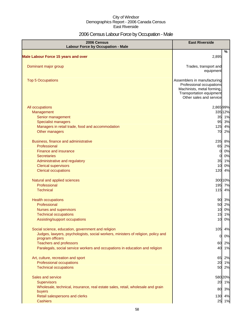### 2006 Census Labour Force by Occupation - Male

| 2006 Census<br><b>Labour Force by Occupation - Male</b>                                               | <b>East Riverside</b>                                  |    |
|-------------------------------------------------------------------------------------------------------|--------------------------------------------------------|----|
|                                                                                                       | %                                                      |    |
| <b>Male Labour Force 15 years and over</b>                                                            | 2,895                                                  |    |
| Dominant major group                                                                                  | Trades, transport and                                  |    |
|                                                                                                       | equipment                                              |    |
| <b>Top 5 Occupations</b>                                                                              | Assemblers in manufacturing                            |    |
|                                                                                                       | Professional occupations<br>Machinists, metal forming, |    |
|                                                                                                       | Transportation equipment                               |    |
|                                                                                                       | Other sales and service                                |    |
| All occupations                                                                                       | 2,86599%                                               |    |
| Management                                                                                            | 335 12%                                                |    |
| Senior management                                                                                     | 35 1%                                                  |    |
| <b>Specialist managers</b>                                                                            | 95 3%                                                  |    |
| Managers in retail trade, food and accommodation                                                      | 4%<br>125                                              |    |
| Other managers                                                                                        | 70<br>2%                                               |    |
| Business, finance and administrative                                                                  | 235<br>8%                                              |    |
| Professional                                                                                          | 65<br>2%                                               |    |
| Finance and insurance                                                                                 | 0%<br>$\overline{0}$                                   |    |
| <b>Secretaries</b>                                                                                    | 0%<br>0                                                |    |
| Administrative and regulatory                                                                         | 1%<br>35<br>10                                         | 0% |
| <b>Clerical supervisors</b><br><b>Clerical occupations</b>                                            | 4%<br>120                                              |    |
|                                                                                                       |                                                        |    |
| Natural and applied sciences                                                                          | 300 10%                                                |    |
| Professional                                                                                          | 195<br>7%                                              |    |
| <b>Technical</b>                                                                                      | 115<br>4%                                              |    |
| <b>Health occupations</b>                                                                             | 90 3%                                                  |    |
| Professional                                                                                          | 2%<br>50                                               |    |
| Nurses and supervisors                                                                                | 10<br>0%                                               |    |
| <b>Technical occupations</b>                                                                          | 15<br>1%                                               |    |
| Assisting/support occupations                                                                         | 0%<br>10                                               |    |
| Social science, education, government and religion                                                    | 105<br>4%                                              |    |
| Judges, lawyers, psychologists, social workers, ministers of religion, policy and<br>program officers | 0%<br>$\mathbf{0}$                                     |    |
| <b>Teachers and professors</b>                                                                        | 60 2%                                                  |    |
| Paralegals, social service workers and occupations in education and religion                          | 40 1%                                                  |    |
| Art, culture, recreation and sport                                                                    | 65<br>2%                                               |    |
| Professional occupations                                                                              | 20<br>1%                                               |    |
| <b>Technical occupations</b>                                                                          | 50<br>2%                                               |    |
| Sales and service                                                                                     | 580 20%                                                |    |
| <b>Supervisors</b>                                                                                    | 20 1%                                                  |    |
| Wholesale, technical, insurance, real estate sales, retail, wholesale and grain                       | 80 3%                                                  |    |
| buyers<br>Retail salespersons and clerks                                                              | 130 4%                                                 |    |
| <b>Cashiers</b>                                                                                       | 25 1%                                                  |    |
|                                                                                                       |                                                        |    |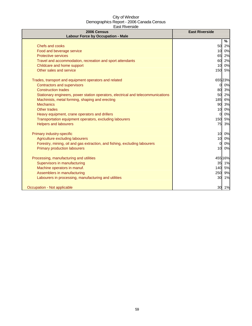| 2006 Census<br><b>Labour Force by Occupation - Male</b>                          | <b>East Riverside</b> |
|----------------------------------------------------------------------------------|-----------------------|
|                                                                                  | %                     |
| Chefs and cooks                                                                  | 50<br>2%              |
| Food and beverage service                                                        | 0%<br>10              |
| <b>Protective services</b>                                                       | 2%<br>65              |
| Travel and accommodation, recreation and sport attendants                        | 2%<br>60              |
| Childcare and home support                                                       | 10 <sup>1</sup><br>0% |
| Other sales and service                                                          | 150 5%                |
| Trades, transport and equipment operators and related                            | 655 23%               |
| Contractors and supervisors                                                      | 0 0%                  |
| <b>Construction trades</b>                                                       | 3%<br>80              |
| Stationary engineers, power station operators, electrical and telecommunications | 2%<br>50              |
| Machinists, metal forming, shaping and erecting                                  | 185 6%                |
| <b>Mechanics</b>                                                                 | 90 3%                 |
| Other trades                                                                     | 10 <sup>1</sup><br>0% |
| Heavy equipment, crane operators and drillers                                    | 0%<br><sub>0</sub>    |
| Transportation equipment operators, excluding labourers                          | 150 5%                |
| <b>Helpers and labourers</b>                                                     | 75<br>3%              |
| Primary industry-specific                                                        | 10 <sup>1</sup><br>0% |
| Agriculture excluding labourers                                                  | 0%<br>10              |
| Forestry, mining, oil and gas extraction, and fishing, excluding labourers       | 0%<br>0               |
| <b>Primary production labourers</b>                                              | 10 0%                 |
| Processing, manufacturing and utilities                                          | 455 16%               |
| Supervisors in manufacturing                                                     | 35 1%                 |
| Machine operators in manuf.                                                      | 140 5%                |
| Assemblers in manufacturing                                                      | 9%<br><b>250</b>      |
| Labourers in processing, manufacturing and utilities                             | 1%<br>30              |
| Occupation - Not applicable                                                      | 30 1%                 |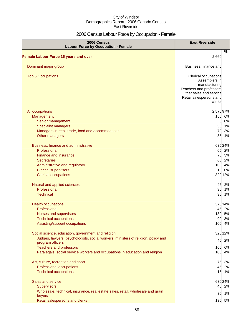### 2006 Census Labour Force by Occupation - Female

| 2006 Census<br><b>Labour Force by Occupation - Female</b>                                             | <b>East Riverside</b>                                                                                                                             |
|-------------------------------------------------------------------------------------------------------|---------------------------------------------------------------------------------------------------------------------------------------------------|
| <b>Female Labour Force 15 years and over</b>                                                          | %<br>2,660                                                                                                                                        |
| Dominant major group                                                                                  | Business, finance and                                                                                                                             |
| <b>Top 5 Occupations</b>                                                                              | Clerical occupations<br>Assemblers in<br>manufacturing<br>Teachers and professors<br>Other sales and service<br>Retail salespersons and<br>clerks |
| All occupations                                                                                       | 2,57597%                                                                                                                                          |
| Management                                                                                            | 155 6%                                                                                                                                            |
| Senior management                                                                                     | 0%<br>$\mathbf{0}$                                                                                                                                |
| <b>Specialist managers</b>                                                                            | 30 1%                                                                                                                                             |
| Managers in retail trade, food and accommodation                                                      | 3%<br>70                                                                                                                                          |
| Other managers                                                                                        | 35<br>1%                                                                                                                                          |
| Business, finance and administrative                                                                  | 635 24%                                                                                                                                           |
| Professional                                                                                          | 65 2%                                                                                                                                             |
| Finance and insurance                                                                                 | 70 3%                                                                                                                                             |
| <b>Secretaries</b>                                                                                    | 65 2%                                                                                                                                             |
| Administrative and regulatory                                                                         | 100<br>4%                                                                                                                                         |
| <b>Clerical supervisors</b>                                                                           | 10 0%                                                                                                                                             |
| <b>Clerical occupations</b>                                                                           | 320 12%                                                                                                                                           |
| Natural and applied sciences                                                                          | 45 2%                                                                                                                                             |
| Professional                                                                                          | 30 1%                                                                                                                                             |
| <b>Technical</b>                                                                                      | 30<br>1%                                                                                                                                          |
| <b>Health occupations</b>                                                                             | 370 14%                                                                                                                                           |
| Professional                                                                                          | 45 2%                                                                                                                                             |
| Nurses and supervisors                                                                                | 130 5%                                                                                                                                            |
| <b>Technical occupations</b>                                                                          | 90 3%                                                                                                                                             |
| Assisting/support occupations                                                                         | 4%<br>100                                                                                                                                         |
| Social science, education, government and religion                                                    | 320 12%                                                                                                                                           |
| Judges, lawyers, psychologists, social workers, ministers of religion, policy and<br>program officers | 2%<br>40                                                                                                                                          |
| <b>Teachers and professors</b>                                                                        | 6%<br>160                                                                                                                                         |
| Paralegals, social service workers and occupations in education and religion                          | 100<br>4%                                                                                                                                         |
| Art, culture, recreation and sport                                                                    | 75<br>3%                                                                                                                                          |
| Professional occupations                                                                              | 45<br>2%                                                                                                                                          |
| <b>Technical occupations</b>                                                                          | 15 1%                                                                                                                                             |
| Sales and service                                                                                     | 630 24%                                                                                                                                           |
| <b>Supervisors</b>                                                                                    | 40 2%                                                                                                                                             |
| Wholesale, technical, insurance, real estate sales, retail, wholesale and grain                       |                                                                                                                                                   |
| buyers                                                                                                | 30 1%                                                                                                                                             |
| Retail salespersons and clerks                                                                        | 130 5%                                                                                                                                            |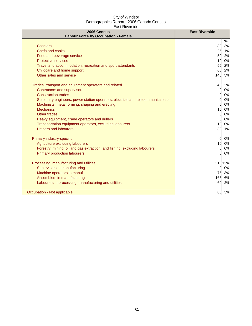| 2006 Census<br><b>Labour Force by Occupation - Female</b>                        | <b>East Riverside</b> |    |
|----------------------------------------------------------------------------------|-----------------------|----|
|                                                                                  | %                     |    |
| Cashiers                                                                         | 80 3%                 |    |
| Chefs and cooks                                                                  | 25 1%                 |    |
| Food and beverage service                                                        | 50                    | 2% |
| <b>Protective services</b>                                                       | 10                    | 0% |
| Travel and accommodation, recreation and sport attendants                        | 55                    | 2% |
| Childcare and home support                                                       | 65                    | 2% |
| Other sales and service                                                          | 145                   | 5% |
| Trades, transport and equipment operators and related                            | 40                    | 2% |
| <b>Contractors and supervisors</b>                                               | <sub>0</sub>          | 0% |
| <b>Construction trades</b>                                                       | $\Omega$              | 0% |
| Stationary engineers, power station operators, electrical and telecommunications | $\Omega$              | 0% |
| Machinists, metal forming, shaping and erecting                                  | $\Omega$              | 0% |
| <b>Mechanics</b>                                                                 | 10                    | 0% |
| Other trades                                                                     | $\Omega$              | 0% |
| Heavy equipment, crane operators and drillers                                    | <sup>0</sup>          | 0% |
| Transportation equipment operators, excluding labourers                          | 10                    | 0% |
| <b>Helpers and labourers</b>                                                     | 30 1%                 |    |
| Primary industry-specific                                                        | $\Omega$              | 0% |
| Agriculture excluding labourers                                                  | 10                    | 0% |
| Forestry, mining, oil and gas extraction, and fishing, excluding labourers       | $\Omega$              | 0% |
| <b>Primary production labourers</b>                                              | $\Omega$              | 0% |
| Processing, manufacturing and utilities                                          | 31012%                |    |
| Supervisors in manufacturing                                                     | $\Omega$              | 0% |
| Machine operators in manuf.                                                      | 75                    | 3% |
| Assemblers in manufacturing                                                      | 165                   | 6% |
| Labourers in processing, manufacturing and utilities                             | 60                    | 2% |
| Occupation - Not applicable                                                      | 80 3%                 |    |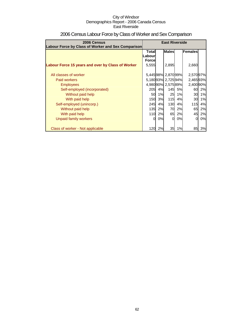| 2006 Census<br>Labour Force by Class of Worker and Sex Comparison                                                                                                                                                             | <b>East Riverside</b>                      |                                        |                                                                                                   |                                            |                                                                                     |                                        |
|-------------------------------------------------------------------------------------------------------------------------------------------------------------------------------------------------------------------------------|--------------------------------------------|----------------------------------------|---------------------------------------------------------------------------------------------------|--------------------------------------------|-------------------------------------------------------------------------------------|----------------------------------------|
| Labour Force 15 years and over by Class of Worker                                                                                                                                                                             | Total<br>Labourl<br><b>Force</b><br>5,555  |                                        | <b>Males</b><br>2,895                                                                             |                                            | Females<br>2,660                                                                    |                                        |
| All classes of worker<br>Paid workers<br><b>Employees</b><br>Self-employed (incorporated)<br>Without paid help<br>With paid help<br>Self-employed (unincorp.)<br>Without paid help<br>With paid help<br>Unpaid family workers | 205<br>50<br>150<br>245<br>135<br>110<br>0 | 4%<br>1%<br>3%<br>4%<br>2%<br>2%<br>0% | 5,44598% 2,87099%<br>5,18093% 2,72594%<br>4,98090% 2,57589%<br>25<br>115<br>130<br>70<br>65<br>0l | 145 5%<br>1%<br>4%<br>4%<br>2%<br>2%<br>0% | 2,57097%<br>2,46593%<br>2,400 90%<br>60<br>30<br>30<br>115I<br>65<br>45<br>$\Omega$ | 2%<br>1%<br>1%<br>4%<br>2%<br>2%<br>0% |
| Class of worker - Not applicable                                                                                                                                                                                              | 120                                        | 2%                                     | 35                                                                                                | 1%                                         | 85                                                                                  | 3%                                     |

### 2006 Census Labour Force by Class of Worker and Sex Comparison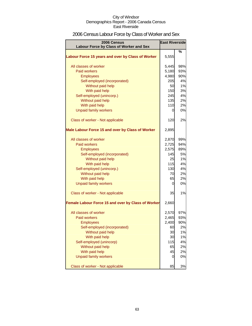### 2006 Census Labour Force by Class of Worker and Sex

| 2006 Census                                        | <b>East Riverside</b> |     |  |
|----------------------------------------------------|-----------------------|-----|--|
| Labour Force by Class of Worker and Sex            |                       |     |  |
| Labour Force 15 years and over by Class of Worker  | 5,555                 | %   |  |
| All classes of worker                              | 5,445                 | 98% |  |
| <b>Paid workers</b>                                | 5,180                 | 93% |  |
| <b>Employees</b>                                   | 4,980                 | 90% |  |
| Self-employed (incorporated)                       | 205                   | 4%  |  |
| Without paid help                                  | 50                    | 1%  |  |
| With paid help                                     | 150                   | 3%  |  |
| Self-employed (unincorp.)                          | 245                   | 4%  |  |
| Without paid help                                  | <b>135</b>            | 2%  |  |
| With paid help                                     | 110                   | 2%  |  |
| <b>Unpaid family workers</b>                       | 0                     | 0%  |  |
| Class of worker - Not applicable                   | 120                   | 2%  |  |
| Male Labour Force 15 and over by Class of Worker   | 2,895                 |     |  |
| All classes of worker                              | 2,870                 | 99% |  |
| <b>Paid workers</b>                                | 2,725                 | 94% |  |
| <b>Employees</b>                                   | 2,575                 | 89% |  |
| Self-employed (incorporated)                       | 145                   | 5%  |  |
| Without paid help                                  | 25                    | 1%  |  |
| With paid help                                     | 115                   | 4%  |  |
| Self-employed (unincorp.)                          | 130                   | 4%  |  |
| Without paid help                                  | 70                    | 2%  |  |
| With paid help                                     | 65                    | 2%  |  |
| <b>Unpaid family workers</b>                       | 0                     | 0%  |  |
| Class of worker - Not applicable                   | 35                    | 1%  |  |
| Female Labour Force 15 and over by Class of Worker | 2,660                 |     |  |
| All classes of worker                              | 2,570                 | 97% |  |
| Paid workers                                       | 2,465                 | 93% |  |
| <b>Employees</b>                                   | 2,400                 | 90% |  |
| Self-employed (incorporated)                       | 60                    | 2%  |  |
| Without paid help                                  | 30                    | 1%  |  |
| With paid help                                     | 30                    | 1%  |  |
| Self-employed (unincorp)                           | 115                   | 4%  |  |
| Without paid help                                  | 65                    | 2%  |  |
| With paid help                                     | 45                    | 2%  |  |
| <b>Unpaid family workers</b>                       | 0                     | 0%  |  |
| Class of worker - Not applicable                   | 85                    | 3%  |  |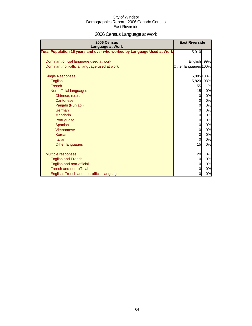### 2006 Census Language at Work

| 2006 Census<br><b>Language at Work</b>                                 | <b>East Riverside</b> |            |
|------------------------------------------------------------------------|-----------------------|------------|
| Total Population 15 years and over who worked by Language Used at Work | 5,910                 |            |
| Dominant official language used at work                                | English 99%           |            |
| Dominant non-official language used at work                            | Other languages 100%  |            |
| <b>Single Responses</b>                                                |                       | 5,885 100% |
| English                                                                |                       | 5,820 98%  |
| French                                                                 | 55                    | 1%         |
| Non-official languages                                                 | 15                    | 0%         |
| Chinese, n.o.s.                                                        | $\overline{O}$        | 0%         |
| Cantonese                                                              | $\overline{0}$        | 0%         |
| Panjabi (Punjabi)                                                      | 0                     | 0%         |
| German                                                                 | $\overline{0}$        | 0%         |
| <b>Mandarin</b>                                                        | $\overline{0}$        | 0%         |
| Portuguese                                                             | 0                     | 0%         |
| Spanish                                                                | $\overline{0}$        | 0%         |
| Vietnamese                                                             | $\overline{0}$        | 0%         |
| Korean                                                                 | 0                     | 0%         |
| Italian                                                                | 0l                    | 0%         |
| Other languages                                                        | 15                    | 0%         |
| <b>Multiple responses</b>                                              | 20                    | 0%         |
| <b>English and French</b>                                              | 10                    | 0%         |
| English and non-official                                               | 10                    | 0%         |
| French and non-official                                                | $\overline{0}$        | 0%         |
| English, French and non-official language                              | 0                     | 0%         |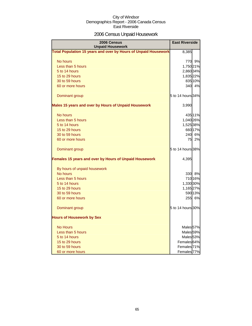### 2006 Census Unpaid Housework

| 2006 Census<br><b>Unpaid Housework</b>                          | <b>East Riverside</b>  |
|-----------------------------------------------------------------|------------------------|
| Total Population 15 years and over by Hours of Unpaid Housework | 8,385                  |
| No hours                                                        | 770 9%                 |
| Less than 5 hours                                               | 1,750 21%              |
| 5 to 14 hours                                                   | 2,860 34%              |
| 15 to 29 hours                                                  | 1,835 22%              |
| 30 to 59 hours                                                  | 835 10%                |
| 60 or more hours                                                | 340 <b></b><br>4%      |
| Dominant group                                                  | 5 to 14 hours 34%      |
| Males 15 years and over by Hours of Unpaid Housework            | 3,990                  |
| No hours                                                        | 435 11%                |
| Less than 5 hours                                               | 1,040 26%              |
| 5 to 14 hours                                                   | 1,525 38%              |
| 15 to 29 hours                                                  | 660 17%                |
| 30 to 59 hours                                                  | 240 6%                 |
| 60 or more hours                                                | 75<br>2%               |
| Dominant group                                                  | 5 to 14 hours 38%      |
| Females 15 years and over by Hours of Unpaid Housework          | 4,395                  |
| By hours of unpaid housework                                    |                        |
| No hours                                                        | 330 8%                 |
| Less than 5 hours                                               | 71016%                 |
| 5 to 14 hours                                                   | 1,330 30%              |
| 15 to 29 hours                                                  | 1,16527%               |
| 30 to 59 hours                                                  | 590 13%                |
| 60 or more hours                                                | <b>255</b><br>6%       |
| Dominant group                                                  | 5 to 14 hours 30%      |
| <b>Hours of Housework by Sex</b>                                |                        |
| <b>No Hours</b>                                                 | Males <sub>57%</sub>   |
| Less than 5 hours                                               | Males <sub>59%</sub>   |
| 5 to 14 hours                                                   | Males <sub>53%</sub>   |
| 15 to 29 hours                                                  | Females 64%            |
| 30 to 59 hours                                                  | Females <sup>71%</sup> |
| 60 or more hours                                                | Females <sup>77%</sup> |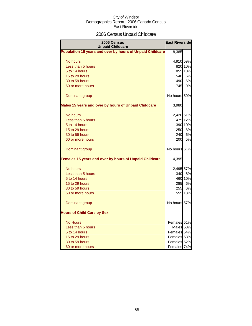### 2006 Census Unpaid Childcare

| 2006 Census<br><b>Unpaid Childcare</b>                    | <b>East Riverside</b> |         |
|-----------------------------------------------------------|-----------------------|---------|
| Population 15 years and over by hours of Unpaid Childcare | 8,385                 |         |
| No hours                                                  | 4,910 59%             |         |
| Less than 5 hours                                         |                       | 820 10% |
| 5 to 14 hours                                             |                       | 855 10% |
| 15 to 29 hours                                            | 540                   | 6%      |
| 30 to 59 hours                                            | 490                   | 6%      |
| 60 or more hours                                          | 745                   | 9%      |
| Dominant group                                            | No hours 59%          |         |
| Males 15 years and over by hours of Unpaid Childcare      | 3,980                 |         |
| No hours                                                  | 2,420 61%             |         |
| Less than 5 hours                                         |                       | 475 12% |
| 5 to 14 hours                                             |                       | 390 10% |
| 15 to 29 hours                                            | 250                   | 6%      |
| 30 to 59 hours                                            | 240                   | 6%      |
| 60 or more hours                                          | 200                   | 5%      |
| Dominant group                                            | No hours 61%          |         |
| Females 15 years and over by hours of Unpaid Childcare    | 4,395                 |         |
| No hours                                                  | 2,495 57%             |         |
| Less than 5 hours                                         | 340                   | 8%      |
| 5 to 14 hours                                             |                       | 460 10% |
| 15 to 29 hours                                            | 285                   | 6%      |
| 30 to 59 hours                                            | 255                   | 6%      |
| 60 or more hours                                          |                       | 555 13% |
| Dominant group                                            | No hours 57%          |         |
| <b>Hours of Child Care by Sex</b>                         |                       |         |
| <b>No Hours</b>                                           | Females 51%           |         |
| Less than 5 hours                                         | Males 58%             |         |
| 5 to 14 hours                                             | Females 54%           |         |
| 15 to 29 hours                                            | Females 53%           |         |
| 30 to 59 hours                                            | Females 52%           |         |
| 60 or more hours                                          | Females 74%           |         |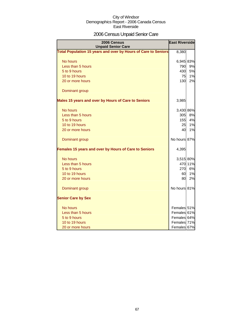### 2006 Census Unpaid Senior Care

| 2006 Census<br><b>Unpaid Senior Care</b>                       | <b>East Riverside</b> |         |
|----------------------------------------------------------------|-----------------------|---------|
| Total Population 15 years and over by Hours of Care to Seniors | 8,380                 |         |
| No hours                                                       | 6,945 83%             |         |
| Less than 5 hours                                              | 790                   | 9%      |
| 5 to 9 hours                                                   | 430                   | 5%      |
| 10 to 19 hours                                                 | 75                    | 1%      |
| 20 or more hours                                               | 130                   | 2%      |
| Dominant group                                                 |                       |         |
| Males 15 years and over by Hours of Care to Seniors            | 3,985                 |         |
| No hours                                                       | 3,430 86%             |         |
| Less than 5 hours                                              | 305                   | 8%      |
| 5 to 9 hours                                                   | 155                   | 4%      |
| 10 to 19 hours                                                 | 25                    | 1%      |
| 20 or more hours                                               | 40                    | 1%      |
| Dominant group                                                 | No hours 87%          |         |
| Females 15 years and over by Hours of Care to Seniors          | 4,395                 |         |
| No hours                                                       | 3,515 80%             |         |
| Less than 5 hours                                              |                       | 470 11% |
| 5 to 9 hours                                                   | 270                   | 6%      |
| 10 to 19 hours                                                 | 601                   | 1%      |
| 20 or more hours                                               | 80                    | 2%      |
| Dominant group                                                 | No hours 81%          |         |
| <b>Senior Care by Sex</b>                                      |                       |         |
| No hours                                                       | Females 51%           |         |
| Less than 5 hours                                              | Females 61%           |         |
| 5 to 9 hours                                                   | Females 64%           |         |
| 10 to 19 hours                                                 | Females 71%           |         |
| 20 or more hours                                               | Females 67%           |         |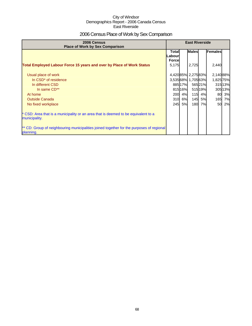### 2006 Census Place of Work by Sex Comparison

| 2006 Census<br><b>Place of Work by Sex Comparison</b>                                                 | <b>East Riverside</b>             |         |                   |        |                |         |
|-------------------------------------------------------------------------------------------------------|-----------------------------------|---------|-------------------|--------|----------------|---------|
|                                                                                                       | Totall<br>Labourl<br><b>Force</b> |         | <b>Males</b>      |        | <b>Females</b> |         |
| <b>Total Employed Labour Force 15 years and over by Place of Work Status</b>                          | 5,175                             |         | 2,725             |        | 2,440          |         |
| Usual place of work                                                                                   |                                   |         | 4,42085% 2,27583% |        | 2,14088%       |         |
| In CSD <sup>*</sup> of residence                                                                      |                                   |         | 3,53568% 1,70563% |        | 1,825 75%      |         |
| In different CSD                                                                                      |                                   | 88517%  |                   | 56521% |                | 31513%  |
| In same CD**                                                                                          |                                   | 815 16% |                   | 51519% |                | 305 13% |
| At home                                                                                               | <b>200</b>                        | 4%      | 115               | 4%     |                | 80 3%   |
| <b>Outside Canada</b>                                                                                 |                                   | 310 6%  | 145               | 5%     | 165            | 7%      |
| No fixed workplace                                                                                    |                                   | 245 5%  | 180               | 7%     | 50             | 2%      |
| * CSD: Area that is a municipality or an area that is deemed to be equivalent to a<br>municipality.   |                                   |         |                   |        |                |         |
| ** CD: Group of neighbouring municipalities joined together for the purposes of regional<br>planning. |                                   |         |                   |        |                |         |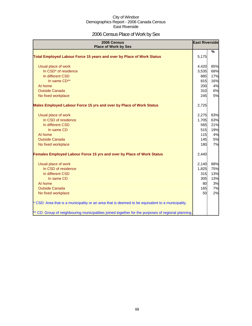### 2006 Census Place of Work by Sex

| 2006 Census<br><b>Place of Work by Sex</b>                                                         | <b>East Riverside</b> |               |
|----------------------------------------------------------------------------------------------------|-----------------------|---------------|
| <b>Total Employed Labour Force 15 years and over by Place of Work Status</b>                       | 5,175                 | $\frac{9}{6}$ |
| Usual place of work                                                                                | 4,420                 | 85%           |
| In CSD <sup>*</sup> of residence                                                                   | 3,535                 | 68%           |
| In different CSD                                                                                   | 885                   | 17%           |
| In same CD**                                                                                       | 815                   | 16%           |
| At home                                                                                            | 200                   | 4%            |
| <b>Outside Canada</b>                                                                              | 310                   | 6%            |
| No fixed workplace                                                                                 | 245                   | 5%            |
| Males Employed Labour Force 15 yrs and over by Place of Work Status                                | 2,725                 |               |
| Usual place of work                                                                                | 2,275                 | 83%           |
| In CSD of residence                                                                                | 1,705                 | 63%           |
| In different CSD                                                                                   | 565                   | 21%           |
| In same CD                                                                                         | 515                   | 19%           |
| At home                                                                                            | 115                   | 4%            |
| <b>Outside Canada</b>                                                                              | 145                   | 5%            |
| No fixed workplace                                                                                 | 180                   | 7%            |
| Females Employed Labour Force 15 yrs and over by Place of Work Status                              | 2,440                 |               |
| Usual place of work                                                                                | 2,140                 | 88%           |
| In CSD of residence                                                                                | 1,825                 | 75%           |
| In different CSD                                                                                   | 315                   | 13%           |
| In same CD                                                                                         | 305                   | 13%           |
| At home                                                                                            | 80                    | 3%            |
| <b>Outside Canada</b>                                                                              | 165                   | 7%            |
| No fixed workplace                                                                                 | 50                    | 2%            |
| * CSD: Area that is a municipality or an area that is deemed to be equivalent to a municipality.   |                       |               |
| ** CD: Group of neighbouring municipalities joined together for the purposes of regional planning. |                       |               |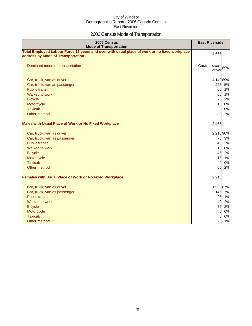### 2006 Census Mode of Transportation

| 2006 Census<br><b>Mode of Transportation</b>                                                                                      | <b>East Riverside</b>       |    |
|-----------------------------------------------------------------------------------------------------------------------------------|-----------------------------|----|
| Total Employed Labour Force 15 years and over with usual place of work or no fixed workplace<br>address by Mode of Transportation | 4,665                       |    |
| Dominant mode of transportation                                                                                                   | Car/truck/van-89%<br>driver |    |
| Car, truck, van as driver                                                                                                         | 4,14089%                    |    |
| Car, truck, van as passenger                                                                                                      | 225                         | 5% |
| <b>Public transit</b>                                                                                                             | 60 1%                       |    |
| Walked to work                                                                                                                    | 65 1%                       |    |
| <b>Bicycle</b>                                                                                                                    | 75                          | 2% |
| Motorcycle                                                                                                                        | 15                          | 0% |
| <b>Taxicab</b>                                                                                                                    | $\overline{0}$              | 0% |
| Other method                                                                                                                      | 80                          | 2% |
| <b>Males with Usual Place of Work or No Fixed Workplace</b>                                                                       | 2,465                       |    |
| Car, truck, van as driver                                                                                                         | 2,21090%                    |    |
| Car, truck, van as passenger                                                                                                      | 75 3%                       |    |
| <b>Public transit</b>                                                                                                             | 45 2%                       |    |
| Walked to work                                                                                                                    | 10 0%                       |    |
| <b>Bicycle</b>                                                                                                                    | 45                          | 2% |
| Motorcycle                                                                                                                        | 15 1%                       |    |
| <b>Taxicab</b>                                                                                                                    | $\overline{0}$              | 0% |
| Other method                                                                                                                      | 60                          | 2% |
| <b>Females with Usual Place of Work or No Fixed Workplace</b>                                                                     | 2,210                       |    |
| Car, truck, van as driver                                                                                                         | 1,93087%                    |    |
| Car, truck, van as passenger                                                                                                      | 145 7%                      |    |
| <b>Public transit</b>                                                                                                             | 25 1%                       |    |
| Walked to work                                                                                                                    | 40 2%                       |    |
| <b>Bicycle</b>                                                                                                                    | 35                          | 2% |
| Motorcycle                                                                                                                        | $\overline{0}$              | 0% |
| <b>Taxicab</b>                                                                                                                    | $\Omega$                    | 0% |
| Other method                                                                                                                      | 20 1%                       |    |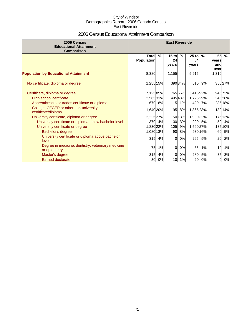## 2006 Census Educational Attainment Comparison

| 2006 Census<br><b>Educational Attainment</b><br>Comparison         | <b>East Riverside</b>             |        |                        |               |                        |           |                            |               |
|--------------------------------------------------------------------|-----------------------------------|--------|------------------------|---------------|------------------------|-----------|----------------------------|---------------|
|                                                                    | <b>Total</b><br><b>Population</b> | $\%$   | $15$ to<br>24<br>years | $\frac{9}{6}$ | $25$ to<br>64<br>years | $\%$      | 65<br>years<br>and<br>over | $\frac{9}{6}$ |
| <b>Population by Educational Attainment</b>                        | 8,380                             |        | 1,155                  |               | 5,915                  |           | 1,310                      |               |
| No certificate, diploma or degree                                  | 1,255 15%                         |        |                        | 39034%        | 510                    | 9%        |                            | 35527%        |
| Certificate, diploma or degree                                     | 7,125 85%                         |        |                        | 765 66%       | 5,41592%               |           |                            | 94572%        |
| High school certificate                                            | 2,565 31%                         |        |                        | 49543%        | 1,725 29%              |           |                            | 345 26%       |
| Apprenticeship or trades certificate or diploma                    |                                   | 670 8% | 15                     | 1%            |                        | 420 7%    |                            | 235 18%       |
| College, CEGEP or other non-university<br>certificate/diploma      | 1,640 20%                         |        | 95                     | 8%            | 1,36523%               |           |                            | 180 14%       |
| University certificate, diploma or degree                          | 2,225 27%                         |        |                        | 150 13%       | 1,900 32%              |           |                            | 175 13%       |
| University certificate or diploma below bachelor level             | 370 <b>1</b>                      | 4%     | 30                     | 3%            |                        | 290 5%    | 50                         | 4%            |
| University certificate or degree                                   | 1,830 22%                         |        | 105                    | 9%            | 1,590 27%              |           |                            | 135 10%       |
| Bachelor's degree                                                  | 1,080 13%                         |        | 90                     | 8%            |                        | 930 16%   | 60                         | 5%            |
| University certificate or diploma above bachelor<br>level          | 315                               | 4%     | $\Omega$               | 0%            | 295                    | 5%        | <b>20</b>                  | 2%            |
| Degree in medicine, dentistry, veterinary medicine<br>or optometry | 75                                | 1%     | $\Omega$               | 0%            | 65                     | 1%        | 10                         | 1%            |
| Master's degree                                                    | 315                               | 4%     | 0                      | 0%            | 280                    | <b>5%</b> | 35                         | 3%            |
| <b>Earned doctorate</b>                                            | 30                                | 0%     | 10                     | 1%            |                        | 20 0%     | 0                          | 0%            |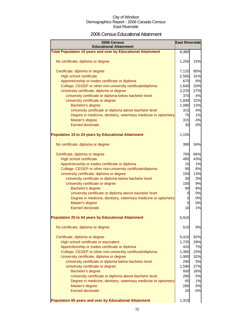### 2006 Census Educational Attainment

| 2006 Census<br><b>Educational Attainment</b>                        | <b>East Riverside</b> |     |
|---------------------------------------------------------------------|-----------------------|-----|
| <b>Total Population 15 years and over by Educational Attainment</b> | 8,380                 |     |
| No certificate, diploma or degree                                   | 1,255                 | 15% |
| Certificate, diploma or degree                                      | 7,125                 | 85% |
| <b>High school certificate</b>                                      | 2,565                 | 31% |
| Apprenticeship or trades certificate or diploma                     | 670                   | 8%  |
| College, CEGEP or other non-university certificate/diploma          | 1,640                 | 20% |
| University certificate, diploma or degree                           | 2,225                 | 27% |
| University certificate or diploma below bachelor level              | 370                   | 4%  |
| University certificate or degree                                    | 1,830                 | 22% |
| Bachelor's degree                                                   | 1,080                 | 13% |
| University certificate or diploma above bachelor level              | 315                   | 4%  |
| Degree in medicine, dentistry, veterinary medicine or optometry     | 75                    | 1%  |
| Master's degree                                                     | 315                   | 4%  |
| Earned doctorate                                                    | 30                    | 0%  |
| <b>Population 15 to 24 years by Educational Attainment</b>          | 1,155                 |     |
| No certificate, diploma or degree                                   | 390                   | 34% |
| Certificate, diploma or degree                                      | 765                   | 66% |
| High school certificate                                             | 495                   | 43% |
| Apprenticeship or trades certificate or diploma                     | 15                    | 1%  |
| College, CEGEP or other non-university certificate/diploma          | 95                    | 8%  |
| University certificate, diploma or degree                           | 150                   | 13% |
| University certificate or diploma below bachelor level              | 30                    | 3%  |
| University certificate or degree                                    | 105                   | 9%  |
| Bachelor's degree                                                   | 90                    | 8%  |
| University certificate or diploma above bachelor level              | 0                     | 0%  |
| Degree in medicine, dentistry, veterinary medicine or optometry     | 0                     | 0%  |
| Master's degree                                                     | 0                     | 0%  |
| Earned doctorate                                                    | 10                    | 1%  |
| <b>Population 25 to 64 years by Educational Attainment</b>          | 5,915                 |     |
| No certificate, diploma or degree                                   | 510                   | 9%  |
| Certificate, diploma or degree                                      | 5,415                 | 92% |
| High school certificate or equivalent                               | 1,725                 | 29% |
| Apprenticeship or trades certificate or diploma                     | 420                   | 7%  |
| College, CEGEP or other non-university certificate/diploma          | 1,365                 | 23% |
| University certificate, diploma or degree                           | 1,900                 | 32% |
| University certificate or diploma below bachelor level              | 290                   | 5%  |
| University certificate or degree                                    | 1,590                 | 27% |
| Bachelor's degree                                                   | 930                   | 16% |
| University certificate or diploma above bachelor level              | 295                   | 5%  |
| Degree in medicine, dentistry, veterinary medicine or optometry     | 65                    | 1%  |
| Master's degree                                                     | 280                   | 5%  |
| <b>Earned doctorate</b>                                             | 20                    | 0%  |
| Population 65 years and over by Educational Attainment              | 1,310                 |     |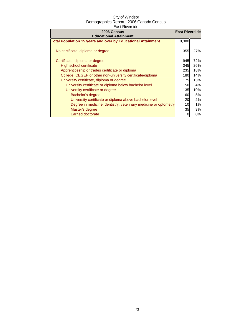| 2006 Census                                                         | <b>East Riverside</b> |           |
|---------------------------------------------------------------------|-----------------------|-----------|
| <b>Educational Attainment</b>                                       |                       |           |
| <b>Total Population 15 years and over by Educational Attainment</b> | 8,380                 |           |
| No certificate, diploma or degree                                   | 355                   | 27%       |
| Certificate, diploma or degree                                      | 945                   | 72%       |
| High school certificate                                             | 345                   | 26%       |
| Apprenticeship or trades certificate or diploma                     | 235                   | 18%       |
| College, CEGEP or other non-university certificate/diploma          | 180                   | 14%       |
| University certificate, diploma or degree                           | 175                   | 13%       |
| University certificate or diploma below bachelor level              | 50                    | 4%        |
| University certificate or degree                                    | 135                   | 10%       |
| Bachelor's degree                                                   | 60                    | <b>5%</b> |
| University certificate or diploma above bachelor level              | 20                    | 2%        |
| Degree in medicine, dentistry, veterinary medicine or optometry     | 10                    | 1%        |
| Master's degree                                                     | 35                    | 3%        |
| <b>Earned doctorate</b>                                             |                       | 0%        |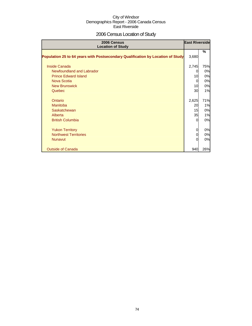# 2006 Census Location of Study

| 2006 Census<br><b>Location of Study</b>                                         |          | <b>East Riverside</b> |
|---------------------------------------------------------------------------------|----------|-----------------------|
| Population 25 to 64 years with Postsecondary Qualification by Location of Study | 3,680    | %                     |
| Inside Canada                                                                   | 2,745    | 75%                   |
| Newfoundland and Labrador                                                       | 0        | 0%                    |
| <b>Prince Edward Island</b>                                                     | 10       | 0%                    |
| Nova Scotia                                                                     | $\Omega$ | 0%                    |
| <b>New Brunswick</b>                                                            | 10       | 0%                    |
| Quebec                                                                          | 30       | 1%                    |
| Ontario                                                                         | 2,625    | 71%                   |
| Manitoba                                                                        | 20       | 1%                    |
| Saskatchewan                                                                    | 15       | 0%                    |
| Alberta                                                                         | 35       | 1%                    |
| <b>British Columbia</b>                                                         | $\Omega$ | 0%                    |
| <b>Yukon Territory</b>                                                          | 0        | 0%                    |
| <b>Northwest Territories</b>                                                    | 0        | 0%                    |
| <b>Nunavut</b>                                                                  | $\Omega$ | 0%                    |
| <b>Outside of Canada</b>                                                        | 940      | 26%                   |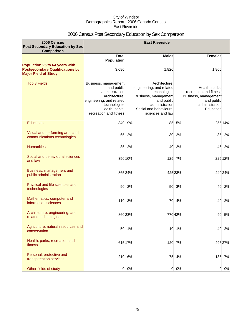# 2006 Census Post Secondary Education by Sex Comparison

| 2006 Census<br><b>Post Secondary Education by Sex</b>                                                   |                                                                                                                                                               |         | <b>East Riverside</b>                                                                                                                                           |        |                                                                                                               |         |
|---------------------------------------------------------------------------------------------------------|---------------------------------------------------------------------------------------------------------------------------------------------------------------|---------|-----------------------------------------------------------------------------------------------------------------------------------------------------------------|--------|---------------------------------------------------------------------------------------------------------------|---------|
| <b>Comparison</b>                                                                                       |                                                                                                                                                               |         | <b>Males</b>                                                                                                                                                    |        | <b>Females</b>                                                                                                |         |
|                                                                                                         | <b>Total</b><br><b>Population</b>                                                                                                                             |         |                                                                                                                                                                 |        |                                                                                                               |         |
| Population 25 to 64 years with<br><b>Postsecondary Qualifications by</b><br><b>Major Field of Study</b> | 3,680                                                                                                                                                         |         | 1,820                                                                                                                                                           |        | 1,860                                                                                                         |         |
| <b>Top 3 Fields</b>                                                                                     | Business, management<br>and public<br>administration<br>Architecture.<br>engineering, and related<br>technologies<br>Health, parks,<br>recreation and fitness |         | Architecture.<br>engineering, and related<br>technologies<br>Business, management<br>and public<br>administration<br>Social and behavioural<br>sciences and law |        | Health, parks,<br>recreation and fitness<br>Business, management<br>and public<br>administration<br>Education |         |
| Education                                                                                               | 340                                                                                                                                                           | 9%      | 85                                                                                                                                                              | 5%     |                                                                                                               | 255 14% |
| Visual and performing arts, and<br>communications technologies                                          | 65                                                                                                                                                            | 2%      | 30                                                                                                                                                              | 2%     | 35                                                                                                            | 2%      |
| <b>Humanities</b>                                                                                       | 85                                                                                                                                                            | 2%      | 40                                                                                                                                                              | 2%     | 45                                                                                                            | 2%      |
| Social and behavioural sciences<br>and law                                                              |                                                                                                                                                               | 350 10% | 125                                                                                                                                                             | 7%     |                                                                                                               | 225 12% |
| Business, management and<br>public administration                                                       |                                                                                                                                                               | 865 24% |                                                                                                                                                                 | 42523% |                                                                                                               | 440 24% |
| Physical and life sciences and<br>technologies                                                          | 90                                                                                                                                                            | 2%      | 50                                                                                                                                                              | 3%     | 40                                                                                                            | 2%      |
| Mathematics, computer and<br>information sciences                                                       | 110                                                                                                                                                           | 3%      | 70                                                                                                                                                              | 4%     | 40                                                                                                            | 2%      |
| Architecture, engineering, and<br>related technologies                                                  |                                                                                                                                                               | 860 23% |                                                                                                                                                                 | 77042% | 90                                                                                                            | 5%      |
| Agriculture, natural resources and<br>conservation                                                      |                                                                                                                                                               | 50 1%   | 10                                                                                                                                                              | 1%     | 40                                                                                                            | 2%      |
| Health, parks, recreation and<br>fitness                                                                |                                                                                                                                                               | 615 17% |                                                                                                                                                                 | 120 7% |                                                                                                               | 495 27% |
| Personal, protective and<br>transportation services                                                     |                                                                                                                                                               | 210 6%  | 75                                                                                                                                                              | 4%     |                                                                                                               | 135 7%  |
| Other fields of study                                                                                   | $\mathbf{0}$                                                                                                                                                  | 0%      | $\overline{0}$                                                                                                                                                  | 0%     | O                                                                                                             | 0%      |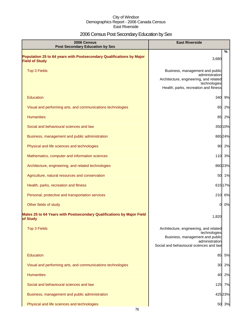# 2006 Census Post Secondary Education by Sex

| 2006 Census<br><b>Post Secondary Education by Sex</b>                                         | <b>East Riverside</b>                                                                                                                                  |
|-----------------------------------------------------------------------------------------------|--------------------------------------------------------------------------------------------------------------------------------------------------------|
| Population 25 to 64 years with Postsecondary Qualifications by Major<br><b>Field of Study</b> | %<br>3,680                                                                                                                                             |
| <b>Top 3 Fields</b>                                                                           | Business, management and public<br>administration<br>Architecture, engineering, and related<br>technologies<br>Health, parks, recreation and fitness   |
| <b>Education</b>                                                                              | 340 9%                                                                                                                                                 |
| Visual and performing arts, and communications technologies                                   | 65<br>2%                                                                                                                                               |
| <b>Humanities</b>                                                                             | 85 2%                                                                                                                                                  |
| Social and behavioural sciences and law                                                       | 35010%                                                                                                                                                 |
| Business, management and public administration                                                | 86524%                                                                                                                                                 |
| Physical and life sciences and technologies                                                   | 90 2%                                                                                                                                                  |
| Mathematics, computer and information sciences                                                | 110 3%                                                                                                                                                 |
| Architecture, engineering, and related technologies                                           | 86023%                                                                                                                                                 |
| Agriculture, natural resources and conservation                                               | 50 1%                                                                                                                                                  |
| Health, parks, recreation and fitness                                                         | 61517%                                                                                                                                                 |
| Personal, protective and transportation services                                              | 210 6%                                                                                                                                                 |
| Other fields of study                                                                         | 0%<br>$\mathbf{0}$                                                                                                                                     |
| Males 25 to 64 Years with Postsecondary Qualifications by Major Field<br>of Study             | 1,820                                                                                                                                                  |
| <b>Top 3 Fields</b>                                                                           | Architecture, engineering, and related<br>technologies<br>Business, management and public<br>administration<br>Social and behavioural sciences and law |
| Education                                                                                     | 5%<br>85                                                                                                                                               |
| Visual and performing arts, and communications technologies                                   | 2%<br>30                                                                                                                                               |
| <b>Humanities</b>                                                                             | 40<br>2%                                                                                                                                               |
| Social and behavioural sciences and law                                                       | 125 7%                                                                                                                                                 |
| Business, management and public administration                                                | 425 23%                                                                                                                                                |
| Physical and life sciences and technologies                                                   | 50 3%                                                                                                                                                  |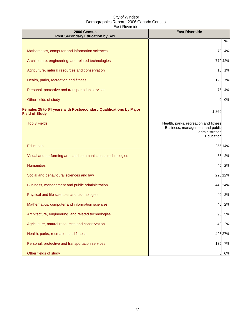| 2006 Census<br><b>Post Secondary Education by Sex</b>                                      | <b>East Riverside</b>                                                                                   |  |  |
|--------------------------------------------------------------------------------------------|---------------------------------------------------------------------------------------------------------|--|--|
|                                                                                            | %                                                                                                       |  |  |
| Mathematics, computer and information sciences                                             | 70<br>4%                                                                                                |  |  |
| Architecture, engineering, and related technologies                                        | 77042%                                                                                                  |  |  |
| Agriculture, natural resources and conservation                                            | 1%<br>10                                                                                                |  |  |
| Health, parks, recreation and fitness                                                      | 120<br>7%                                                                                               |  |  |
| Personal, protective and transportation services                                           | 75<br>4%                                                                                                |  |  |
| Other fields of study                                                                      | 0%<br>0                                                                                                 |  |  |
| Females 25 to 64 years with Postsecondary Qualifications by Major<br><b>Field of Study</b> | 1,860                                                                                                   |  |  |
| <b>Top 3 Fields</b>                                                                        | Health, parks, recreation and fitness<br>Business, management and public<br>administration<br>Education |  |  |
| Education                                                                                  | 25514%                                                                                                  |  |  |
| Visual and performing arts, and communications technologies                                | 35<br>2%                                                                                                |  |  |
| <b>Humanities</b>                                                                          | 45<br>2%                                                                                                |  |  |
| Social and behavioural sciences and law                                                    | 22512%                                                                                                  |  |  |
| Business, management and public administration                                             | 44024%                                                                                                  |  |  |
| Physical and life sciences and technologies                                                | 40 2%                                                                                                   |  |  |
| Mathematics, computer and information sciences                                             | 40<br>2%                                                                                                |  |  |
| Architecture, engineering, and related technologies                                        | 90<br>5%                                                                                                |  |  |
| Agriculture, natural resources and conservation                                            | 40<br>2%                                                                                                |  |  |
| Health, parks, recreation and fitness                                                      | 495 27%                                                                                                 |  |  |
| Personal, protective and transportation services                                           | 135 7%                                                                                                  |  |  |
| Other fields of study                                                                      | 0%<br>$\overline{O}$                                                                                    |  |  |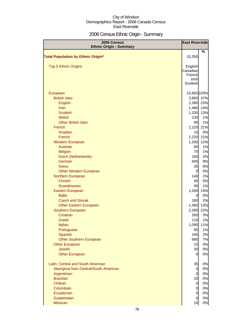# 2006 Census Ethnic Origin - Summary

| 2006 Census<br><b>Ethnic Origin - Summary</b>                                                                                                                                                                                                                                                                                                                                                                                                                                                                                                                                                              | <b>East Riverside</b>                                                                                                                                                                                                                                   |                                                                                                                                                                                                               |
|------------------------------------------------------------------------------------------------------------------------------------------------------------------------------------------------------------------------------------------------------------------------------------------------------------------------------------------------------------------------------------------------------------------------------------------------------------------------------------------------------------------------------------------------------------------------------------------------------------|---------------------------------------------------------------------------------------------------------------------------------------------------------------------------------------------------------------------------------------------------------|---------------------------------------------------------------------------------------------------------------------------------------------------------------------------------------------------------------|
| <b>Total Population by Ethnic Origin*</b>                                                                                                                                                                                                                                                                                                                                                                                                                                                                                                                                                                  | 10,350                                                                                                                                                                                                                                                  | %                                                                                                                                                                                                             |
| <b>Top 5 Ethnic Origins</b>                                                                                                                                                                                                                                                                                                                                                                                                                                                                                                                                                                                | English<br>Canadian<br>French<br>Irish<br>Scottish                                                                                                                                                                                                      |                                                                                                                                                                                                               |
| European<br><b>British Isles</b><br>English<br><b>Irish</b><br><b>Scottish</b><br>Welsh<br><b>Other British Isles</b><br>French<br>Acadian<br>French<br><b>Western European</b><br>Austrian<br><b>Belgian</b><br>Dutch (Netherlands)<br>German<br><b>Swiss</b><br><b>Other Western European</b><br>Northern European<br>Finnish<br>Scandinavian<br>Eastern European<br><b>Baltic</b><br><b>Czech and Slovak</b><br><b>Other Eastern European</b><br>Southern European<br>Croatian<br>Greek<br>Italian<br>Portuguese<br>Spanish<br><b>Other Southern European</b><br><b>Other European</b><br><b>Jewish</b> | 10,665 103%<br>2,380<br>1,480<br>1,335<br>130<br>95<br>2,220<br>15<br>2,220<br>1,200<br>85<br>70<br>165<br>945<br>35<br>0<br>140<br>45<br>95<br>1,450<br>$\overline{0}$<br>180<br>1,360<br>2,280<br>265<br>110<br>1,095<br>65<br>195<br>680<br>15<br>35 | 3,850 37%<br>23%<br>14%<br>13%<br>1%<br>1%<br>21%<br>0%<br>21%<br>12%<br>1%<br>1%<br>2%<br>9%<br>0%<br>0%<br>1%<br>0%<br>1%<br>14%<br>0%<br>2%<br>13%<br>22%<br>3%<br>1%<br>11%<br>1%<br>2%<br>7%<br>0%<br>0% |
| <b>Other European</b><br>Latin, Central and South American<br>Aboriginal from Central/South American<br>Argentinian<br><b>Brazilian</b><br>Chilean<br>Colombian<br>Ecuadorian<br>Guatemalan                                                                                                                                                                                                                                                                                                                                                                                                                | 0<br>35<br>$\overline{0}$<br>$\overline{0}$<br>20<br>$\overline{0}$<br>$\overline{O}$<br>$\overline{O}$<br>$\overline{0}$                                                                                                                               | 0%<br>0%<br>0%<br>0%<br>0%<br>0%<br>0%<br>0%<br>0%                                                                                                                                                            |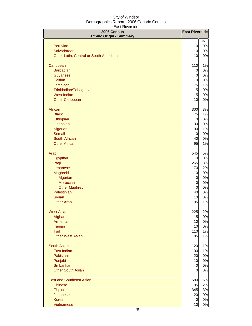| 2006 Census                            | <b>East Riverside</b> |          |
|----------------------------------------|-----------------------|----------|
| <b>Ethnic Origin - Summary</b>         |                       | %        |
| Peruvian                               | $\mathbf 0$           | 0%       |
| Salvadorean                            | $\overline{O}$        | 0%       |
| Other Latin, Central or South American | 10                    | 0%       |
|                                        |                       |          |
| Caribbean                              | 110                   | 1%       |
| <b>Barbadian</b>                       | 0                     | 0%       |
| Guyanese                               | $\overline{0}$        | 0%       |
| <b>Haitian</b>                         | $\overline{0}$        | 0%       |
| Jamaican                               | 75                    | 1%       |
| Trinidadian/Tobagonian                 | 15                    | 0%       |
| <b>West Indian</b>                     | 15                    | 0%       |
| <b>Other Caribbean</b>                 | 10                    | 0%       |
| African                                | 300                   | 3%       |
| <b>Black</b>                           | 75                    | 1%       |
| Ethiopian                              | $\overline{0}$        | 0%       |
| Ghanaian                               | 30                    | 0%       |
| Nigerian                               | 90                    | 1%       |
| Somali                                 | $\overline{0}$        | 0%       |
| South African                          | 40                    | 0%       |
| <b>Other African</b>                   | 95                    | 1%       |
| Arab                                   | 545                   | 5%       |
| Egyptian                               | 0                     | 0%       |
| Iraqi                                  | 265                   | 3%       |
| Lebanese                               | 170                   | 2%       |
| Maghrebi                               | 0                     | 0%       |
| Algerian                               | 0                     | 0%       |
| Moroccan                               | $\mathbf 0$           | 0%       |
| <b>Other Maghrebi</b>                  | $\overline{0}$        | 0%       |
| Palestinian                            | 40                    | 0%       |
| Syrian                                 | 10                    | 0%       |
| <b>Other Arab</b>                      | 105                   | 1%       |
| <b>West Asian</b>                      | 225                   | 2%       |
| Afghan                                 | 15                    | 0%       |
| Armenian                               | 10                    | 0%       |
| <b>Iranian</b>                         | 10                    | 0%       |
| <b>Turk</b>                            | 110                   | 1%       |
| <b>Other West Asian</b>                | 85                    | 1%       |
| <b>South Asian</b>                     | 120                   | 1%       |
| East Indian                            | 100                   | 1%       |
| Pakistani                              | 20                    | 0%       |
| Punjabi                                | 10                    | 0%       |
| Sri Lankan                             | $\overline{0}$        | 0%       |
| <b>Other South Asian</b>               | $\overline{0}$        | 0%       |
| <b>East and Southeast Asian</b>        |                       |          |
| <b>Chinese</b>                         | 580<br>195            | 6%<br>2% |
| Filipino                               | 345                   | 3%       |
| Japanese                               | 20                    | 0%       |
| Korean                                 | $\overline{0}$        | 0%       |
| Vietnamese                             | 10                    | 0%       |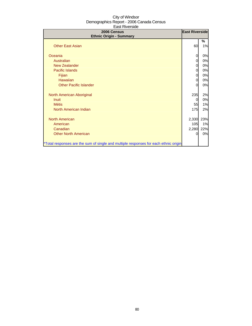| 2006 Census<br><b>Ethnic Origin - Summary</b>                                        | <b>East Riverside</b> |         |
|--------------------------------------------------------------------------------------|-----------------------|---------|
| <b>Other East Asian</b>                                                              | 60                    | ℅<br>1% |
| Oceania                                                                              |                       | 0%      |
| Australian                                                                           |                       | 0%      |
| <b>New Zealander</b>                                                                 | 0                     | 0%      |
| <b>Pacific Islands</b>                                                               | 0                     | 0%      |
| Fijian                                                                               | 0                     | 0%      |
| Hawaiian                                                                             | 0                     | 0%      |
| <b>Other Pacific Islander</b>                                                        |                       | 0%      |
| North American Aboriginal                                                            | 235                   | 2%      |
| <b>Inuit</b>                                                                         | 0                     | 0%      |
| <b>Métis</b>                                                                         | 55                    | 1%      |
| North American Indian                                                                | <b>175</b>            | 2%      |
| <b>North American</b>                                                                | 2,330                 | 23%     |
| American                                                                             | 105                   | 1%      |
| Canadian                                                                             | 2,280                 | 22%     |
| <b>Other North American</b>                                                          | Ω                     | 0%      |
| *Total responses are the sum of single and multiple responses for each ethnic origin |                       |         |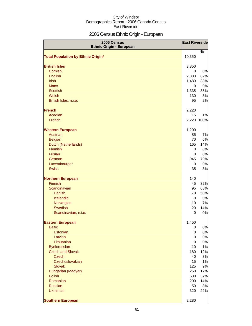# 2006 Census Ethnic Origin - European

| 2006 Census<br><b>Ethnic Origin - European</b> | <b>East Riverside</b> |            |
|------------------------------------------------|-----------------------|------------|
| <b>Total Population by Ethnic Origin*</b>      | 10,350                | %          |
|                                                |                       |            |
| <b>British Isles</b>                           | 3,850                 |            |
| Cornish                                        | 0                     | 0%         |
| English                                        | 2,380                 | 62%        |
| <b>Irish</b>                                   | 1,480                 | 38%        |
| <b>Manx</b>                                    | $\overline{0}$        | 0%         |
| <b>Scottish</b>                                | 1,335                 | 35%        |
| Welsh                                          | 130                   | 3%         |
| British Isles, n.i.e.                          | 95                    | 2%         |
| <b>French</b>                                  | 2,220                 |            |
| Acadian                                        | 15                    | 1%         |
| French                                         |                       | 2,220 100% |
| <b>Western European</b>                        | 1,200                 |            |
| Austrian                                       | 85                    | 7%         |
| <b>Belgian</b>                                 | 70                    | 6%         |
| Dutch (Netherlands)                            | 165                   | 14%        |
| Flemish                                        | $\overline{0}$        | 0%         |
| Frisian                                        | $\overline{O}$        | 0%         |
| German                                         | 945                   | 79%        |
| Luxembourger                                   | 0                     | 0%         |
| <b>Swiss</b>                                   | 35                    | 3%         |
| <b>Northern European</b>                       | 140                   |            |
| <b>Finnish</b>                                 | 45                    | 32%        |
| Scandinavian                                   | 95                    | 68%        |
| <b>Danish</b>                                  | 70                    | 50%        |
| Icelandic                                      | $\overline{0}$        | 0%         |
| Norwegian                                      | 10                    | 7%         |
| <b>Swedish</b>                                 | 20                    | 14%        |
| Scandinavian, n.i.e.                           | 0                     | 0%         |
| <b>Eastern European</b>                        | 1,450                 |            |
| <b>Baltic</b>                                  | $\overline{0}$        | 0%         |
| Estonian                                       | $\mathbf 0$           | 0%         |
| Latvian                                        | $\overline{O}$        | 0%         |
| Lithuanian                                     | $\overline{0}$        | 0%         |
| <b>Byelorussian</b>                            | 10                    | 1%         |
| <b>Czech and Slovak</b><br><b>Czech</b>        | 180<br>40             | 12%<br>3%  |
| Czechoslovakian                                | 15                    | 1%         |
| <b>Slovak</b>                                  | 125                   | 9%         |
| Hungarian (Magyar)                             | 250                   | 17%        |
| <b>Polish</b>                                  | 530                   | 37%        |
| Romanian                                       | 200                   | 14%        |
| <b>Russian</b>                                 | 50                    | 3%         |
| <b>Ukrainian</b>                               | 320                   | 22%        |
| <b>Southern European</b>                       | 2,280                 |            |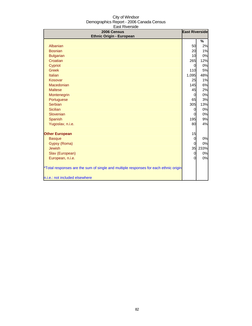| 2006 Census                                                                          |             | <b>East Riverside</b> |
|--------------------------------------------------------------------------------------|-------------|-----------------------|
| <b>Ethnic Origin - European</b>                                                      |             |                       |
| Albanian                                                                             |             | %<br>2%               |
| <b>Bosnian</b>                                                                       | 50          | 1%                    |
|                                                                                      | 20          | 0%                    |
| <b>Bulgarian</b><br>Croatian                                                         | 10<br>265   | 12%                   |
| Cypriot                                                                              | 0           | 0%                    |
| <b>Greek</b>                                                                         | 110         | 5%                    |
| Italian                                                                              | 1,095       | 48%                   |
| Kosovar                                                                              | 25          | 1%                    |
| Macedonian                                                                           | 145         | 6%                    |
| <b>Maltese</b>                                                                       | 45          | 2%                    |
| Montenegrin                                                                          | 0           | 0%                    |
| Portuguese                                                                           | 65          | 3%                    |
| Serbian                                                                              | 305         | 13%                   |
| <b>Sicilian</b>                                                                      | 0           | 0%                    |
| Slovenian                                                                            | 0           | 0%                    |
| Spanish                                                                              | 195         | 9%                    |
| Yugoslav, n.i.e.                                                                     | 80          | 4%                    |
|                                                                                      |             |                       |
| <b>Other European</b>                                                                | 15          |                       |
| <b>Basque</b>                                                                        | $\mathbf 0$ | 0%                    |
| Gypsy (Roma)                                                                         | 0           | 0%                    |
| <b>Jewish</b>                                                                        | 35          | 233%                  |
| Slav (European)                                                                      | 0           | 0%                    |
| European, n.i.e.                                                                     | $\Omega$    | 0%                    |
|                                                                                      |             |                       |
| *Total responses are the sum of single and multiple responses for each ethnic origin |             |                       |
| n.i.e.: not included elsewhere                                                       |             |                       |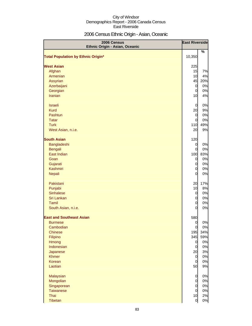# 2006 Census Ethnic Origin - Asian, Oceanic

| 2006 Census<br>Ethnic Origin - Asian, Oceanic | <b>East Riverside</b> |          |
|-----------------------------------------------|-----------------------|----------|
| <b>Total Population by Ethnic Origin*</b>     | 10,350                | %        |
| <b>West Asian</b>                             | 225                   |          |
| Afghan                                        | 15                    | 7%       |
| Armenian                                      | 10                    | 4%       |
| <b>Assyrian</b>                               | 45                    | 20%      |
| Azerbaijani                                   | $\overline{0}$        | 0%       |
| Georgian                                      | $\overline{0}$        | 0%       |
| Iranian                                       | 10                    | 4%       |
| <b>Israeli</b>                                | $\overline{0}$        | 0%       |
| <b>Kurd</b>                                   | 20                    | 9%       |
| Pashtun                                       | $\overline{0}$        | 0%       |
| <b>Tatar</b>                                  | $\overline{0}$        | 0%       |
| <b>Turk</b>                                   | 110                   | 49%      |
| West Asian, n.i.e.                            | 20                    | 9%       |
| <b>South Asian</b>                            | 120                   |          |
| Bangladeshi                                   | $\overline{0}$        | 0%       |
| Bengali                                       | $\overline{0}$        | 0%       |
| <b>East Indian</b>                            | 100                   | 83%      |
| Goan                                          | $\overline{0}$        | 0%       |
| Gujarati                                      | $\overline{0}$        | 0%       |
| Kashmiri                                      | $\overline{0}$        | 0%       |
| Nepali                                        | $\overline{0}$        | 0%       |
| Pakistani                                     | 20                    | 17%      |
| Punjabi                                       | 10                    | 8%       |
| <b>Sinhalese</b>                              | $\overline{0}$        | 0%       |
| Sri Lankan                                    | $\overline{0}$        | 0%       |
| Tamil                                         | 0                     | 0%       |
| South Asian, n.i.e.                           | 0                     | 0%       |
| <b>East and Southeast Asian</b>               | 580                   |          |
| <b>Burmese</b>                                | $\overline{0}$        | 0%       |
| Cambodian                                     | $\overline{O}$        | 0%       |
| <b>Chinese</b>                                | 195                   | 34%      |
| Filipino                                      | 345                   | 59%      |
| Hmong                                         | $\overline{0}$        | 0%       |
| Indonesian                                    | $\overline{0}$        | 0%       |
| Japanese<br><b>Khmer</b>                      | 20<br>$\overline{0}$  | 3%       |
| Korean                                        | $\overline{0}$        | 0%<br>0% |
| Laotian                                       | 50                    | 9%       |
| Malaysian                                     | $\mathbf 0$           | 0%       |
| Mongolian                                     | $\overline{O}$        | 0%       |
| Singaporean                                   | $\overline{O}$        | 0%       |
| <b>Taiwanese</b>                              | $\overline{O}$        | 0%       |
| Thai                                          | 10                    | 2%       |
| Tibetan                                       | $\overline{0}$        | 0%       |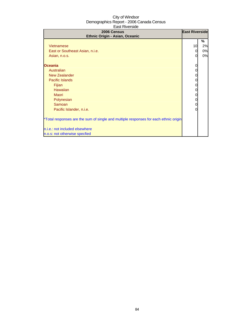| 2006 Census<br>Ethnic Origin - Asian, Oceanic                                                                                                                                                                                                                                                                                                                                                  | <b>East Riverside</b>                           |                     |
|------------------------------------------------------------------------------------------------------------------------------------------------------------------------------------------------------------------------------------------------------------------------------------------------------------------------------------------------------------------------------------------------|-------------------------------------------------|---------------------|
| Vietnamese<br>East or Southeast Asian, n.i.e.<br>Asian, n.o.s.<br><b>Oceania</b><br>Australian<br><b>New Zealander</b><br>Pacific Islands<br>Fijian<br>Hawaiian<br><b>Maori</b><br>Polynesian<br>Samoan<br>Pacific Islander, n.i.e.<br>*Total responses are the sum of single and multiple responses for each ethnic origin<br>n.i.e.: not included elsewhere<br>n.o.s: not otherwise specfied | 10<br>0<br>0<br>0<br>0<br>0<br>0<br>0<br>0<br>0 | %<br>2%<br>0%<br>0% |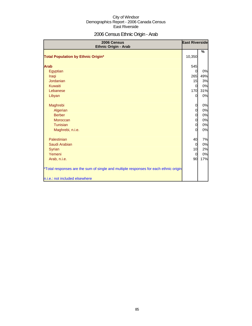# 2006 Census Ethnic Origin - Arab

| 2006 Census<br>Ethnic Origin - Arab                                                  | <b>East Riverside</b> |     |
|--------------------------------------------------------------------------------------|-----------------------|-----|
|                                                                                      |                       | %   |
| <b>Total Population by Ethnic Origin*</b>                                            | 10,350                |     |
| <b>Arab</b>                                                                          | 545                   |     |
| Egyptian                                                                             | $\Omega$              | 0%  |
| Iraqi                                                                                | 265                   | 49% |
| Jordanian                                                                            | 15                    | 3%  |
| Kuwaiti                                                                              | $\overline{0}$        | 0%  |
| Lebanese                                                                             | 170                   | 31% |
| Libyan                                                                               | 0                     | 0%  |
| Maghrebi                                                                             | $\overline{0}$        | 0%  |
| Algerian                                                                             | $\overline{0}$        | 0%  |
| <b>Berber</b>                                                                        | 0                     | 0%  |
| Moroccan                                                                             | $\overline{0}$        | 0%  |
| Tunisian                                                                             | $\overline{0}$        | 0%  |
| Maghrebi, n.i.e.                                                                     | $\overline{0}$        | 0%  |
| Palestinian                                                                          | 40                    | 7%  |
| Saudi Arabian                                                                        | $\overline{0}$        | 0%  |
| Syrian                                                                               | 10                    | 2%  |
| Yemeni                                                                               | 0                     | 0%  |
| Arab, n.i.e.                                                                         | 90                    | 17% |
| *Total responses are the sum of single and multiple responses for each ethnic origin |                       |     |
| n.i.e.: not included elsewhere                                                       |                       |     |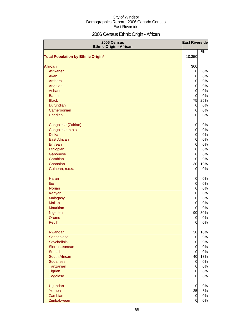# 2006 Census Ethnic Origin - African

| 2006 Census<br><b>Ethnic Origin - African</b> |                | <b>East Riverside</b> |
|-----------------------------------------------|----------------|-----------------------|
| Total Population by Ethnic Origin*            | 10,350         | %                     |
| <b>African</b>                                | 300            |                       |
| Afrikaner                                     | $\overline{0}$ | 0%                    |
| Akan                                          | $\overline{0}$ | 0%                    |
| Amhara                                        | $\overline{0}$ | 0%                    |
| Angolan                                       | $\overline{0}$ | 0%                    |
| Ashanti                                       | $\overline{0}$ | 0%                    |
| <b>Bantu</b>                                  | $\overline{0}$ | 0%                    |
| <b>Black</b>                                  | 75             | 25%                   |
| <b>Burundian</b>                              | $\overline{0}$ | 0%                    |
| Cameroonian                                   | $\overline{0}$ | 0%                    |
| Chadian                                       | $\overline{0}$ | 0%                    |
|                                               |                |                       |
| Congolese (Zairian)                           | $\mathbf 0$    | 0%                    |
| Congolese, n.o.s.                             | $\overline{0}$ | 0%                    |
| <b>Dinka</b>                                  | $\overline{0}$ | 0%                    |
| <b>East African</b>                           | $\overline{O}$ | 0%                    |
| Eritrean                                      | $\overline{0}$ | 0%                    |
| Ethiopian                                     | $\overline{0}$ | 0%                    |
| Gabonese                                      | $\overline{0}$ | 0%                    |
| Gambian                                       | $\mathbf 0$    | 0%                    |
| Ghanaian                                      | 30             | 10%                   |
| Guinean, n.o.s.                               | $\overline{0}$ | 0%                    |
| Harari                                        | 0              | 0%                    |
| Ibo                                           | $\overline{0}$ | 0%                    |
| <b>Ivorian</b>                                | $\overline{0}$ | 0%                    |
| Kenyan                                        | $\overline{0}$ | 0%                    |
| <b>Malagasy</b>                               | $\overline{0}$ | 0%                    |
| <b>Malian</b>                                 | $\mathbf 0$    | 0%                    |
| <b>Mauritian</b>                              | 0              | 0%                    |
| Nigerian                                      | 90             | 30%                   |
| Oromo                                         | 0              | 0%                    |
| Peulh                                         | $\overline{0}$ | 0%                    |
| Rwandan                                       | 30             | 10%                   |
| Senegalese                                    | $\overline{0}$ | 0%                    |
| Seychellois                                   | $\overline{0}$ | 0%                    |
| Sierra Leonean                                | $\overline{0}$ | 0%                    |
| Somali                                        | $\overline{0}$ | 0%                    |
| South African                                 | 40             | 13%                   |
| <b>Sudanese</b>                               | $\overline{0}$ | 0%                    |
| Tanzanian                                     | $\overline{0}$ | 0%                    |
| Tigrian                                       | $\overline{0}$ | 0%                    |
| <b>Togolese</b>                               | $\overline{0}$ | 0%                    |
| Ugandan                                       | $\overline{0}$ | 0%                    |
| Yoruba                                        | 25             | 8%                    |
| Zambian                                       | $\overline{0}$ | 0%                    |
| Zimbabwean                                    | 0              | 0%                    |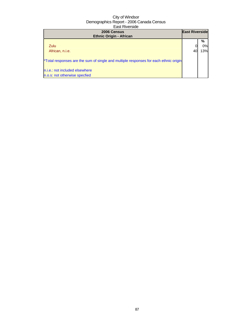| 2006 Census<br><b>Ethnic Origin - African</b>                                        | <b>East Riverside</b> |         |
|--------------------------------------------------------------------------------------|-----------------------|---------|
| Zulu                                                                                 |                       | %<br>0% |
|                                                                                      |                       |         |
| African, n.i.e.                                                                      | 40                    | 13%     |
| *Total responses are the sum of single and multiple responses for each ethnic origin |                       |         |
| n.i.e.: not included elsewhere                                                       |                       |         |
| n.o.s: not otherwise specfied                                                        |                       |         |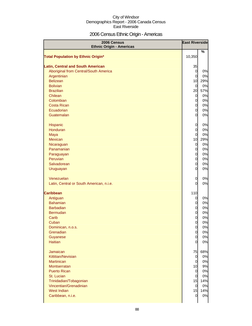# 2006 Census Ethnic Origin - Americas

| 2006 Census<br><b>Ethnic Origin - Americas</b> | <b>East Riverside</b> |           |
|------------------------------------------------|-----------------------|-----------|
| <b>Total Population by Ethnic Origin*</b>      | 10,350                | %         |
|                                                |                       |           |
| <b>Latin, Central and South American</b>       | 35                    |           |
| Aboriginal from Central/South America          | $\mathbf 0$           | 0%        |
| Argentinian<br><b>Belizean</b>                 | $\overline{0}$<br>10  | 0%<br>29% |
| <b>Bolivian</b>                                | $\overline{0}$        | 0%        |
| <b>Brazilian</b>                               | 20                    | 57%       |
| Chilean                                        | $\overline{0}$        | 0%        |
| Colombian                                      | $\mathbf 0$           | 0%        |
| <b>Costa Rican</b>                             | $\mathbf 0$           | 0%        |
| Ecuadorian                                     | $\mathbf 0$           | 0%        |
| Guatemalan                                     | $\overline{0}$        | 0%        |
|                                                |                       |           |
| Hispanic                                       | 0                     | 0%        |
| Honduran                                       | $\overline{0}$        | 0%        |
| Maya                                           | $\overline{0}$        | 0%        |
| Mexican                                        | 10                    | 29%       |
| Nicaraguan                                     | $\overline{0}$        | 0%        |
| Panamanian                                     | $\overline{0}$        | 0%        |
| Paraguayan                                     | $\mathbf 0$           | 0%        |
| Peruvian                                       | $\mathbf 0$           | 0%        |
| Salvadorean                                    | $\overline{0}$        | 0%        |
| Uruguayan                                      | $\overline{0}$        | 0%        |
| Venezuelan                                     | 0                     | 0%        |
| Latin, Central or South American, n.i.e.       | $\Omega$              | 0%        |
| <b>Caribbean</b>                               | 110                   |           |
| Antiguan                                       | $\overline{0}$        | 0%        |
| <b>Bahamian</b>                                | 0                     | 0%        |
| <b>Barbadian</b>                               | $\overline{0}$        | 0%        |
| <b>Bermudan</b>                                | $\overline{0}$        | 0%        |
| Carib                                          | 0                     | 0%        |
| Cuban                                          | $\Omega$              | 0%        |
| Dominican, n.o.s.                              | $\mathbf 0$           | 0%        |
| Grenadian                                      | $\overline{0}$        | 0%        |
| Guyanese                                       | $\overline{0}$        | 0%        |
| Haitian                                        | $\Omega$              | 0%        |
| <b>Jamaican</b>                                | 75                    | 68%       |
| Kittitian/Nevisian                             | $\overline{0}$        | 0%        |
| <b>Martinican</b>                              | $\overline{0}$        | 0%        |
| Montserratan                                   | 10                    | 9%        |
| <b>Puerto Rican</b>                            | $\overline{0}$        | 0%        |
| St. Lucian                                     | $\overline{0}$        | 0%        |
| Trinidadian/Tobagonian                         | 15                    | 14%       |
| Vincentian/Grenadinian                         | $\mathbf 0$           | 0%        |
| West Indian                                    | 15                    | 14%       |
| Caribbean, n.i.e.                              | 0                     | 0%        |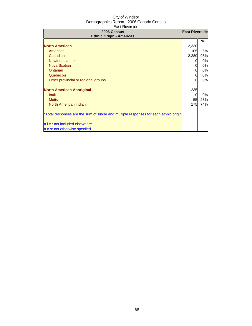| 2006 Census<br><b>Ethnic Origin - Americas</b>                                       | <b>East Riverside</b> |     |
|--------------------------------------------------------------------------------------|-----------------------|-----|
|                                                                                      |                       | ℅   |
| <b>North American</b>                                                                | 2,330                 |     |
| American                                                                             | 105                   | 5%  |
| Canadian                                                                             | 2,280                 | 98% |
| Newfoundlander                                                                       | 0                     | 0%  |
| Nova Scotian                                                                         |                       | 0%  |
| <b>Ontarian</b>                                                                      | 0                     | 0%  |
| Québécois                                                                            |                       | 0%  |
| Other provincial or regional groups                                                  |                       | 0%  |
| <b>North American Aboriginal</b>                                                     | 235                   |     |
| Inuit                                                                                |                       | 0%  |
| <b>Métis</b>                                                                         | 55                    | 23% |
| North American Indian                                                                | 175                   | 74% |
| *Total responses are the sum of single and multiple responses for each ethnic origin |                       |     |
| n.i.e.: not included elsewhere                                                       |                       |     |
| n.o.s: not otherwise specfied                                                        |                       |     |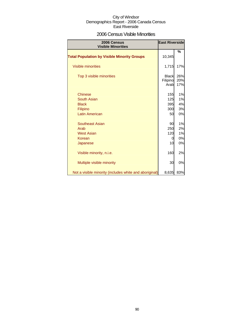### 2006 Census Visible Minorities

| <b>East Riverside</b><br>2006 Census<br><b>Visible Minorities</b> |                                  |                   |
|-------------------------------------------------------------------|----------------------------------|-------------------|
| <b>Total Population by Visible Minority Groups</b>                | 10,345                           | %                 |
| <b>Visible minorities</b>                                         | 1,715                            | 17%               |
| Top 3 visible minorities                                          | <b>Black</b><br>Filipino<br>Arab | 26%<br>20%<br>17% |
| <b>Chinese</b>                                                    | 155                              | 1%                |
| South Asian                                                       | 125                              | 1%                |
| <b>Black</b>                                                      | 395                              | 4%                |
| Filipino                                                          | 300                              | 3%                |
| <b>Latin American</b>                                             | 50                               | 0%                |
| Southeast Asian                                                   | 90                               | 1%                |
| Arab                                                              | 250                              | 2%                |
| <b>West Asian</b>                                                 | 120                              | 1%                |
| Korean                                                            | 0                                | 0%                |
| Japanese                                                          | 10                               | 0%                |
| Visible minority, n.i.e.                                          | 160                              | 2%                |
| Multiple visible minority                                         | 30                               | 0%                |
| Not a visible minority (includes white and aboriginal)            | 8,635                            | 83%               |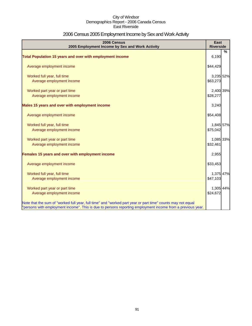# 2006 Census 2005 Employment Income by Sex and Work Activity

| 2006 Census<br>2005 Employment Income by Sex and Work Activity                                              | East<br><b>Riverside</b> |   |
|-------------------------------------------------------------------------------------------------------------|--------------------------|---|
|                                                                                                             |                          | % |
| Total Population 15 years and over with employment income                                                   | 6,190                    |   |
| Average employment income                                                                                   | \$44,429                 |   |
| Worked full year, full time                                                                                 | 3,235 52%                |   |
| Average employment income                                                                                   | \$63,273                 |   |
| Worked part year or part time                                                                               | 2,400 39%                |   |
| Average employment income                                                                                   | \$28,277                 |   |
| Males 15 years and over with employment income                                                              | 3,240                    |   |
| Average employment income                                                                                   | \$54,408                 |   |
| Worked full year, full time                                                                                 | 1,845 57%                |   |
| Average employment income                                                                                   | \$75,042                 |   |
| Worked part year or part time                                                                               | 1,085 33%                |   |
| Average employment income                                                                                   | \$32,461                 |   |
| Females 15 years and over with employment income                                                            | 2,955                    |   |
| Average employment income                                                                                   | \$33,453                 |   |
| Worked full year, full time                                                                                 | 1,375 47%                |   |
| Average employment income                                                                                   | \$47,103                 |   |
| Worked part year or part time                                                                               | 1,305 44%                |   |
| Average employment income                                                                                   | \$24,672                 |   |
| Note that the sum of "worked full year, full time" and "worked part year or part time" counts may not equal |                          |   |
| "persons with employment income". This is due to persons reporting employment income from a previous year.  |                          |   |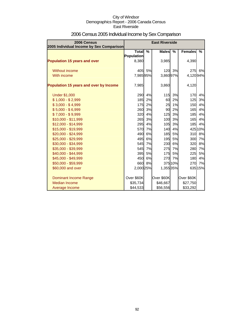| 2006 Census<br>2005 Individual Income by Sex Comparison |                                   | <b>East Riverside</b> |              |               |                |         |
|---------------------------------------------------------|-----------------------------------|-----------------------|--------------|---------------|----------------|---------|
|                                                         | <b>Total</b><br><b>Population</b> | $\%$                  | <b>Males</b> | $\frac{0}{0}$ | <b>Females</b> | %       |
| <b>Population 15 years and over</b>                     | 8,380                             |                       | 3,985        |               | 4,390          |         |
| Without income                                          | 405                               | 5%                    |              | 120 3%        | 275            | 6%      |
| With income                                             | 7,98595%                          |                       | 3,86097%     |               | 4,12094%       |         |
| Population 15 years and over by Income                  | 7,985                             |                       | 3,860        |               | 4,120          |         |
| <b>Under \$1,000</b>                                    | 290                               | 4%                    | 115          | 3%            | 170            | 4%      |
| $$1,000 - $2,999$                                       | 185                               | 2%                    | 60           | 2%            | 125            | 3%      |
| $$3,000 - $4,999$                                       | <b>175</b>                        | 2%                    | 25           | 1%            | 150            | 4%      |
| $$5,000 - $6,999$                                       | 260                               | 3%                    | 90           | 2%            | 165            | 4%      |
| $$7,000 - $9,999$                                       | 320                               | 4%                    | 125          | 3%            | 185            | 4%      |
| $$10,000 - $11,999$                                     | 265                               | 3%                    | 100          | 3%            | 165            | 4%      |
| \$12,000 - \$14,999                                     | 295                               | 4%                    | 105          | 3%            | <b>185</b>     | 4%      |
| \$15,000 - \$19,999                                     | 570                               | 7%                    | 140          | 4%            |                | 425 10% |
| \$20,000 - \$24,999                                     | 490                               | 6%                    | 185          | 5%            | 310            | 8%      |
| \$25,000 - \$29,999                                     | 495                               | 6%                    | 195          | 5%            | 300            | 7%      |
| \$30,000 - \$34,999                                     | 545                               | 7%                    | 230          | 6%            | 320            | 8%      |
| \$35,000 - \$39,999                                     | 545                               | 7%                    |              | 275 7%        | 280            | 7%      |
| \$40,000 - \$44,999                                     | 395                               | 5%                    | 175          | 5%            | 225            | 5%      |
| \$45,000 - \$49,999                                     | 450                               | 6%                    | 270          | 7%            | 180            | 4%      |
| \$50,000 - \$59,999                                     | 660                               | 8%                    |              | 375 10%       | 270            | 7%      |
| \$60,000 and over                                       | 2,000 25%                         |                       | 1,355 35%    |               |                | 635 15% |
| <b>Dominant Income Range</b>                            | Over \$60K                        |                       | Over \$60K   |               | Over \$60K     |         |
| Median Income                                           | \$35,734                          |                       | \$46,667     |               | \$27,750       |         |
| Average Income                                          | \$44,533                          |                       | \$56,556     |               | \$33,292       |         |

# 2006 Census 2005 Individual Income by Sex Comparison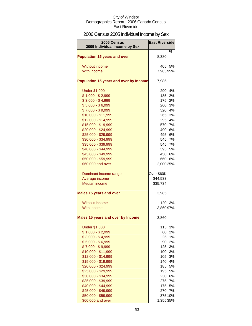# 2006 Census 2005 Individual Income by Sex

| 2006 Census<br>2005 Individual Income by Sex | <b>East Riverside</b> |          |
|----------------------------------------------|-----------------------|----------|
| <b>Population 15 years and over</b>          | 8,380                 | ℅        |
| <b>Without income</b>                        | 405                   | 5%       |
| With income                                  | 7,98595%              |          |
| Population 15 years and over by Income       | 7,985                 |          |
| <b>Under \$1,000</b>                         | 290                   | 4%       |
| $$1,000 - $2,999$                            | 185                   | 2%       |
| $$3,000 - $4,999$                            | <b>175</b>            | 2%       |
| $$5,000 - $6,999$                            | 260                   | 3%       |
| $$7,000 - $9,999$                            | 320                   | 4%       |
| \$10,000 - \$11,999                          | 265                   | 3%       |
| \$12,000 - \$14,999                          | 295                   | 4%       |
| \$15,000 - \$19,999                          | 570                   | 7%       |
| \$20,000 - \$24,999                          | 490                   | 6%       |
| \$25,000 - \$29,999                          | 495                   | 6%       |
| \$30,000 - \$34,999                          | 545                   | 7%       |
| \$35,000 - \$39,999                          | 545                   | 7%       |
| \$40,000 - \$44,999                          | 395<br>450            | 5%<br>6% |
| \$45,000 - \$49,999<br>\$50,000 - \$59,999   | 660                   | 8%       |
| \$60,000 and over                            | 2,000 25%             |          |
|                                              |                       |          |
| Dominant income range                        | Over \$60K            |          |
| Average income                               | \$44,533              |          |
| <b>Median income</b>                         | \$35,734              |          |
| <b>Males 15 years and over</b>               | 3,985                 |          |
| Without income                               | 120                   | 3%       |
| With income                                  | 3,860 97%             |          |
| Males 15 years and over by Income            | 3,860                 |          |
| <b>Under \$1,000</b>                         | 115                   | 3%       |
| $$1,000 - $2,999$                            | 60                    | 2%       |
| $$3,000 - $4,999$                            | 25                    | 1%       |
| $$5,000 - $6,999$                            | 90                    | 2%       |
| $$7,000 - $9,999$                            | 125                   | 3%       |
| \$10,000 - \$11,999                          | 100                   | 3%       |
| \$12,000 - \$14,999                          | 105                   | 3%       |
| \$15,000 - \$19,999                          | 140                   | 4%       |
| \$20,000 - \$24,999                          | 185                   | 5%       |
| \$25,000 - \$29,999                          | 195<br>230            | 5%<br>6% |
| \$30,000 - \$34,999<br>\$35,000 - \$39,999   | 275                   | 7%       |
| \$40,000 - \$44,999                          | 175                   | 5%       |
| \$45,000 - \$49,999                          | 270                   | 7%       |
| \$50,000 - \$59,999                          |                       | 375 10%  |
| \$60,000 and over                            | 1,355 35%             |          |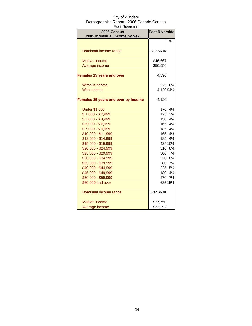| aəlinvələrdə                                 |                       |         |  |
|----------------------------------------------|-----------------------|---------|--|
| 2006 Census<br>2005 Individual Income by Sex | <b>East Riverside</b> |         |  |
|                                              |                       | %       |  |
|                                              |                       |         |  |
| Dominant income range                        | Over \$60K            |         |  |
| <b>Median income</b>                         | \$46,667              |         |  |
| Average income                               | \$56,556              |         |  |
| <b>Females 15 years and over</b>             | 4,390                 |         |  |
| <b>Without income</b>                        | 275                   | 6%      |  |
| With income                                  | 4,12094%              |         |  |
| Females 15 years and over by Income          | 4,120                 |         |  |
| <b>Under \$1,000</b>                         | 170                   | 4%      |  |
| $$1,000 - $2,999$                            | 125                   | 3%      |  |
| $$3,000 - $4,999$                            | 150                   | 4%      |  |
| $$5,000 - $6,999$                            | 165                   | 4%      |  |
| $$7,000 - $9,999$                            | 185                   | 4%      |  |
| \$10,000 - \$11,999                          | 165                   | 4%      |  |
| \$12,000 - \$14,999                          | 185                   | 4%      |  |
| \$15,000 - \$19,999                          |                       | 425 10% |  |
| \$20,000 - \$24,999                          | 310                   | 8%      |  |
| \$25,000 - \$29,999                          | 300                   | 7%      |  |
| \$30,000 - \$34,999                          | 320                   | 8%      |  |
| \$35,000 - \$39,999                          | 280                   | 7%      |  |
| \$40,000 - \$44,999                          | 225                   | 5%      |  |
| \$45,000 - \$49,999                          | 180                   | 4%      |  |
| \$50,000 - \$59,999                          | 270                   | 7%      |  |
| \$60,000 and over                            |                       | 635 15% |  |
| Dominant income range                        | Over \$60K            |         |  |
| <b>Median income</b>                         | \$27,750              |         |  |
| Average income                               | \$33,292              |         |  |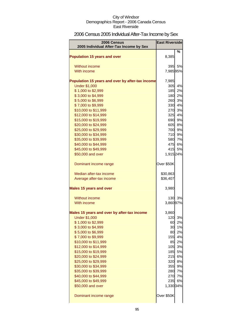# 2006 Census 2005 Individual After-Tax Income by Sex

| 2006 Census                                      | <b>East Riverside</b> |    |
|--------------------------------------------------|-----------------------|----|
| 2005 Individual After-Tax Income by Sex          |                       |    |
|                                                  |                       | %  |
| <b>Population 15 years and over</b>              | 8,385                 |    |
|                                                  |                       |    |
| Without income                                   | 395                   | 5% |
| With income                                      | 7,98595%              |    |
| Population 15 years and over by after-tax income | 7,985                 |    |
| <b>Under \$1,000</b>                             | 305                   | 4% |
| \$1,000 to \$2,999                               | 185                   | 2% |
| \$3,000 to \$4,999                               | 180                   | 2% |
| \$5,000 to \$6,999                               | 260                   | 3% |
| \$7,000 to \$9,999                               | 330                   | 4% |
| \$10,000 to \$11,999                             | 270                   | 3% |
| \$12,000 to \$14,999                             | 325                   | 4% |
| \$15,000 to \$19,999                             | 690                   | 9% |
| \$20,000 to \$24,999                             | 605                   | 8% |
| \$25,000 to \$29,999                             | 700                   | 9% |
| \$30,000 to \$34,999                             | 710                   | 9% |
| \$35,000 to \$39,999                             | 580                   | 7% |
| \$40,000 to \$44,999                             | 475                   | 6% |
| \$45,000 to \$49,999                             | 415                   | 5% |
| \$50,000 and over                                | 1,915 24%             |    |
| Dominant income range                            | Over \$50K            |    |
| Median after-tax income                          | \$30,863              |    |
| Average after-tax income                         | \$36,407              |    |
| <b>Males 15 years and over</b>                   | 3,980                 |    |
|                                                  |                       |    |
| Without income                                   | 130                   | 3% |
| With income                                      | 3,860 97%             |    |
| Males 15 years and over by after-tax income      | 3,860                 |    |
| <b>Under \$1,000</b>                             | 120                   | 3% |
| \$1,000 to \$2,999                               | 60                    | 2% |
| \$3,000 to \$4,999                               | 30                    | 1% |
| \$5,000 to \$6,999                               | 80                    | 2% |
| \$7,000 to \$9,999                               | 155                   | 4% |
| \$10,000 to \$11,999                             | 85                    | 2% |
| \$12,000 to \$14,999                             | 105                   | 3% |
| \$15,000 to \$19,999                             | 185                   | 5% |
| \$20,000 to \$24,999                             | 215                   | 6% |
| \$25,000 to \$29,999                             | 320                   | 8% |
| \$30,000 to \$34,999                             | 355                   | 9% |
| \$35,000 to \$39,999                             | 280                   | 7% |
| \$40,000 to \$44,999                             | <b>270</b>            | 7% |
| \$45,000 to \$49,999                             | 235                   | 6% |
| \$50,000 and over                                | 1,330 34%             |    |
| Dominant income range                            | Over \$50K            |    |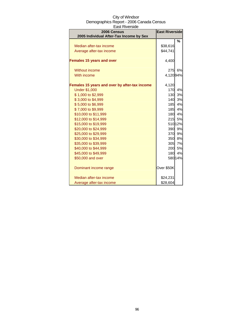| 2006 Census                                   | <b>East Riverside</b> |         |
|-----------------------------------------------|-----------------------|---------|
| 2005 Individual After-Tax Income by Sex       |                       |         |
|                                               |                       | %       |
| Median after-tax income                       | \$38,616              |         |
| Average after-tax income                      | \$44,741              |         |
|                                               |                       |         |
| <b>Females 15 years and over</b>              | 4,400                 |         |
| Without income                                | 275                   | 6%      |
| With income                                   | 4,12094%              |         |
|                                               |                       |         |
| Females 15 years and over by after-tax income | 4,120                 |         |
| <b>Under \$1,000</b>                          | 170                   | 4%      |
| \$1,000 to \$2,999                            | 130                   | 3%      |
| \$3,000 to \$4,999                            | 140                   | 3%      |
| \$5,000 to \$6,999                            | 185                   | 4%      |
| \$7,000 to \$9,999                            | 185                   | 4%      |
| \$10,000 to \$11,999                          |                       | 180 4%  |
| \$12,000 to \$14,999                          | 215                   | 5%      |
| \$15,000 to \$19,999                          |                       | 510 12% |
| \$20,000 to \$24,999                          | 390                   | 9%      |
| \$25,000 to \$29,999                          | 370                   | 9%      |
| \$30,000 to \$34,999                          | 350                   | 8%      |
| \$35,000 to \$39,999                          |                       | 305 7%  |
| \$40,000 to \$44,999                          |                       | 200 5%  |
| \$45,000 to \$49,999                          | <b>180</b>            | 4%      |
| \$50,000 and over                             |                       | 580 14% |
| Dominant income range                         | Over \$50K            |         |
| Median after-tax income                       | \$24,231              |         |
| Average after-tax income                      | \$28,604              |         |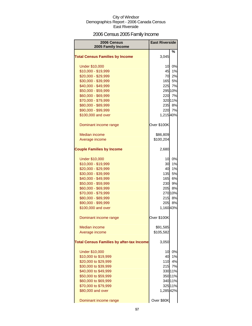# 2006 Census 2005 Family Income

| 2006 Census<br>2005 Family Income                | <b>East Riverside</b> |           |
|--------------------------------------------------|-----------------------|-----------|
|                                                  |                       | %         |
| <b>Total Census Families by Income</b>           | 3,045                 |           |
| <b>Under \$10,000</b>                            | 10                    | 0%        |
| \$10,000 - \$19,999                              | 45                    | 1%        |
| \$20,000 - \$29,999                              | 70                    | 2%        |
| \$30,000 - \$39,999                              | 165                   | 5%        |
| \$40,000 - \$49,999                              | 225                   | 7%        |
| \$50,000 - \$59,999                              |                       | 295 10%   |
| \$60,000 - \$69,999                              | 220                   | 7%        |
| \$70,000 - \$79,999                              |                       | 320 11%   |
| \$80,000 - \$89,999                              |                       | 235 8%    |
| \$90,000 - \$99,999                              | 220                   | 7%        |
| \$100,000 and over                               | 1,215 40%             |           |
| Dominant income range                            | Over \$100K           |           |
| Median income                                    | \$86,809              |           |
| Average income                                   | \$100,204             |           |
|                                                  |                       |           |
| <b>Couple Families by Income</b>                 | 2,680                 |           |
| <b>Under \$10,000</b>                            | 10                    | 0%        |
| \$10,000 - \$19,999                              | 30                    | 1%        |
| \$20,000 - \$29,999                              | 40                    | 1%        |
| \$30,000 - \$39,999                              | 135                   | <b>5%</b> |
| \$40,000 - \$49,999                              | 165                   | 6%        |
| \$50,000 - \$59,999                              | 230                   | 9%        |
| \$60,000 - \$69,999                              | 205                   | <b>8%</b> |
| \$70,000 - \$79,999                              |                       | 270 10%   |
| \$80,000 - \$89,999                              | 215                   | <b>8%</b> |
| \$90,000 - \$99,999                              | 205                   | 8%        |
| \$100,000 and over                               | 1,16043%              |           |
| Dominant income range                            | Over \$100K           |           |
| <b>Median income</b>                             | \$91,585              |           |
| Average income                                   | \$105,582             |           |
| <b>Total Census Families by after-tax Income</b> | 3,050                 |           |
| <b>Under \$10,000</b>                            | 10                    | 0%        |
| \$10,000 to \$19,999                             | 40                    | 1%        |
| \$20,000 to \$29,999                             | 110                   | 4%        |
| \$30,000 to \$39,999                             | 215                   | 7%        |
| \$40,000 to \$49,999                             |                       | 33011%    |
| \$50,000 to \$59,999                             |                       | 350 11%   |
| \$60,000 to \$69,999                             |                       | 340 11%   |
| \$70,000 to \$79,999                             |                       | 325 11%   |
| \$80,000 and over                                | 1,28542%              |           |
| Dominant income range                            | Over \$80K            |           |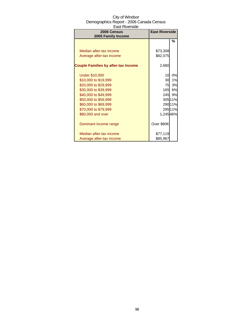| <b>2006 Census</b>                         | <b>East Riverside</b> |         |
|--------------------------------------------|-----------------------|---------|
| 2005 Family Income                         |                       |         |
|                                            |                       | %       |
|                                            |                       |         |
| Median after-tax income                    | \$73,308              |         |
| Average after-tax income                   | \$82,075              |         |
|                                            |                       |         |
| <b>Couple Families by after-tax Income</b> | 2,680                 |         |
|                                            |                       |         |
| <b>Under \$10,000</b>                      | 10                    | 0%      |
| \$10,000 to \$19,999                       | 30                    | 1%      |
| \$20,000 to \$29,999                       | 75                    | 3%      |
| \$30,000 to \$39,999                       | 165                   | 6%      |
| \$40,000 to \$49,999                       | 245                   | 9%      |
| \$50,000 to \$59,999                       |                       | 305 11% |
| \$60,000 to \$69,999                       |                       | 290 11% |
| \$70,000 to \$79,999                       |                       | 295 11% |
| \$80,000 and over                          | 1,245 46%             |         |
|                                            |                       |         |
| Dominant income range                      | Over \$80K            |         |
|                                            |                       |         |
| Median after-tax income                    | \$77,119              |         |
| Average after-tax income                   | \$85,967              |         |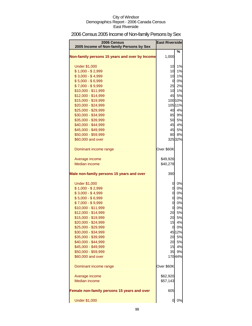# 2006 Census 2005 Income of Non-family Persons by Sex

| 2006 Census<br>2005 Income of Non-family Persons by Sex | <b>East Riverside</b> |              |
|---------------------------------------------------------|-----------------------|--------------|
|                                                         |                       | %            |
| Non-family persons 15 years and over by Income          | 1,000                 |              |
| <b>Under \$1,000</b>                                    | 10                    | 1%           |
| $$1,000 - $2,999$                                       | 10                    | 1%           |
| $$3,000 - $4,999$                                       | 10                    | 1%           |
| $$5,000 - $6,999$                                       | 0                     | 0%           |
| $$7,000 - $9,999$                                       | 25                    | 2%           |
| \$10,000 - \$11,999                                     | 10                    | 1%           |
| \$12,000 - \$14,999                                     | 45                    | 5%           |
| \$15,000 - \$19,999                                     |                       | 100 10%      |
| \$20,000 - \$24,999                                     |                       | 105 11%      |
| \$25,000 - \$29,999                                     | 40                    | 4%           |
| \$30,000 - \$34,999                                     | 85                    | 9%           |
| \$35,000 - \$39,999                                     | 50                    | 5%           |
| \$40,000 - \$44,999                                     | 45                    | 4%           |
| \$45,000 - \$49,999                                     | 45                    | 5%           |
| \$50,000 - \$59,999                                     | 80                    | 8%           |
| \$60,000 and over                                       |                       | 32532%       |
| Dominant income range                                   | Over \$60K            |              |
| Average income                                          | \$49,926              |              |
| Median income                                           | \$40,278              |              |
| Male non-family persons 15 years and over               | 390                   |              |
| <b>Under \$1,000</b>                                    | 0                     | 0%           |
| $$1,000 - $2,999$                                       | 0                     | 0%           |
| $$3,000 - $4,999$                                       | $\overline{0}$        | 0%           |
| $$5,000 - $6,999$                                       | $\overline{0}$        | 0%           |
| $$7,000 - $9,999$                                       | $\overline{0}$        | 0%           |
| \$10,000 - \$11,999                                     | 0                     | 0%           |
| \$12,000 - \$14,999                                     | 20                    | 5%           |
| \$15,000 - \$19,999                                     | 20                    | 5%           |
| \$20,000 - \$24,999                                     | 15                    | 4%           |
| \$25,000 - \$29,999                                     | 0                     | 0%           |
| \$30,000 - \$34,999                                     |                       | 4512%        |
| \$35,000 - \$39,999                                     |                       | 20 5%        |
| \$40,000 - \$44,999                                     | 20                    | 5%           |
| \$45,000 - \$49,999                                     | 15                    | 4%           |
| \$50,000 - \$59,999<br>\$60,000 and over                | 35                    | 9%<br>17044% |
|                                                         |                       |              |
| Dominant income range                                   | Over \$60K            |              |
| Average income                                          | \$62,920              |              |
| Median income                                           | \$57,143              |              |
| Female non-family persons 15 years and over             | 605                   |              |
| <b>Under \$1,000</b>                                    | 0                     | 0%           |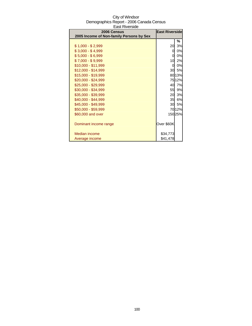| 2006 Census                              | <b>East Riverside</b> |        |
|------------------------------------------|-----------------------|--------|
| 2005 Income of Non-family Persons by Sex |                       |        |
|                                          |                       | %      |
| $$1,000 - $2,999$                        | 20                    | 3%     |
| $$3,000 - $4,999$                        | 0                     | 0%     |
| $$5,000 - $6,999$                        | 0                     | 0%     |
| $$7,000 - $9,999$                        | 10                    | 2%     |
| \$10,000 - \$11,999                      | 0                     | 0%     |
| \$12,000 - \$14,999                      | 30                    | 5%     |
| \$15,000 - \$19,999                      |                       | 8013%  |
| \$20,000 - \$24,999                      |                       | 7512%  |
| \$25,000 - \$29,999                      | 40                    | 7%     |
| \$30,000 - \$34,999                      | 55                    | 9%     |
| \$35,000 - \$39,999                      | 20                    | 3%     |
| \$40,000 - \$44,999                      | 35                    | 6%     |
| \$45,000 - \$49,999                      | 30                    | 5%     |
| \$50,000 - \$59,999                      |                       | 7012%  |
| \$60,000 and over                        |                       | 15025% |
|                                          |                       |        |
| Dominant income range                    | Over \$60K            |        |
|                                          |                       |        |
| Median income                            | \$34,773              |        |
| Average income                           | \$41,478              |        |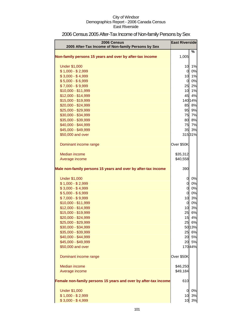| 2006 Census<br>2005 After-Tax Income of Non-family Persons by Sex | <b>East Riverside</b> |          |
|-------------------------------------------------------------------|-----------------------|----------|
| Non-family persons 15 years and over by after-tax income          | 1,005                 | %        |
|                                                                   |                       |          |
| <b>Under \$1,000</b>                                              | 10                    | 1%       |
| $$1,000 - $2,999$                                                 | 0                     | 0%       |
| $$3,000 - $4,999$                                                 | 10                    | 1%       |
| $$5,000 - $6,999$                                                 | 0                     | 0%       |
| $$7,000 - $9,999$                                                 | 25                    | 2%       |
| \$10,000 - \$11,999                                               | 10                    | 1%       |
| \$12,000 - \$14,999                                               | 45                    | 4%       |
| \$15,000 - \$19,999                                               |                       | 140 14%  |
| \$20,000 - \$24,999                                               | 85                    | 8%       |
| \$25,000 - \$29,999                                               | 95<br>75              | 9%<br>7% |
| \$30,000 - \$34,999                                               | 80                    | 8%       |
| \$35,000 - \$39,999<br>\$40,000 - \$44,999                        | 75                    | 7%       |
| \$45,000 - \$49,999                                               | 35                    | 3%       |
| \$50,000 and over                                                 |                       | 31531%   |
|                                                                   |                       |          |
| Dominant income range                                             | Over \$50K            |          |
| Median income                                                     | \$35,312              |          |
| Average income                                                    | \$40,558              |          |
|                                                                   |                       |          |
| Male non-family persons 15 years and over by after-tax income     | 390                   |          |
| <b>Under \$1,000</b>                                              | 0                     | 0%       |
| $$1,000 - $2,999$                                                 | 0                     | 0%       |
| $$3,000 - $4,999$                                                 | $\overline{0}$        | 0%       |
| $$5,000 - $6,999$                                                 | $\overline{0}$        | 0%       |
| $$7,000 - $9,999$                                                 | 10                    | 3%       |
| \$10,000 - \$11,999                                               | $\overline{0}$        | 0%       |
| \$12,000 - \$14,999                                               | 10                    | 3%       |
| \$15,000 - \$19,999                                               | 25                    | 6%       |
| \$20,000 - \$24,999                                               | 15                    | 4%       |
| \$25,000 - \$29,999                                               | 25                    | 6%       |
| \$30,000 - \$34,999                                               |                       | 5013%    |
| \$35,000 - \$39,999                                               | 25                    | 6%       |
| \$40,000 - \$44,999                                               | 20                    | 5%       |
| \$45,000 - \$49,999                                               | 20                    | 5%       |
| \$50,000 and over                                                 |                       | 17044%   |
| Dominant income range                                             | Over \$50K            |          |
| <b>Median income</b>                                              | \$46,250              |          |
| Average income                                                    | \$49,184              |          |
|                                                                   |                       |          |
| Female non-family persons 15 years and over by after-tax income   | 610                   |          |
| <b>Under \$1,000</b>                                              | 0                     | 0%       |
| $$1,000 - $2,999$                                                 | 10                    | 3%       |
| $$3,000 - $4,999$                                                 | 10                    | 3%       |

# 2006 Census 2005 After-Tax Income of Non-family Persons by Sex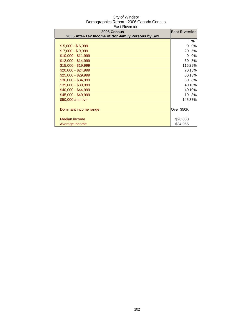| City of Windsor                          |
|------------------------------------------|
| Demographics Report - 2006 Canada Census |
| East Riverside                           |

| 2006 Census                                        | <b>East Riverside</b> |           |
|----------------------------------------------------|-----------------------|-----------|
| 2005 After-Tax Income of Non-family Persons by Sex |                       |           |
|                                                    |                       | ℅         |
| $$5,000 - $6,999$                                  | 0                     | 0%        |
| $$7,000 - $9,999$                                  | 20                    | <b>5%</b> |
| $$10,000 - $11,999$                                | 0                     | 0%        |
| \$12,000 - \$14,999                                | 30                    | 8%        |
| \$15,000 - \$19,999                                |                       | 11529%    |
| \$20,000 - \$24,999                                |                       | 7018%     |
| \$25,000 - \$29,999                                |                       | 50 13%    |
| \$30,000 - \$34,999                                | 30                    | 8%        |
| \$35,000 - \$39,999                                |                       | 40 10%    |
| \$40,000 - \$44,999                                |                       | 40 10%    |
| \$45,000 - \$49,999                                | 10 <sup>1</sup>       | 3%        |
| \$50,000 and over                                  |                       | 14537%    |
|                                                    |                       |           |
| Dominant income range                              | Over \$50K            |           |
|                                                    |                       |           |
| <b>Median income</b>                               | \$28,000              |           |
| Average income                                     | \$34,965              |           |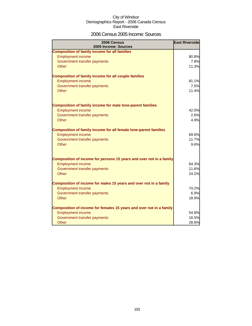### 2006 Census 2005 Income: Sources

| 2006 Census<br>2005 Income: Sources                                     | <b>East Riverside</b> |
|-------------------------------------------------------------------------|-----------------------|
| <b>Composition of family income for all families</b>                    |                       |
| <b>Employment income</b>                                                | 80.8%                 |
| Government transfer payments                                            | 7.8%                  |
| Other                                                                   | 11.3%                 |
| <b>Composition of family income for all couple families</b>             |                       |
| <b>Employment income</b>                                                | 81.1%                 |
| Government transfer payments                                            | 7.5%                  |
| Other                                                                   | 11.4%                 |
| <b>Composition of family income for male lone-parent families</b>       |                       |
| <b>Employment income</b>                                                | 42.0%                 |
| Government transfer payments                                            | 2.6%                  |
| Other                                                                   | 4.9%                  |
| <b>Composition of family income for all female lone-parent families</b> |                       |
| <b>Employment income</b>                                                | 69.6%                 |
| Government transfer payments                                            | 11.7%                 |
| Other                                                                   | 9.6%                  |
| Composition of income for persons 15 years and over not in a family     |                       |
| <b>Employment income</b>                                                | 64.3%                 |
| Government transfer payments                                            | 11.6%                 |
| Other                                                                   | 24.2%                 |
| Composition of income for males 15 years and over not in a family       |                       |
| <b>Employment income</b>                                                | 74.2%                 |
| Government transfer payments                                            | 6.9%                  |
| Other                                                                   | 18.9%                 |
| Composition of income for females 15 years and over not in a family     |                       |
| <b>Employment income</b>                                                | 54.8%                 |
| Government transfer payments                                            | 16.5%                 |
| Other                                                                   | 28.8%                 |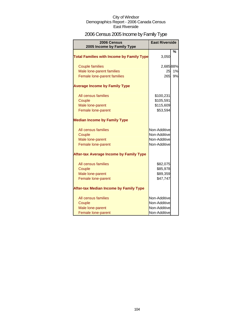# 2006 Census 2005 Income by Family Type

| 2006 Census<br>2005 Income by Family Type        | <b>East Riverside</b> |    |
|--------------------------------------------------|-----------------------|----|
| <b>Total Families with Income by Family Type</b> | 3,050                 | %  |
| <b>Couple families</b>                           | 2,68588%              |    |
| Male lone-parent families                        | 25                    | 1% |
| Female lone-parent families                      | 265                   | 9% |
| <b>Average Income by Family Type</b>             |                       |    |
| All census families                              | \$100,231             |    |
| Couple                                           | \$105,591             |    |
| Male lone-parent                                 | \$115,609             |    |
| Female lone-parent                               | \$53,594              |    |
| <b>Median Income by Family Type</b>              |                       |    |
| All census families                              | Non-Additive          |    |
| Couple                                           | Non-Additive          |    |
| Male lone-parent                                 | Non-Additive          |    |
| Female lone-parent                               | Non-Additive          |    |
| <b>After-tax Average Income by Family Type</b>   |                       |    |
| All census families                              | \$82,075              |    |
| Couple                                           | \$85,978              |    |
| Male lone-parent                                 | \$89,359              |    |
| Female lone-parent                               | \$47,747              |    |
| <b>After-tax Median Income by Family Type</b>    |                       |    |
| All census families                              | Non-Additive          |    |
| Couple                                           | Non-Additive          |    |
| Male lone-parent                                 | Non-Additive          |    |
| Female lone-parent                               | Non-Additive          |    |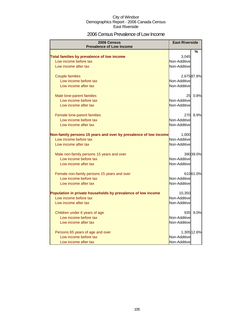### 2006 Census Prevalence of Low Income

| 2006 Census                                                      | <b>East Riverside</b> |             |
|------------------------------------------------------------------|-----------------------|-------------|
| <b>Prevalence of Low Income</b>                                  |                       |             |
|                                                                  |                       | %           |
| Total families by prevalence of low income                       | 3,045                 |             |
| Low income before tax                                            | Non-Additive          |             |
| Low income after tax                                             | Non-Additive          |             |
| <b>Couple families</b>                                           |                       | 2,675 87.8% |
| Low income before tax                                            | Non-Additive          |             |
| Low income after tax                                             | Non-Additive          |             |
| Male lone-parent families                                        | 25 <sup>1</sup>       | 0.8%        |
| Low income before tax                                            | Non-Additive          |             |
| Low income after tax                                             | Non-Additive          |             |
|                                                                  |                       |             |
| Female lone-parent families                                      |                       | 270 8.9%    |
| Low income before tax                                            | Non-Additive          |             |
| Low income after tax                                             | Non-Additive          |             |
| Non-family persons 15 years and over by prevalence of low income | 1,000                 |             |
| Low income before tax                                            | Non-Additive          |             |
| Low income after tax                                             | Non-Additive          |             |
| Male non-family persons 15 years and over                        |                       | 390 39.0%   |
| Low income before tax                                            | Non-Additive          |             |
| Low income after tax                                             | Non-Additive          |             |
|                                                                  |                       |             |
| Female non-family persons 15 years and over                      |                       | 61061.0%    |
| Low income before tax                                            | Non-Additive          |             |
| Low income after tax                                             | Non-Additive          |             |
| Population in private households by prevalence of low income     | 10,350                |             |
| Low income before tax                                            | Non-Additive          |             |
| Low income after tax                                             | Non-Additive          |             |
|                                                                  |                       |             |
| Children under 6 years of age                                    | 935                   | 9.0%        |
| Low income before tax                                            | Non-Additive          |             |
| Low income after tax                                             | Non-Additive          |             |
| Persons 65 years of age and over                                 |                       | 1,305 12.6% |
| Low income before tax                                            | Non-Additive          |             |
| Low income after tax                                             | Non-Additive          |             |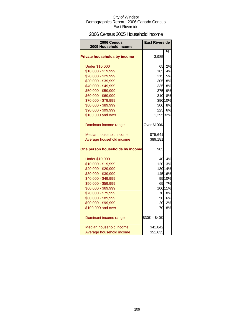### 2006 Census 2005 Household Income

| 2006 Census                                | <b>East Riverside</b> |          |
|--------------------------------------------|-----------------------|----------|
| 2005 Household Income                      |                       |          |
|                                            |                       | %        |
| <b>Private households by income</b>        | 3,985                 |          |
|                                            |                       |          |
| <b>Under \$10,000</b>                      | 65                    | 2%       |
| \$10,000 - \$19,999                        | 165                   | 4%       |
| \$20,000 - \$29,999                        | 215<br>305            | 5%<br>8% |
| \$30,000 - \$39,999<br>\$40,000 - \$49,999 | 335                   | 8%       |
| \$50,000 - \$59,999                        | 375                   | 9%       |
| \$60,000 - \$69,999                        | 310                   | 8%       |
| \$70,000 - \$79,999                        |                       | 390 10%  |
| \$80,000 - \$89,999                        | 300                   | 8%       |
| \$90,000 - \$99,999                        | 225                   | 6%       |
| \$100,000 and over                         | 1,295 32%             |          |
|                                            |                       |          |
| Dominant income range                      | Over \$100K           |          |
|                                            |                       |          |
| Median household income                    | \$75,641              |          |
| Average household income                   | \$89,181              |          |
| One person households by income            | 905                   |          |
| <b>Under \$10,000</b>                      |                       | 40 4%    |
| \$10,000 - \$19,999                        |                       | 120 13%  |
| \$20,000 - \$29,999                        |                       | 130 14%  |
| \$30,000 - \$39,999                        |                       | 145 16%  |
| \$40,000 - \$49,999                        |                       | 95 10%   |
| \$50,000 - \$59,999                        | 65                    | 7%       |
| \$60,000 - \$69,999                        |                       | 100 11%  |
| \$70,000 - \$79,999                        | 70                    | 8%       |
| \$80,000 - \$89,999                        | 50                    | 6%       |
| \$90,000 - \$99,999                        | 20                    | 2%       |
| \$100,000 and over                         | 70                    | 8%       |
| Dominant income range                      | \$30K - \$40K         |          |
| Median household income                    | \$41,842              |          |
| Average household income                   | \$51,635              |          |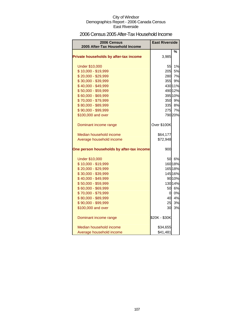### 2006 Census 2005 After-Tax Household Income

| 2006 Census                               | <b>East Riverside</b> |         |
|-------------------------------------------|-----------------------|---------|
| 2005 After-Tax Household Income           |                       |         |
| Private households by after-tax income    | 3,985                 | %       |
| <b>Under \$10,000</b>                     | 55I                   | 1%      |
| \$10,000 - \$19,999                       |                       | 205 5%  |
| \$20,000 - \$29,999                       | 280                   | 7%      |
| \$30,000 - \$39,999                       |                       | 355 9%  |
| \$40,000 - \$49,999                       |                       | 430 11% |
| \$50,000 - \$59,999                       |                       | 490 12% |
| \$60,000 - \$69,999                       |                       | 395 10% |
| \$70,000 - \$79,999                       |                       | 350 9%  |
| \$80,000 - \$89,999                       |                       | 335 8%  |
| \$90,000 - \$99,999                       |                       | 275 7%  |
| \$100,000 and over                        |                       | 790 20% |
| Dominant income range                     | Over \$100K           |         |
| Median household income                   | \$64,177              |         |
| Average household income                  | \$72,948              |         |
| One person households by after-tax income | 900                   |         |
| <b>Under \$10,000</b>                     |                       | 50 6%   |
| \$10,000 - \$19,999                       |                       | 160 18% |
| \$20,000 - \$29,999                       |                       | 165 18% |
| \$30,000 - \$39,999                       |                       | 145 16% |
| \$40,000 - \$49,999                       |                       | 90 10%  |
| \$50,000 - \$59,999                       |                       | 130 14% |
| \$60,000 - \$69,999                       |                       | 50 6%   |
| \$70,000 - \$79,999                       |                       | 0 0%    |
| \$80,000 - \$89,999                       | 40                    | 4%      |
| \$90,000 - \$99,999                       | 25                    | 3%      |
| \$100,000 and over                        | 30                    | 3%      |
| Dominant income range                     | \$20K - \$30K         |         |
| Median household income                   | \$34,655              |         |
| Average household income                  | \$41,481              |         |